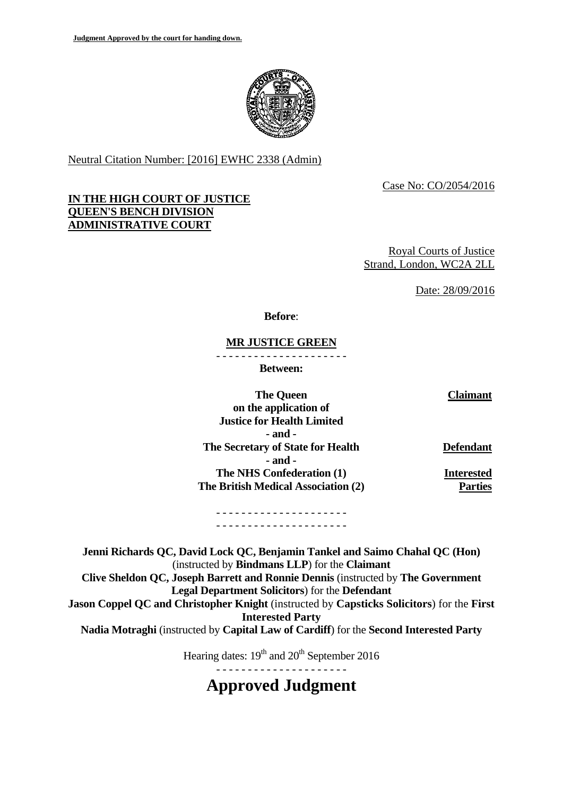

Neutral Citation Number: [2016] EWHC 2338 (Admin)

Case No: CO/2054/2016

### **IN THE HIGH COURT OF JUSTICE QUEEN'S BENCH DIVISION ADMINISTRATIVE COURT**

Royal Courts of Justice Strand, London, WC2A 2LL

Date: 28/09/2016

**Before**:

#### - - - - - - - - - - - - - - - - - - - - - **MR JUSTICE GREEN**

**Between:**

**The Queen** Claimant **on the application of Justice for Health Limited - and - The Secretary of State for Health Defendant - and - The NHS Confederation (1) Interested The British Medical Association (2) Parties** 

- - - - - - - - - - - - - - - - - - - - - - - - - - - - - - - - - - - - - - - - - -

**Jenni Richards QC, David Lock QC, Benjamin Tankel and Saimo Chahal QC (Hon)** (instructed by **Bindmans LLP**) for the **Claimant Clive Sheldon QC, Joseph Barrett and Ronnie Dennis** (instructed by **The Government Legal Department Solicitors**) for the **Defendant Jason Coppel QC and Christopher Knight** (instructed by **Capsticks Solicitors**) for the **First Interested Party Nadia Motraghi** (instructed by **Capital Law of Cardiff**) for the **Second Interested Party** 

Hearing dates:  $19<sup>th</sup>$  and  $20<sup>th</sup>$  September 2016

- - - - - - - - - - - - - - - - - - - - -

**Approved Judgment**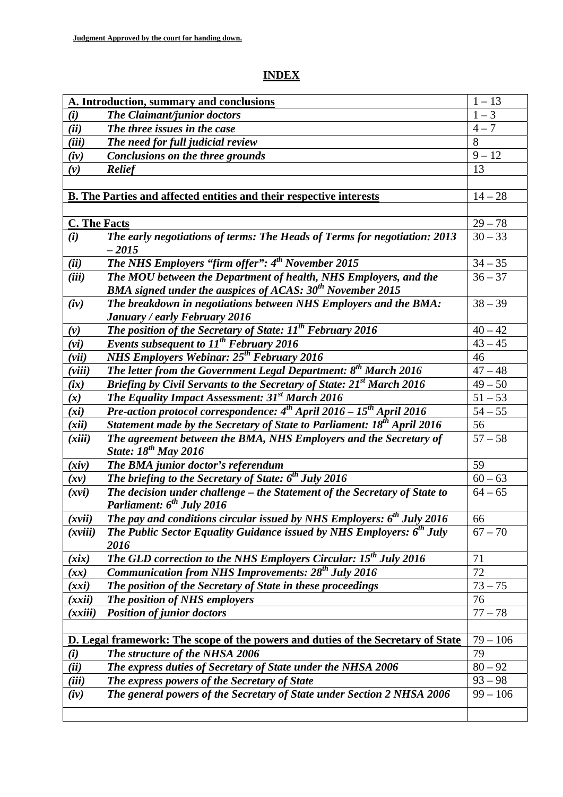# **INDEX**

| A. Introduction, summary and conclusions                                                |                                                                                              | $1 - 13$   |
|-----------------------------------------------------------------------------------------|----------------------------------------------------------------------------------------------|------------|
| (i)                                                                                     | <b>The Claimant/junior doctors</b>                                                           | $1 - 3$    |
| (ii)                                                                                    | The three issues in the case                                                                 | $4 - 7$    |
| (iii)                                                                                   | The need for full judicial review                                                            | 8          |
| (iv)                                                                                    | <b>Conclusions on the three grounds</b>                                                      | $9 - 12$   |
| (v)                                                                                     | <b>Relief</b>                                                                                | 13         |
|                                                                                         |                                                                                              |            |
| B. The Parties and affected entities and their respective interests                     |                                                                                              | $14 - 28$  |
|                                                                                         |                                                                                              |            |
| <b>C. The Facts</b>                                                                     |                                                                                              | $29 - 78$  |
| (i)                                                                                     | The early negotiations of terms: The Heads of Terms for negotiation: 2013                    | $30 - 33$  |
|                                                                                         | $-2015$                                                                                      |            |
| (ii)                                                                                    | The NHS Employers "firm offer": 4 <sup>th</sup> November 2015                                | $34 - 35$  |
| (iii)                                                                                   | The MOU between the Department of health, NHS Employers, and the                             | $36 - 37$  |
|                                                                                         | BMA signed under the auspices of ACAS: $30^{th}$ November 2015                               |            |
| (iv)                                                                                    | The breakdown in negotiations between NHS Employers and the BMA:                             | $38 - 39$  |
|                                                                                         | January / early February 2016                                                                |            |
| (v)                                                                                     | <b>The position of the Secretary of State:</b> $II^{th}$ February 2016                       | $40 - 42$  |
| (vi)                                                                                    | Events subsequent to $11^{th}$ February 2016                                                 | $43 - 45$  |
| (vii)                                                                                   | <b>NHS Employers Webinar: 25<sup>th</sup> February 2016</b>                                  | 46         |
| (viii)                                                                                  | The letter from the Government Legal Department: $8^{th}$ March 2016                         | $47 - 48$  |
| (ix)                                                                                    | Briefing by Civil Servants to the Secretary of State: 21 <sup>st</sup> March 2016            | $49 - 50$  |
| (x)                                                                                     | The Equality Impact Assessment: 31 <sup>st</sup> March 2016                                  | $51 - 53$  |
| (xi)                                                                                    | Pre-action protocol correspondence: 4 <sup>th</sup> April 2016 - 15 <sup>th</sup> April 2016 | $54 - 55$  |
| (xii)                                                                                   | Statement made by the Secretary of State to Parliament: 18 <sup>th</sup> April 2016          | 56         |
| (xiii)                                                                                  | The agreement between the BMA, NHS Employers and the Secretary of                            | $57 - 58$  |
|                                                                                         | <b>State:</b> 18 <sup>th</sup> May 2016                                                      |            |
| (xiv)                                                                                   | The BMA junior doctor's referendum                                                           | 59         |
| (xv)                                                                                    | The briefing to the Secretary of State: 6 <sup>th</sup> July 2016                            | $60 - 63$  |
| (xvi)                                                                                   | The decision under challenge - the Statement of the Secretary of State to                    | $64 - 65$  |
|                                                                                         | Parliament: 6 <sup>th</sup> July 2016                                                        |            |
| (xvii)                                                                                  | The pay and conditions circular issued by NHS Employers: $6^{th}$ July 2016                  | 66         |
| (xviii)                                                                                 | The Public Sector Equality Guidance issued by NHS Employers: 6 <sup>th</sup> July            | $67 - 70$  |
|                                                                                         | 2016                                                                                         |            |
| (xix)                                                                                   | <b>The GLD correction to the NHS Employers Circular: 15<sup>th</sup> July 2016</b>           | 71         |
| (xx)                                                                                    | <b>Communication from NHS Improvements: 28<sup>th</sup> July 2016</b>                        | 72         |
| (xxi)                                                                                   | The position of the Secretary of State in these proceedings                                  | $73 - 75$  |
| (xxii)                                                                                  | The position of NHS employers                                                                | 76         |
| (xxiii)                                                                                 | <b>Position of junior doctors</b>                                                            | $77 - 78$  |
|                                                                                         |                                                                                              |            |
| <b>D.</b> Legal framework: The scope of the powers and duties of the Secretary of State |                                                                                              |            |
| (i)                                                                                     | The structure of the NHSA 2006                                                               | 79         |
| (ii)                                                                                    | The express duties of Secretary of State under the NHSA 2006                                 | $80 - 92$  |
| (iii)                                                                                   | The express powers of the Secretary of State                                                 | $93 - 98$  |
| (iv)                                                                                    | The general powers of the Secretary of State under Section 2 NHSA 2006                       | $99 - 106$ |
|                                                                                         |                                                                                              |            |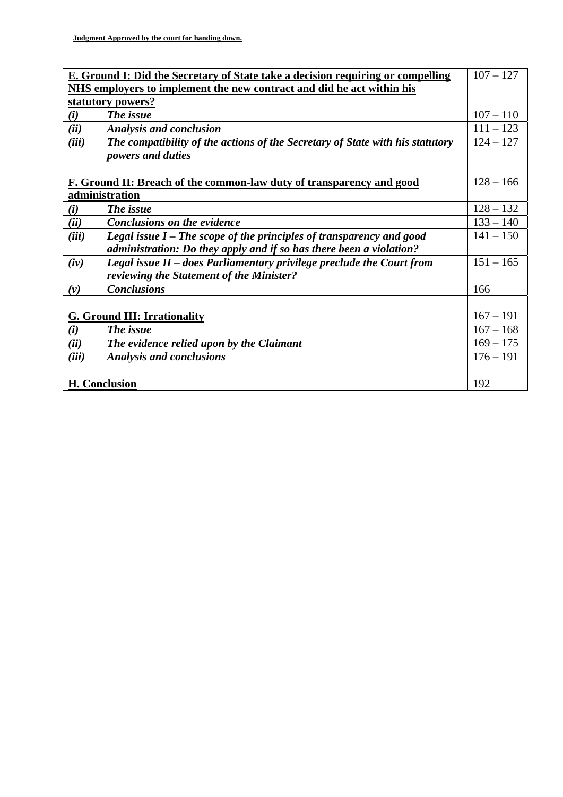| <b>E. Ground I: Did the Secretary of State take a decision requiring or compelling</b> |             |  |
|----------------------------------------------------------------------------------------|-------------|--|
| NHS employers to implement the new contract and did he act within his                  |             |  |
| statutory powers?                                                                      |             |  |
| The issue<br>(i)                                                                       | $107 - 110$ |  |
| (ii)<br><b>Analysis and conclusion</b>                                                 | $111 - 123$ |  |
| (iii)<br>The compatibility of the actions of the Secretary of State with his statutory | $124 - 127$ |  |
| powers and duties                                                                      |             |  |
|                                                                                        |             |  |
| F. Ground II: Breach of the common-law duty of transparency and good                   |             |  |
| administration                                                                         |             |  |
| The issue<br>(i)                                                                       | $128 - 132$ |  |
| (ii)<br><b>Conclusions on the evidence</b>                                             | $133 - 140$ |  |
| (iii)<br>Legal issue I – The scope of the principles of transparency and good          | $141 - 150$ |  |
| administration: Do they apply and if so has there been a violation?                    |             |  |
| Legal issue II - does Parliamentary privilege preclude the Court from<br>(iv)          | $151 - 165$ |  |
| reviewing the Statement of the Minister?                                               |             |  |
| <b>Conclusions</b><br>$(\nu)$                                                          | 166         |  |
|                                                                                        |             |  |
| <b>G. Ground III: Irrationality</b>                                                    |             |  |
| The issue<br>(i)                                                                       | $167 - 168$ |  |
| The evidence relied upon by the Claimant<br>(ii)                                       | $169 - 175$ |  |
| (iii)<br><b>Analysis and conclusions</b>                                               | $176 - 191$ |  |
|                                                                                        |             |  |
| <b>H.</b> Conclusion                                                                   |             |  |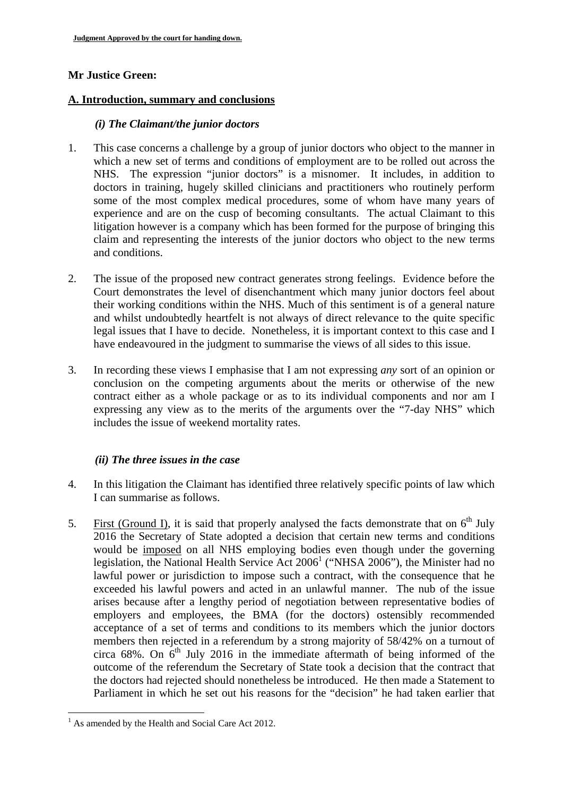# **Mr Justice Green:**

### A. Introduction, summary and conclusions

### *(i) The Claimant/the junior doctors*

- 1. This case concerns a challenge by a group of junior doctors who object to the manner in which a new set of terms and conditions of employment are to be rolled out across the NHS. The expression "junior doctors" is a misnomer. It includes, in addition to doctors in training, hugely skilled clinicians and practitioners who routinely perform some of the most complex medical procedures, some of whom have many years of experience and are on the cusp of becoming consultants. The actual Claimant to this litigation however is a company which has been formed for the purpose of bringing this claim and representing the interests of the junior doctors who object to the new terms and conditions.
- 2. The issue of the proposed new contract generates strong feelings. Evidence before the Court demonstrates the level of disenchantment which many junior doctors feel about their working conditions within the NHS. Much of this sentiment is of a general nature and whilst undoubtedly heartfelt is not always of direct relevance to the quite specific legal issues that I have to decide. Nonetheless, it is important context to this case and I have endeavoured in the judgment to summarise the views of all sides to this issue.
- 3. In recording these views I emphasise that I am not expressing *any* sort of an opinion or conclusion on the competing arguments about the merits or otherwise of the new contract either as a whole package or as to its individual components and nor am I expressing any view as to the merits of the arguments over the "7-day NHS" which includes the issue of weekend mortality rates.

## *(ii) The three issues in the case*

- 4. In this litigation the Claimant has identified three relatively specific points of law which I can summarise as follows.
- 5. First (Ground I), it is said that properly analysed the facts demonstrate that on  $6<sup>th</sup>$  July 2016 the Secretary of State adopted a decision that certain new terms and conditions would be imposed on all NHS employing bodies even though under the governing legislation, the National Health Service Act  $2006<sup>1</sup>$  ("NHSA 2006"), the Minister had no lawful power or jurisdiction to impose such a contract, with the consequence that he exceeded his lawful powers and acted in an unlawful manner. The nub of the issue arises because after a lengthy period of negotiation between representative bodies of employers and employees, the BMA (for the doctors) ostensibly recommended acceptance of a set of terms and conditions to its members which the junior doctors members then rejected in a referendum by a strong majority of 58/42% on a turnout of circa  $68\%$ . On  $6<sup>th</sup>$  July 2016 in the immediate aftermath of being informed of the outcome of the referendum the Secretary of State took a decision that the contract that the doctors had rejected should nonetheless be introduced. He then made a Statement to Parliament in which he set out his reasons for the "decision" he had taken earlier that

<sup>&</sup>lt;sup>1</sup> As amended by the Health and Social Care Act 2012.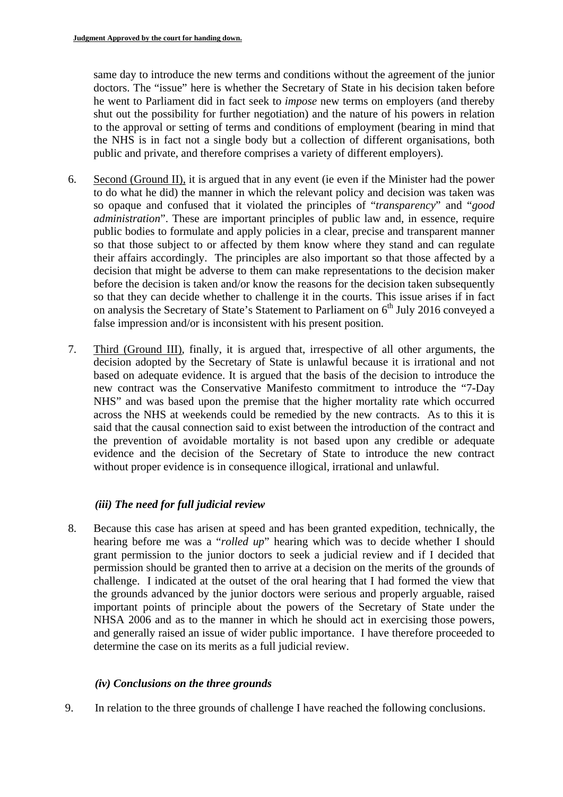same day to introduce the new terms and conditions without the agreement of the junior doctors. The "issue" here is whether the Secretary of State in his decision taken before he went to Parliament did in fact seek to *impose* new terms on employers (and thereby shut out the possibility for further negotiation) and the nature of his powers in relation to the approval or setting of terms and conditions of employment (bearing in mind that the NHS is in fact not a single body but a collection of different organisations, both public and private, and therefore comprises a variety of different employers).

- 6. Second (Ground II), it is argued that in any event (ie even if the Minister had the power to do what he did) the manner in which the relevant policy and decision was taken was so opaque and confused that it violated the principles of "*transparency*" and "*good administration*". These are important principles of public law and, in essence, require public bodies to formulate and apply policies in a clear, precise and transparent manner so that those subject to or affected by them know where they stand and can regulate their affairs accordingly. The principles are also important so that those affected by a decision that might be adverse to them can make representations to the decision maker before the decision is taken and/or know the reasons for the decision taken subsequently so that they can decide whether to challenge it in the courts. This issue arises if in fact on analysis the Secretary of State's Statement to Parliament on  $6<sup>th</sup>$  July 2016 conveyed a false impression and/or is inconsistent with his present position.
- 7. Third (Ground III), finally, it is argued that, irrespective of all other arguments, the decision adopted by the Secretary of State is unlawful because it is irrational and not based on adequate evidence. It is argued that the basis of the decision to introduce the new contract was the Conservative Manifesto commitment to introduce the "7-Day NHS" and was based upon the premise that the higher mortality rate which occurred across the NHS at weekends could be remedied by the new contracts. As to this it is said that the causal connection said to exist between the introduction of the contract and the prevention of avoidable mortality is not based upon any credible or adequate evidence and the decision of the Secretary of State to introduce the new contract without proper evidence is in consequence illogical, irrational and unlawful.

# *(iii) The need for full judicial review*

8. Because this case has arisen at speed and has been granted expedition, technically, the hearing before me was a "*rolled up*" hearing which was to decide whether I should grant permission to the junior doctors to seek a judicial review and if I decided that permission should be granted then to arrive at a decision on the merits of the grounds of challenge. I indicated at the outset of the oral hearing that I had formed the view that the grounds advanced by the junior doctors were serious and properly arguable, raised important points of principle about the powers of the Secretary of State under the NHSA 2006 and as to the manner in which he should act in exercising those powers, and generally raised an issue of wider public importance. I have therefore proceeded to determine the case on its merits as a full judicial review.

## *(iv) Conclusions on the three grounds*

9. In relation to the three grounds of challenge I have reached the following conclusions.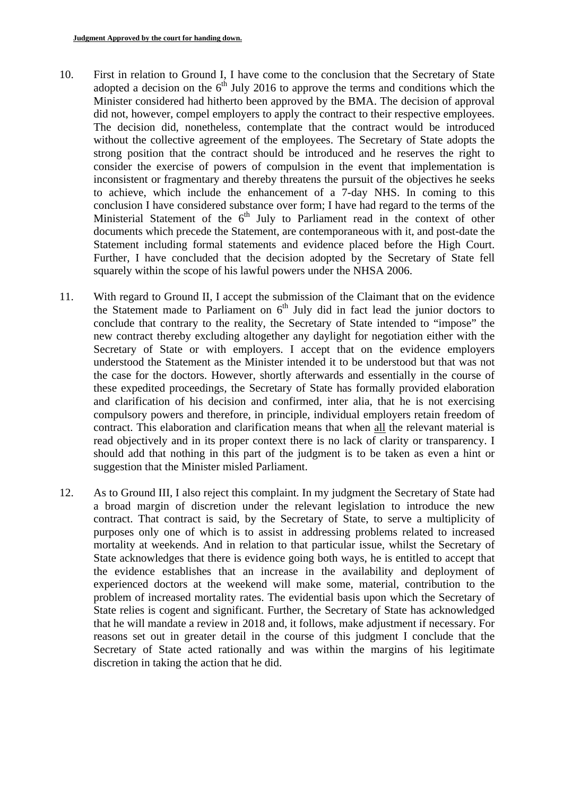- 10. First in relation to Ground I, I have come to the conclusion that the Secretary of State adopted a decision on the  $6<sup>th</sup>$  July 2016 to approve the terms and conditions which the Minister considered had hitherto been approved by the BMA. The decision of approval did not, however, compel employers to apply the contract to their respective employees. The decision did, nonetheless, contemplate that the contract would be introduced without the collective agreement of the employees. The Secretary of State adopts the strong position that the contract should be introduced and he reserves the right to consider the exercise of powers of compulsion in the event that implementation is inconsistent or fragmentary and thereby threatens the pursuit of the objectives he seeks to achieve, which include the enhancement of a 7-day NHS. In coming to this conclusion I have considered substance over form; I have had regard to the terms of the Ministerial Statement of the 6<sup>th</sup> July to Parliament read in the context of other documents which precede the Statement, are contemporaneous with it, and post-date the Statement including formal statements and evidence placed before the High Court. Further, I have concluded that the decision adopted by the Secretary of State fell squarely within the scope of his lawful powers under the NHSA 2006.
- 11. With regard to Ground II, I accept the submission of the Claimant that on the evidence the Statement made to Parliament on  $6<sup>th</sup>$  July did in fact lead the junior doctors to conclude that contrary to the reality, the Secretary of State intended to "impose" the new contract thereby excluding altogether any daylight for negotiation either with the Secretary of State or with employers. I accept that on the evidence employers understood the Statement as the Minister intended it to be understood but that was not the case for the doctors. However, shortly afterwards and essentially in the course of these expedited proceedings, the Secretary of State has formally provided elaboration and clarification of his decision and confirmed, inter alia, that he is not exercising compulsory powers and therefore, in principle, individual employers retain freedom of contract. This elaboration and clarification means that when all the relevant material is read objectively and in its proper context there is no lack of clarity or transparency. I should add that nothing in this part of the judgment is to be taken as even a hint or suggestion that the Minister misled Parliament.
- 12. As to Ground III, I also reject this complaint. In my judgment the Secretary of State had a broad margin of discretion under the relevant legislation to introduce the new contract. That contract is said, by the Secretary of State, to serve a multiplicity of purposes only one of which is to assist in addressing problems related to increased mortality at weekends. And in relation to that particular issue, whilst the Secretary of State acknowledges that there is evidence going both ways, he is entitled to accept that the evidence establishes that an increase in the availability and deployment of experienced doctors at the weekend will make some, material, contribution to the problem of increased mortality rates. The evidential basis upon which the Secretary of State relies is cogent and significant. Further, the Secretary of State has acknowledged that he will mandate a review in 2018 and, it follows, make adjustment if necessary. For reasons set out in greater detail in the course of this judgment I conclude that the Secretary of State acted rationally and was within the margins of his legitimate discretion in taking the action that he did.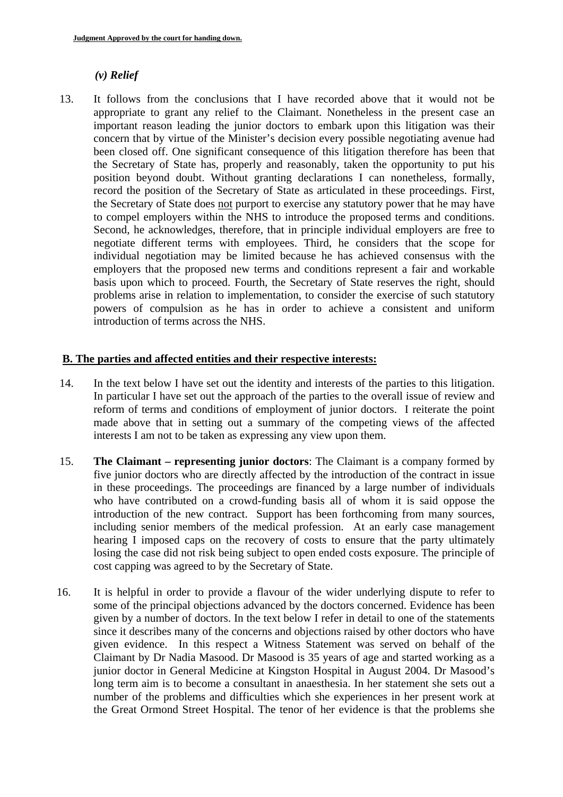# *(v) Relief*

13. It follows from the conclusions that I have recorded above that it would not be appropriate to grant any relief to the Claimant. Nonetheless in the present case an important reason leading the junior doctors to embark upon this litigation was their concern that by virtue of the Minister's decision every possible negotiating avenue had been closed off. One significant consequence of this litigation therefore has been that the Secretary of State has, properly and reasonably, taken the opportunity to put his position beyond doubt. Without granting declarations I can nonetheless, formally, record the position of the Secretary of State as articulated in these proceedings. First, the Secretary of State does not purport to exercise any statutory power that he may have to compel employers within the NHS to introduce the proposed terms and conditions. Second, he acknowledges, therefore, that in principle individual employers are free to negotiate different terms with employees. Third, he considers that the scope for individual negotiation may be limited because he has achieved consensus with the employers that the proposed new terms and conditions represent a fair and workable basis upon which to proceed. Fourth, the Secretary of State reserves the right, should problems arise in relation to implementation, to consider the exercise of such statutory powers of compulsion as he has in order to achieve a consistent and uniform introduction of terms across the NHS.

## **B. The parties and affected entities and their respective interests:**

- 14. In the text below I have set out the identity and interests of the parties to this litigation. In particular I have set out the approach of the parties to the overall issue of review and reform of terms and conditions of employment of junior doctors. I reiterate the point made above that in setting out a summary of the competing views of the affected interests I am not to be taken as expressing any view upon them.
- 15. **The Claimant representing junior doctors**: The Claimant is a company formed by five junior doctors who are directly affected by the introduction of the contract in issue in these proceedings. The proceedings are financed by a large number of individuals who have contributed on a crowd-funding basis all of whom it is said oppose the introduction of the new contract. Support has been forthcoming from many sources, including senior members of the medical profession. At an early case management hearing I imposed caps on the recovery of costs to ensure that the party ultimately losing the case did not risk being subject to open ended costs exposure. The principle of cost capping was agreed to by the Secretary of State.
- 16. It is helpful in order to provide a flavour of the wider underlying dispute to refer to some of the principal objections advanced by the doctors concerned. Evidence has been given by a number of doctors. In the text below I refer in detail to one of the statements since it describes many of the concerns and objections raised by other doctors who have given evidence. In this respect a Witness Statement was served on behalf of the Claimant by Dr Nadia Masood. Dr Masood is 35 years of age and started working as a junior doctor in General Medicine at Kingston Hospital in August 2004. Dr Masood's long term aim is to become a consultant in anaesthesia. In her statement she sets out a number of the problems and difficulties which she experiences in her present work at the Great Ormond Street Hospital. The tenor of her evidence is that the problems she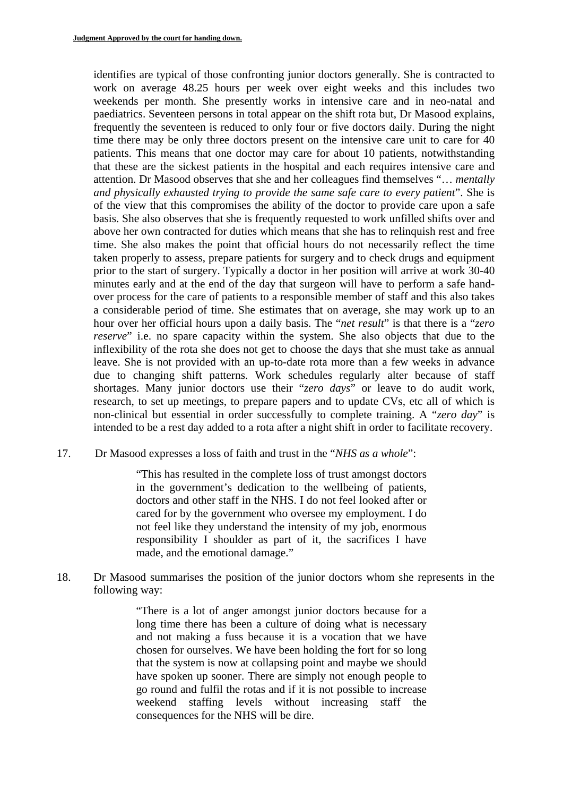identifies are typical of those confronting junior doctors generally. She is contracted to work on average 48.25 hours per week over eight weeks and this includes two weekends per month. She presently works in intensive care and in neo-natal and paediatrics. Seventeen persons in total appear on the shift rota but, Dr Masood explains, frequently the seventeen is reduced to only four or five doctors daily. During the night time there may be only three doctors present on the intensive care unit to care for 40 patients. This means that one doctor may care for about 10 patients, notwithstanding that these are the sickest patients in the hospital and each requires intensive care and attention. Dr Masood observes that she and her colleagues find themselves "… *mentally and physically exhausted trying to provide the same safe care to every patient*". She is of the view that this compromises the ability of the doctor to provide care upon a safe basis. She also observes that she is frequently requested to work unfilled shifts over and above her own contracted for duties which means that she has to relinquish rest and free time. She also makes the point that official hours do not necessarily reflect the time taken properly to assess, prepare patients for surgery and to check drugs and equipment prior to the start of surgery. Typically a doctor in her position will arrive at work 30-40 minutes early and at the end of the day that surgeon will have to perform a safe handover process for the care of patients to a responsible member of staff and this also takes a considerable period of time. She estimates that on average, she may work up to an hour over her official hours upon a daily basis. The "*net result*" is that there is a "*zero reserve*" i.e. no spare capacity within the system. She also objects that due to the inflexibility of the rota she does not get to choose the days that she must take as annual leave. She is not provided with an up-to-date rota more than a few weeks in advance due to changing shift patterns. Work schedules regularly alter because of staff shortages. Many junior doctors use their "*zero days*" or leave to do audit work, research, to set up meetings, to prepare papers and to update CVs, etc all of which is non-clinical but essential in order successfully to complete training. A "*zero day*" is intended to be a rest day added to a rota after a night shift in order to facilitate recovery.

17. Dr Masood expresses a loss of faith and trust in the "*NHS as a whole*":

"This has resulted in the complete loss of trust amongst doctors in the government's dedication to the wellbeing of patients, doctors and other staff in the NHS. I do not feel looked after or cared for by the government who oversee my employment. I do not feel like they understand the intensity of my job, enormous responsibility I shoulder as part of it, the sacrifices I have made, and the emotional damage."

18. Dr Masood summarises the position of the junior doctors whom she represents in the following way:

> "There is a lot of anger amongst junior doctors because for a long time there has been a culture of doing what is necessary and not making a fuss because it is a vocation that we have chosen for ourselves. We have been holding the fort for so long that the system is now at collapsing point and maybe we should have spoken up sooner. There are simply not enough people to go round and fulfil the rotas and if it is not possible to increase weekend staffing levels without increasing staff the consequences for the NHS will be dire.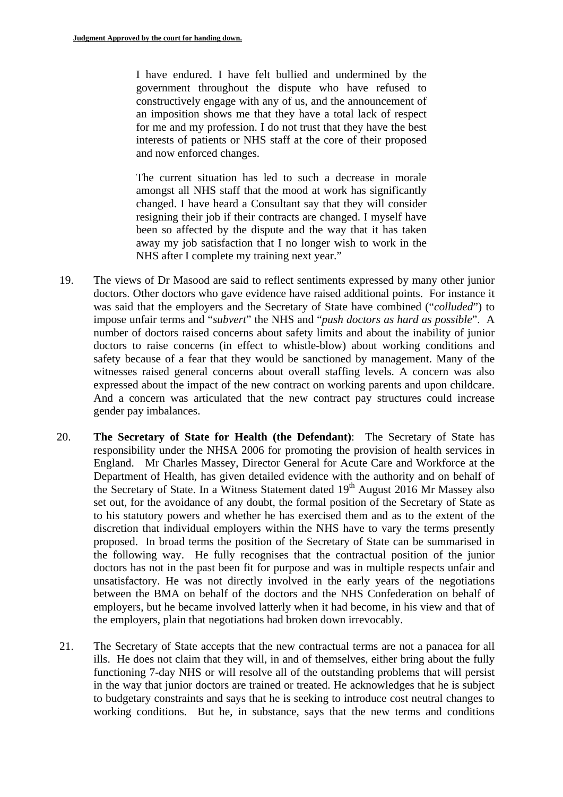I have endured. I have felt bullied and undermined by the government throughout the dispute who have refused to constructively engage with any of us, and the announcement of an imposition shows me that they have a total lack of respect for me and my profession. I do not trust that they have the best interests of patients or NHS staff at the core of their proposed and now enforced changes.

The current situation has led to such a decrease in morale amongst all NHS staff that the mood at work has significantly changed. I have heard a Consultant say that they will consider resigning their job if their contracts are changed. I myself have been so affected by the dispute and the way that it has taken away my job satisfaction that I no longer wish to work in the NHS after I complete my training next year."

- 19. The views of Dr Masood are said to reflect sentiments expressed by many other junior doctors. Other doctors who gave evidence have raised additional points. For instance it was said that the employers and the Secretary of State have combined ("*colluded*") to impose unfair terms and "*subvert*" the NHS and "*push doctors as hard as possible*". A number of doctors raised concerns about safety limits and about the inability of junior doctors to raise concerns (in effect to whistle-blow) about working conditions and safety because of a fear that they would be sanctioned by management. Many of the witnesses raised general concerns about overall staffing levels. A concern was also expressed about the impact of the new contract on working parents and upon childcare. And a concern was articulated that the new contract pay structures could increase gender pay imbalances.
- 20. **The Secretary of State for Health (the Defendant)**: The Secretary of State has responsibility under the NHSA 2006 for promoting the provision of health services in England. Mr Charles Massey, Director General for Acute Care and Workforce at the Department of Health, has given detailed evidence with the authority and on behalf of the Secretary of State. In a Witness Statement dated 19<sup>th</sup> August 2016 Mr Massey also set out, for the avoidance of any doubt, the formal position of the Secretary of State as to his statutory powers and whether he has exercised them and as to the extent of the discretion that individual employers within the NHS have to vary the terms presently proposed. In broad terms the position of the Secretary of State can be summarised in the following way. He fully recognises that the contractual position of the junior doctors has not in the past been fit for purpose and was in multiple respects unfair and unsatisfactory. He was not directly involved in the early years of the negotiations between the BMA on behalf of the doctors and the NHS Confederation on behalf of employers, but he became involved latterly when it had become, in his view and that of the employers, plain that negotiations had broken down irrevocably.
- 21. The Secretary of State accepts that the new contractual terms are not a panacea for all ills. He does not claim that they will, in and of themselves, either bring about the fully functioning 7-day NHS or will resolve all of the outstanding problems that will persist in the way that junior doctors are trained or treated. He acknowledges that he is subject to budgetary constraints and says that he is seeking to introduce cost neutral changes to working conditions. But he, in substance, says that the new terms and conditions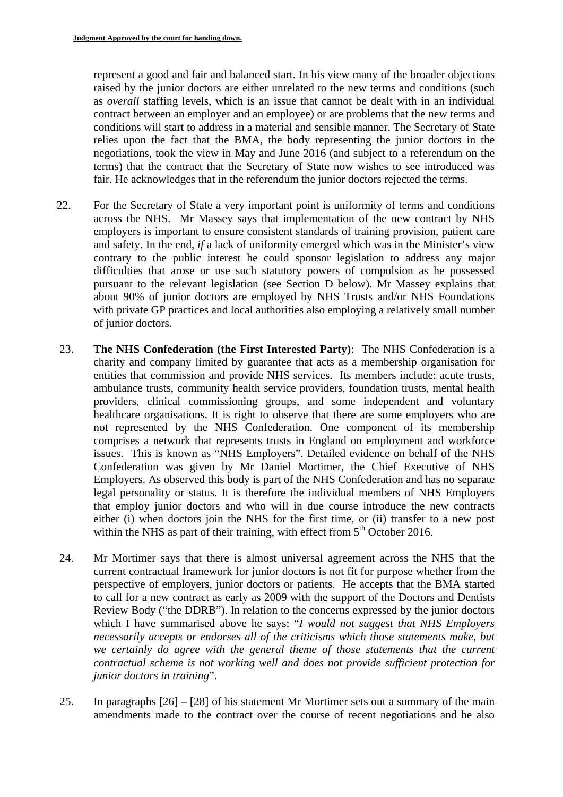represent a good and fair and balanced start. In his view many of the broader objections raised by the junior doctors are either unrelated to the new terms and conditions (such as *overall* staffing levels, which is an issue that cannot be dealt with in an individual contract between an employer and an employee) or are problems that the new terms and conditions will start to address in a material and sensible manner. The Secretary of State relies upon the fact that the BMA, the body representing the junior doctors in the negotiations, took the view in May and June 2016 (and subject to a referendum on the terms) that the contract that the Secretary of State now wishes to see introduced was fair. He acknowledges that in the referendum the junior doctors rejected the terms.

- 22. For the Secretary of State a very important point is uniformity of terms and conditions across the NHS. Mr Massey says that implementation of the new contract by NHS employers is important to ensure consistent standards of training provision, patient care and safety. In the end, *if* a lack of uniformity emerged which was in the Minister's view contrary to the public interest he could sponsor legislation to address any major difficulties that arose or use such statutory powers of compulsion as he possessed pursuant to the relevant legislation (see Section D below). Mr Massey explains that about 90% of junior doctors are employed by NHS Trusts and/or NHS Foundations with private GP practices and local authorities also employing a relatively small number of junior doctors.
- 23. **The NHS Confederation (the First Interested Party)**: The NHS Confederation is a charity and company limited by guarantee that acts as a membership organisation for entities that commission and provide NHS services. Its members include: acute trusts, ambulance trusts, community health service providers, foundation trusts, mental health providers, clinical commissioning groups, and some independent and voluntary healthcare organisations. It is right to observe that there are some employers who are not represented by the NHS Confederation. One component of its membership comprises a network that represents trusts in England on employment and workforce issues. This is known as "NHS Employers". Detailed evidence on behalf of the NHS Confederation was given by Mr Daniel Mortimer, the Chief Executive of NHS Employers. As observed this body is part of the NHS Confederation and has no separate legal personality or status. It is therefore the individual members of NHS Employers that employ junior doctors and who will in due course introduce the new contracts either (i) when doctors join the NHS for the first time, or (ii) transfer to a new post within the NHS as part of their training, with effect from  $5<sup>th</sup>$  October 2016.
- 24. Mr Mortimer says that there is almost universal agreement across the NHS that the current contractual framework for junior doctors is not fit for purpose whether from the perspective of employers, junior doctors or patients. He accepts that the BMA started to call for a new contract as early as 2009 with the support of the Doctors and Dentists Review Body ("the DDRB"). In relation to the concerns expressed by the junior doctors which I have summarised above he says: "*I would not suggest that NHS Employers necessarily accepts or endorses all of the criticisms which those statements make, but*  we certainly do agree with the general theme of those statements that the current *contractual scheme is not working well and does not provide sufficient protection for junior doctors in training*".
- 25. In paragraphs [26] [28] of his statement Mr Mortimer sets out a summary of the main amendments made to the contract over the course of recent negotiations and he also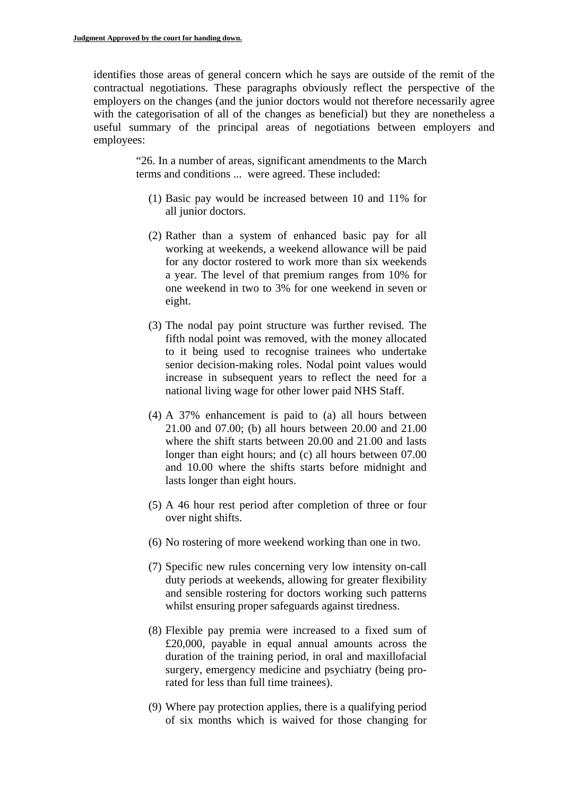identifies those areas of general concern which he says are outside of the remit of the contractual negotiations. These paragraphs obviously reflect the perspective of the employers on the changes (and the junior doctors would not therefore necessarily agree with the categorisation of all of the changes as beneficial) but they are nonetheless a useful summary of the principal areas of negotiations between employers and employees:

> "26. In a number of areas, significant amendments to the March terms and conditions ... were agreed. These included:

- (1) Basic pay would be increased between 10 and 11% for all junior doctors.
- (2) Rather than a system of enhanced basic pay for all working at weekends, a weekend allowance will be paid for any doctor rostered to work more than six weekends a year. The level of that premium ranges from 10% for one weekend in two to 3% for one weekend in seven or eight.
- (3) The nodal pay point structure was further revised. The fifth nodal point was removed, with the money allocated to it being used to recognise trainees who undertake senior decision-making roles. Nodal point values would increase in subsequent years to reflect the need for a national living wage for other lower paid NHS Staff.
- (4) A 37% enhancement is paid to (a) all hours between 21.00 and 07.00; (b) all hours between 20.00 and 21.00 where the shift starts between 20.00 and 21.00 and lasts longer than eight hours; and (c) all hours between 07.00 and 10.00 where the shifts starts before midnight and lasts longer than eight hours.
- (5) A 46 hour rest period after completion of three or four over night shifts.
- (6) No rostering of more weekend working than one in two.
- (7) Specific new rules concerning very low intensity on-call duty periods at weekends, allowing for greater flexibility and sensible rostering for doctors working such patterns whilst ensuring proper safeguards against tiredness.
- (8) Flexible pay premia were increased to a fixed sum of £20,000, payable in equal annual amounts across the duration of the training period, in oral and maxillofacial surgery, emergency medicine and psychiatry (being prorated for less than full time trainees).
- (9) Where pay protection applies, there is a qualifying period of six months which is waived for those changing for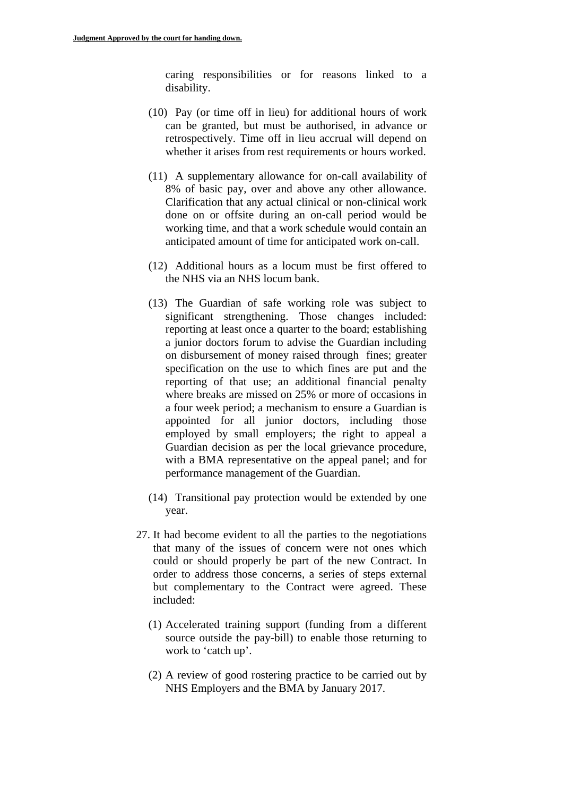caring responsibilities or for reasons linked to a disability.

- (10) Pay (or time off in lieu) for additional hours of work can be granted, but must be authorised, in advance or retrospectively. Time off in lieu accrual will depend on whether it arises from rest requirements or hours worked.
- (11) A supplementary allowance for on-call availability of 8% of basic pay, over and above any other allowance. Clarification that any actual clinical or non-clinical work done on or offsite during an on-call period would be working time, and that a work schedule would contain an anticipated amount of time for anticipated work on-call.
- (12) Additional hours as a locum must be first offered to the NHS via an NHS locum bank.
- (13) The Guardian of safe working role was subject to significant strengthening. Those changes included: reporting at least once a quarter to the board; establishing a junior doctors forum to advise the Guardian including on disbursement of money raised through fines; greater specification on the use to which fines are put and the reporting of that use; an additional financial penalty where breaks are missed on 25% or more of occasions in a four week period; a mechanism to ensure a Guardian is appointed for all junior doctors, including those employed by small employers; the right to appeal a Guardian decision as per the local grievance procedure, with a BMA representative on the appeal panel; and for performance management of the Guardian.
- (14) Transitional pay protection would be extended by one year.
- 27. It had become evident to all the parties to the negotiations that many of the issues of concern were not ones which could or should properly be part of the new Contract. In order to address those concerns, a series of steps external but complementary to the Contract were agreed. These included:
	- (1) Accelerated training support (funding from a different source outside the pay-bill) to enable those returning to work to 'catch up'.
	- (2) A review of good rostering practice to be carried out by NHS Employers and the BMA by January 2017.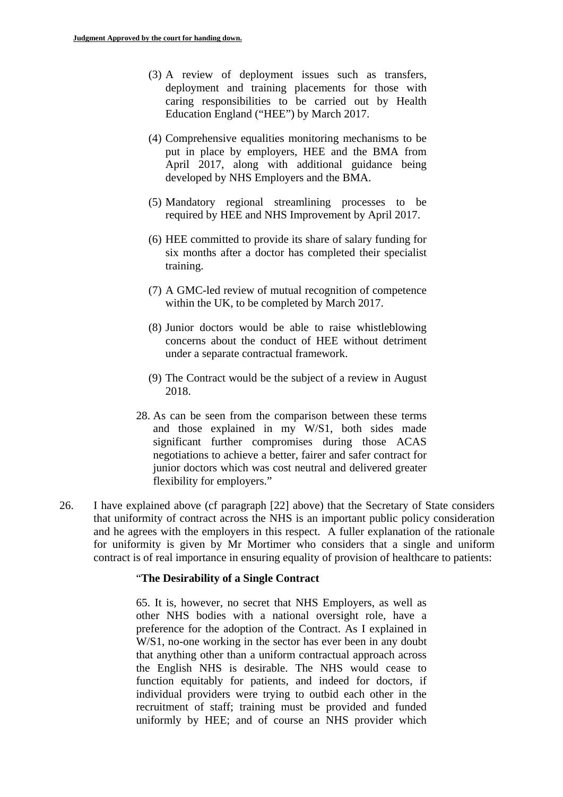- (3) A review of deployment issues such as transfers, deployment and training placements for those with caring responsibilities to be carried out by Health Education England ("HEE") by March 2017.
- (4) Comprehensive equalities monitoring mechanisms to be put in place by employers, HEE and the BMA from April 2017, along with additional guidance being developed by NHS Employers and the BMA.
- (5) Mandatory regional streamlining processes to be required by HEE and NHS Improvement by April 2017.
- (6) HEE committed to provide its share of salary funding for six months after a doctor has completed their specialist training.
- (7) A GMC-led review of mutual recognition of competence within the UK, to be completed by March 2017.
- (8) Junior doctors would be able to raise whistleblowing concerns about the conduct of HEE without detriment under a separate contractual framework.
- (9) The Contract would be the subject of a review in August 2018.
- 28. As can be seen from the comparison between these terms and those explained in my W/S1, both sides made significant further compromises during those ACAS negotiations to achieve a better, fairer and safer contract for junior doctors which was cost neutral and delivered greater flexibility for employers."
- 26. I have explained above (cf paragraph [22] above) that the Secretary of State considers that uniformity of contract across the NHS is an important public policy consideration and he agrees with the employers in this respect. A fuller explanation of the rationale for uniformity is given by Mr Mortimer who considers that a single and uniform contract is of real importance in ensuring equality of provision of healthcare to patients:

#### "**The Desirability of a Single Contract**

65. It is, however, no secret that NHS Employers, as well as other NHS bodies with a national oversight role, have a preference for the adoption of the Contract. As I explained in W/S1, no-one working in the sector has ever been in any doubt that anything other than a uniform contractual approach across the English NHS is desirable. The NHS would cease to function equitably for patients, and indeed for doctors, if individual providers were trying to outbid each other in the recruitment of staff; training must be provided and funded uniformly by HEE; and of course an NHS provider which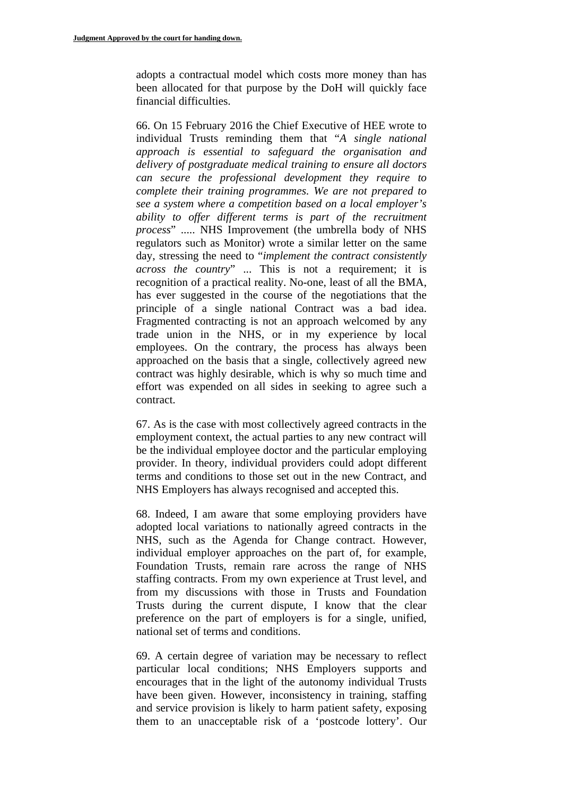adopts a contractual model which costs more money than has been allocated for that purpose by the DoH will quickly face financial difficulties.

66. On 15 February 2016 the Chief Executive of HEE wrote to individual Trusts reminding them that "*A single national approach is essential to safeguard the organisation and delivery of postgraduate medical training to ensure all doctors can secure the professional development they require to complete their training programmes. We are not prepared to see a system where a competition based on a local employer's ability to offer different terms is part of the recruitment process*" ..... NHS Improvement (the umbrella body of NHS regulators such as Monitor) wrote a similar letter on the same day, stressing the need to "*implement the contract consistently across the country*" ... This is not a requirement; it is recognition of a practical reality. No-one, least of all the BMA, has ever suggested in the course of the negotiations that the principle of a single national Contract was a bad idea. Fragmented contracting is not an approach welcomed by any trade union in the NHS, or in my experience by local employees. On the contrary, the process has always been approached on the basis that a single, collectively agreed new contract was highly desirable, which is why so much time and effort was expended on all sides in seeking to agree such a contract.

67. As is the case with most collectively agreed contracts in the employment context, the actual parties to any new contract will be the individual employee doctor and the particular employing provider. In theory, individual providers could adopt different terms and conditions to those set out in the new Contract, and NHS Employers has always recognised and accepted this.

68. Indeed, I am aware that some employing providers have adopted local variations to nationally agreed contracts in the NHS, such as the Agenda for Change contract. However, individual employer approaches on the part of, for example, Foundation Trusts, remain rare across the range of NHS staffing contracts. From my own experience at Trust level, and from my discussions with those in Trusts and Foundation Trusts during the current dispute, I know that the clear preference on the part of employers is for a single, unified, national set of terms and conditions.

69. A certain degree of variation may be necessary to reflect particular local conditions; NHS Employers supports and encourages that in the light of the autonomy individual Trusts have been given. However, inconsistency in training, staffing and service provision is likely to harm patient safety, exposing them to an unacceptable risk of a 'postcode lottery'. Our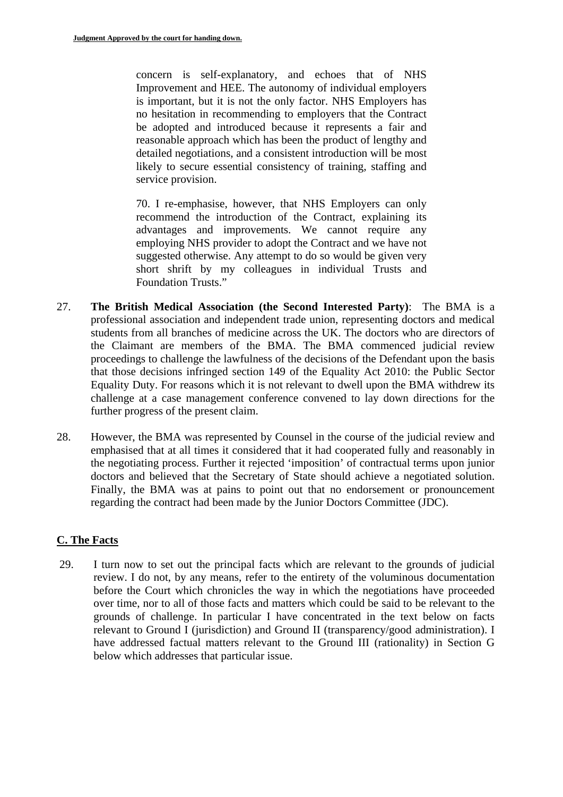concern is self-explanatory, and echoes that of NHS Improvement and HEE. The autonomy of individual employers is important, but it is not the only factor. NHS Employers has no hesitation in recommending to employers that the Contract be adopted and introduced because it represents a fair and reasonable approach which has been the product of lengthy and detailed negotiations, and a consistent introduction will be most likely to secure essential consistency of training, staffing and service provision.

70. I re-emphasise, however, that NHS Employers can only recommend the introduction of the Contract, explaining its advantages and improvements. We cannot require any employing NHS provider to adopt the Contract and we have not suggested otherwise. Any attempt to do so would be given very short shrift by my colleagues in individual Trusts and Foundation Trusts."

- further progress of the present claim. 27. **The British Medical Association (the Second Interested Party)**: The BMA is a professional association and independent trade union, representing doctors and medical students from all branches of medicine across the UK. The doctors who are directors of the Claimant are members of the BMA. The BMA commenced judicial review proceedings to challenge the lawfulness of the decisions of the Defendant upon the basis that those decisions infringed section 149 of the Equality Act 2010: the Public Sector Equality Duty. For reasons which it is not relevant to dwell upon the BMA withdrew its challenge at a case management conference convened to lay down directions for the
- 28. However, the BMA was represented by Counsel in the course of the judicial review and emphasised that at all times it considered that it had cooperated fully and reasonably in the negotiating process. Further it rejected 'imposition' of contractual terms upon junior doctors and believed that the Secretary of State should achieve a negotiated solution. Finally, the BMA was at pains to point out that no endorsement or pronouncement regarding the contract had been made by the Junior Doctors Committee (JDC).

# **C. The Facts**

29. I turn now to set out the principal facts which are relevant to the grounds of judicial review. I do not, by any means, refer to the entirety of the voluminous documentation before the Court which chronicles the way in which the negotiations have proceeded over time, nor to all of those facts and matters which could be said to be relevant to the grounds of challenge. In particular I have concentrated in the text below on facts relevant to Ground I (jurisdiction) and Ground II (transparency/good administration). I have addressed factual matters relevant to the Ground III (rationality) in Section G below which addresses that particular issue.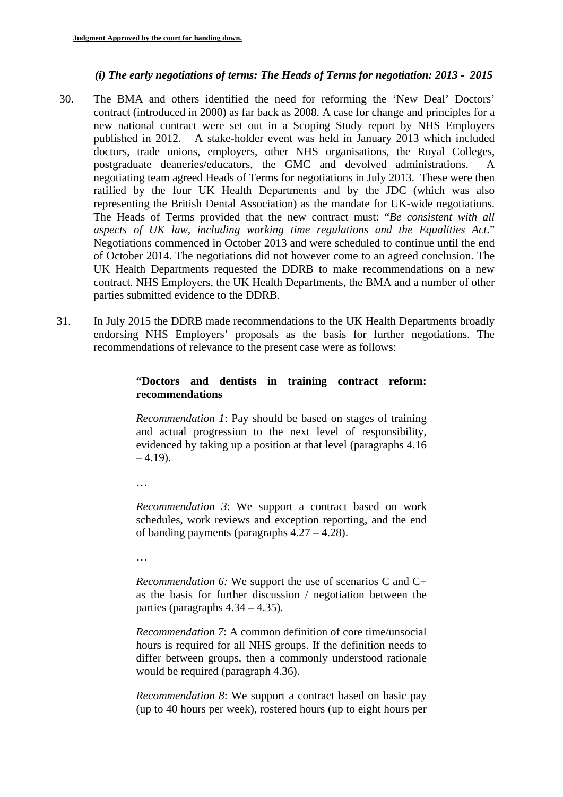## *(i) The early negotiations of terms: The Heads of Terms for negotiation: 2013 - 2015*

- 30. The BMA and others identified the need for reforming the 'New Deal' Doctors' contract (introduced in 2000) as far back as 2008. A case for change and principles for a new national contract were set out in a Scoping Study report by NHS Employers published in 2012. A stake-holder event was held in January 2013 which included doctors, trade unions, employers, other NHS organisations, the Royal Colleges, postgraduate deaneries/educators, the GMC and devolved administrations. A negotiating team agreed Heads of Terms for negotiations in July 2013. These were then ratified by the four UK Health Departments and by the JDC (which was also representing the British Dental Association) as the mandate for UK-wide negotiations. The Heads of Terms provided that the new contract must: "*Be consistent with all aspects of UK law, including working time regulations and the Equalities Act*." Negotiations commenced in October 2013 and were scheduled to continue until the end of October 2014. The negotiations did not however come to an agreed conclusion. The UK Health Departments requested the DDRB to make recommendations on a new contract. NHS Employers, the UK Health Departments, the BMA and a number of other parties submitted evidence to the DDRB.
- 31. In July 2015 the DDRB made recommendations to the UK Health Departments broadly endorsing NHS Employers' proposals as the basis for further negotiations. The recommendations of relevance to the present case were as follows:

## **"Doctors and dentists in training contract reform: recommendations**

*Recommendation 1*: Pay should be based on stages of training and actual progression to the next level of responsibility, evidenced by taking up a position at that level (paragraphs 4.16  $-4.19$ ).

…

*Recommendation 3*: We support a contract based on work schedules, work reviews and exception reporting, and the end of banding payments (paragraphs 4.27 – 4.28).

…

*Recommendation 6:* We support the use of scenarios C and C+ as the basis for further discussion / negotiation between the parties (paragraphs  $4.34 - 4.35$ ).

*Recommendation 7*: A common definition of core time/unsocial hours is required for all NHS groups. If the definition needs to differ between groups, then a commonly understood rationale would be required (paragraph 4.36).

*Recommendation 8*: We support a contract based on basic pay (up to 40 hours per week), rostered hours (up to eight hours per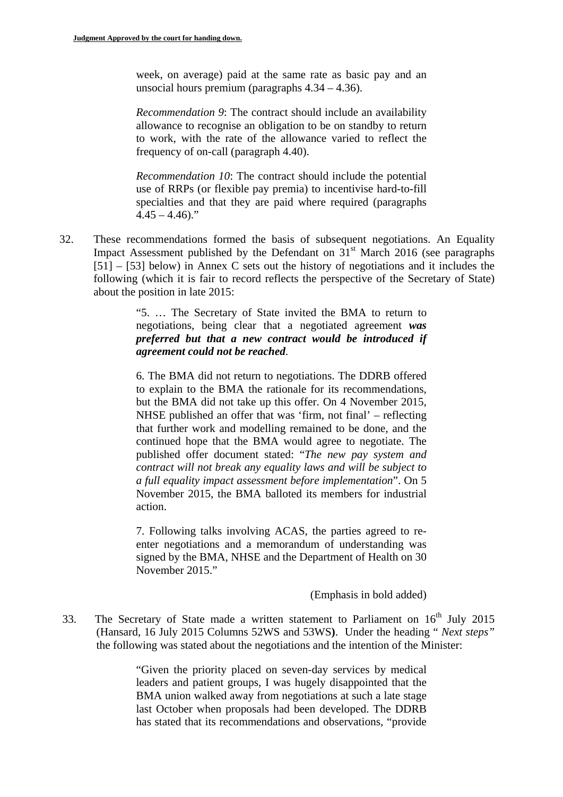week, on average) paid at the same rate as basic pay and an unsocial hours premium (paragraphs 4.34 – 4.36).

*Recommendation 9*: The contract should include an availability allowance to recognise an obligation to be on standby to return to work, with the rate of the allowance varied to reflect the frequency of on-call (paragraph 4.40).

*Recommendation 10*: The contract should include the potential use of RRPs (or flexible pay premia) to incentivise hard-to-fill specialties and that they are paid where required (paragraphs  $4.45 - 4.46$ ."

32. These recommendations formed the basis of subsequent negotiations. An Equality Impact Assessment published by the Defendant on  $31<sup>st</sup>$  March 2016 (see paragraphs [51] – [53] below) in Annex C sets out the history of negotiations and it includes the following (which it is fair to record reflects the perspective of the Secretary of State) about the position in late 2015:

> "5. … The Secretary of State invited the BMA to return to negotiations, being clear that a negotiated agreement *was preferred but that a new contract would be introduced if agreement could not be reached*.

> 6. The BMA did not return to negotiations. The DDRB offered to explain to the BMA the rationale for its recommendations, but the BMA did not take up this offer. On 4 November 2015, NHSE published an offer that was 'firm, not final' – reflecting that further work and modelling remained to be done, and the continued hope that the BMA would agree to negotiate. The published offer document stated: "*The new pay system and contract will not break any equality laws and will be subject to a full equality impact assessment before implementation*". On 5 November 2015, the BMA balloted its members for industrial action.

> 7. Following talks involving ACAS, the parties agreed to reenter negotiations and a memorandum of understanding was signed by the BMA, NHSE and the Department of Health on 30 November 2015."

> > (Emphasis in bold added)

33. The Secretary of State made a written statement to Parliament on 16<sup>th</sup> July 2015 (Hansard, 16 July 2015 Columns 52WS and 53WS**)**. Under the heading " *Next steps"*  the following was stated about the negotiations and the intention of the Minister:

> "Given the priority placed on seven-day services by medical leaders and patient groups, I was hugely disappointed that the BMA union walked away from negotiations at such a late stage last October when proposals had been developed. The DDRB has stated that its recommendations and observations, "provide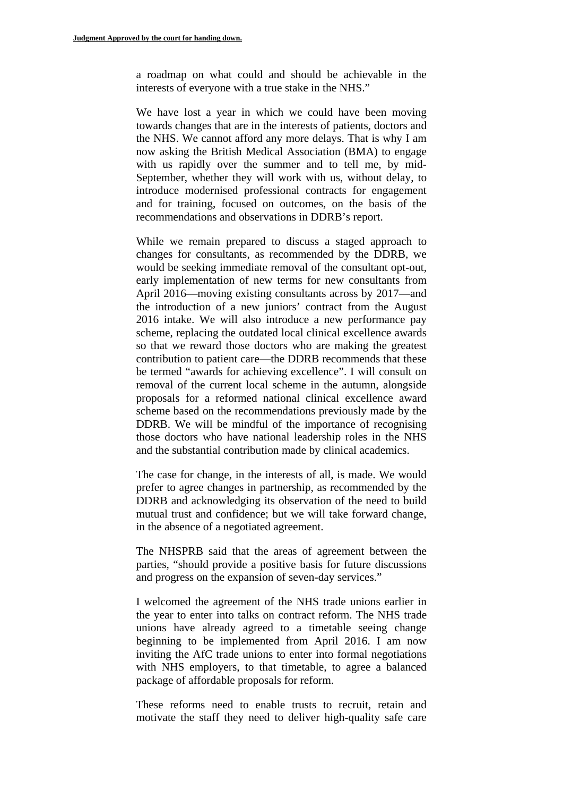a roadmap on what could and should be achievable in the interests of everyone with a true stake in the NHS."

We have lost a year in which we could have been moving towards changes that are in the interests of patients, doctors and the NHS. We cannot afford any more delays. That is why I am now asking the British Medical Association (BMA) to engage with us rapidly over the summer and to tell me, by mid-September, whether they will work with us, without delay, to introduce modernised professional contracts for engagement and for training, focused on outcomes, on the basis of the recommendations and observations in DDRB's report.

While we remain prepared to discuss a staged approach to changes for consultants, as recommended by the DDRB, we would be seeking immediate removal of the consultant opt-out, early implementation of new terms for new consultants from April 2016—moving existing consultants across by 2017—and the introduction of a new juniors' contract from the August 2016 intake. We will also introduce a new performance pay scheme, replacing the outdated local clinical excellence awards so that we reward those doctors who are making the greatest contribution to patient care—the DDRB recommends that these be termed "awards for achieving excellence". I will consult on removal of the current local scheme in the autumn, alongside proposals for a reformed national clinical excellence award scheme based on the recommendations previously made by the DDRB. We will be mindful of the importance of recognising those doctors who have national leadership roles in the NHS and the substantial contribution made by clinical academics.

The case for change, in the interests of all, is made. We would prefer to agree changes in partnership, as recommended by the DDRB and acknowledging its observation of the need to build mutual trust and confidence; but we will take forward change, in the absence of a negotiated agreement.

The NHSPRB said that the areas of agreement between the parties, "should provide a positive basis for future discussions and progress on the expansion of seven-day services."

I welcomed the agreement of the NHS trade unions earlier in the year to enter into talks on contract reform. The NHS trade unions have already agreed to a timetable seeing change beginning to be implemented from April 2016. I am now inviting the AfC trade unions to enter into formal negotiations with NHS employers, to that timetable, to agree a balanced package of affordable proposals for reform.

These reforms need to enable trusts to recruit, retain and motivate the staff they need to deliver high-quality safe care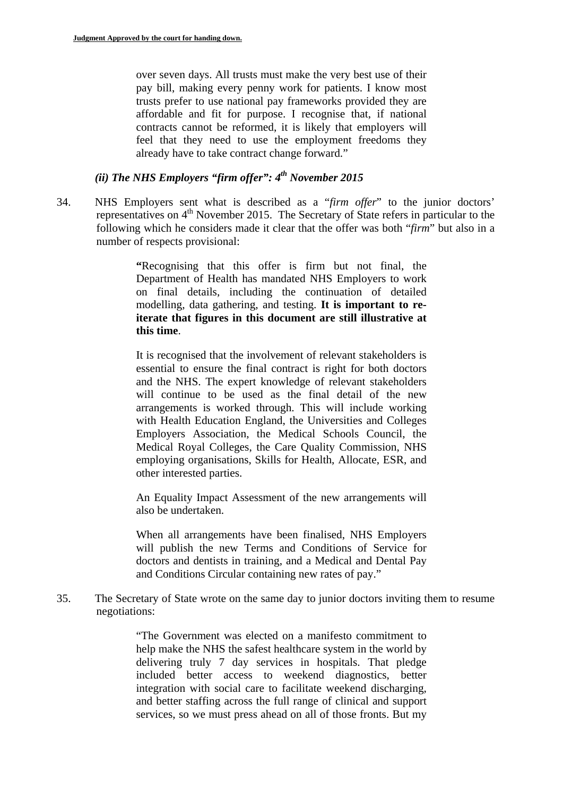over seven days. All trusts must make the very best use of their pay bill, making every penny work for patients. I know most trusts prefer to use national pay frameworks provided they are affordable and fit for purpose. I recognise that, if national contracts cannot be reformed, it is likely that employers will feel that they need to use the employment freedoms they already have to take contract change forward."

# *(ii) The NHS Employers "firm offer": 4<sup>th</sup> November 2015*

34. NHS Employers sent what is described as a "*firm offer*" to the junior doctors' representatives on  $4<sup>th</sup>$  November 2015. The Secretary of State refers in particular to the following which he considers made it clear that the offer was both "*firm*" but also in a number of respects provisional:

> **"**Recognising that this offer is firm but not final, the Department of Health has mandated NHS Employers to work on final details, including the continuation of detailed modelling, data gathering, and testing. **It is important to reiterate that figures in this document are still illustrative at this time**.

> It is recognised that the involvement of relevant stakeholders is essential to ensure the final contract is right for both doctors and the NHS. The expert knowledge of relevant stakeholders will continue to be used as the final detail of the new arrangements is worked through. This will include working with Health Education England, the Universities and Colleges Employers Association, the Medical Schools Council, the Medical Royal Colleges, the Care Quality Commission, NHS employing organisations, Skills for Health, Allocate, ESR, and other interested parties.

> An Equality Impact Assessment of the new arrangements will also be undertaken.

> When all arrangements have been finalised, NHS Employers will publish the new Terms and Conditions of Service for doctors and dentists in training, and a Medical and Dental Pay and Conditions Circular containing new rates of pay."

35. The Secretary of State wrote on the same day to junior doctors inviting them to resume negotiations:

> "The Government was elected on a manifesto commitment to help make the NHS the safest healthcare system in the world by delivering truly 7 day services in hospitals. That pledge included better access to weekend diagnostics, better integration with social care to facilitate weekend discharging, and better staffing across the full range of clinical and support services, so we must press ahead on all of those fronts. But my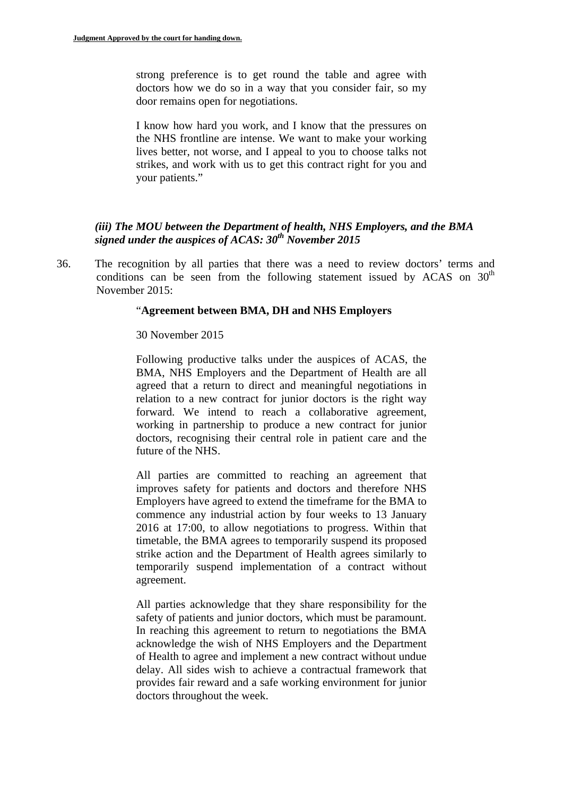strong preference is to get round the table and agree with doctors how we do so in a way that you consider fair, so my door remains open for negotiations.

I know how hard you work, and I know that the pressures on the NHS frontline are intense. We want to make your working lives better, not worse, and I appeal to you to choose talks not strikes, and work with us to get this contract right for you and your patients."

### *(iii) The MOU between the Department of health, NHS Employers, and the BMA signed under the auspices of ACAS: 30<sup>th</sup> November 2015*

36. The recognition by all parties that there was a need to review doctors' terms and conditions can be seen from the following statement issued by ACAS on  $30<sup>th</sup>$ November 2015:

#### "**Agreement between BMA, DH and NHS Employers**

#### 30 November 2015

Following productive talks under the auspices of ACAS, the BMA, NHS Employers and the Department of Health are all agreed that a return to direct and meaningful negotiations in relation to a new contract for junior doctors is the right way forward. We intend to reach a collaborative agreement, working in partnership to produce a new contract for junior doctors, recognising their central role in patient care and the future of the NHS.

All parties are committed to reaching an agreement that improves safety for patients and doctors and therefore NHS Employers have agreed to extend the timeframe for the BMA to commence any industrial action by four weeks to 13 January 2016 at 17:00, to allow negotiations to progress. Within that timetable, the BMA agrees to temporarily suspend its proposed strike action and the Department of Health agrees similarly to temporarily suspend implementation of a contract without agreement.

All parties acknowledge that they share responsibility for the safety of patients and junior doctors, which must be paramount. In reaching this agreement to return to negotiations the BMA acknowledge the wish of NHS Employers and the Department of Health to agree and implement a new contract without undue delay. All sides wish to achieve a contractual framework that provides fair reward and a safe working environment for junior doctors throughout the week.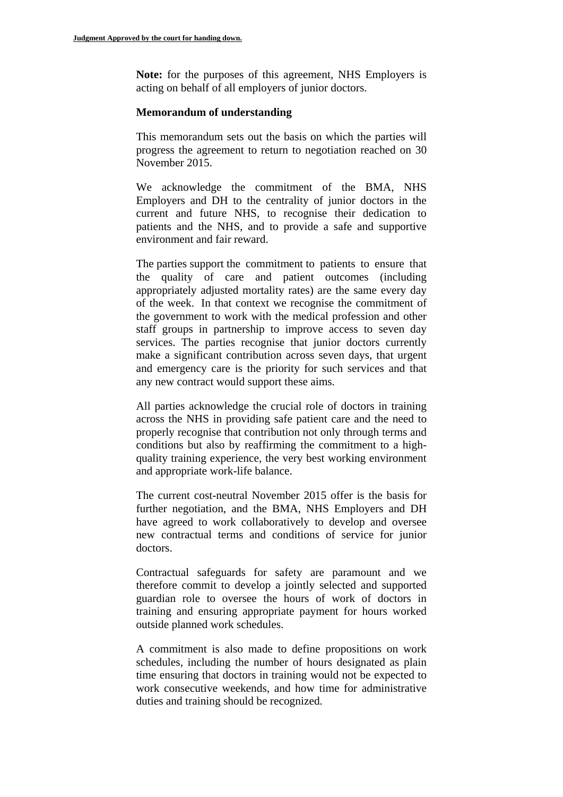**Note:** for the purposes of this agreement, NHS Employers is acting on behalf of all employers of junior doctors.

#### **Memorandum of understanding**

This memorandum sets out the basis on which the parties will progress the agreement to return to negotiation reached on 30 November 2015.

We acknowledge the commitment of the BMA, NHS Employers and DH to the centrality of junior doctors in the current and future NHS, to recognise their dedication to patients and the NHS, and to provide a safe and supportive environment and fair reward.

The parties support the commitment to patients to ensure that the quality of care and patient outcomes (including appropriately adjusted mortality rates) are the same every day of the week. In that context we recognise the commitment of the government to work with the medical profession and other staff groups in partnership to improve access to seven day services. The parties recognise that junior doctors currently make a significant contribution across seven days, that urgent and emergency care is the priority for such services and that any new contract would support these aims.

All parties acknowledge the crucial role of doctors in training across the NHS in providing safe patient care and the need to properly recognise that contribution not only through terms and conditions but also by reaffirming the commitment to a highquality training experience, the very best working environment and appropriate work-life balance.

The current cost-neutral November 2015 offer is the basis for further negotiation, and the BMA, NHS Employers and DH have agreed to work collaboratively to develop and oversee new contractual terms and conditions of service for junior doctors.

Contractual safeguards for safety are paramount and we therefore commit to develop a jointly selected and supported guardian role to oversee the hours of work of doctors in training and ensuring appropriate payment for hours worked outside planned work schedules.

A commitment is also made to define propositions on work schedules, including the number of hours designated as plain time ensuring that doctors in training would not be expected to work consecutive weekends, and how time for administrative duties and training should be recognized.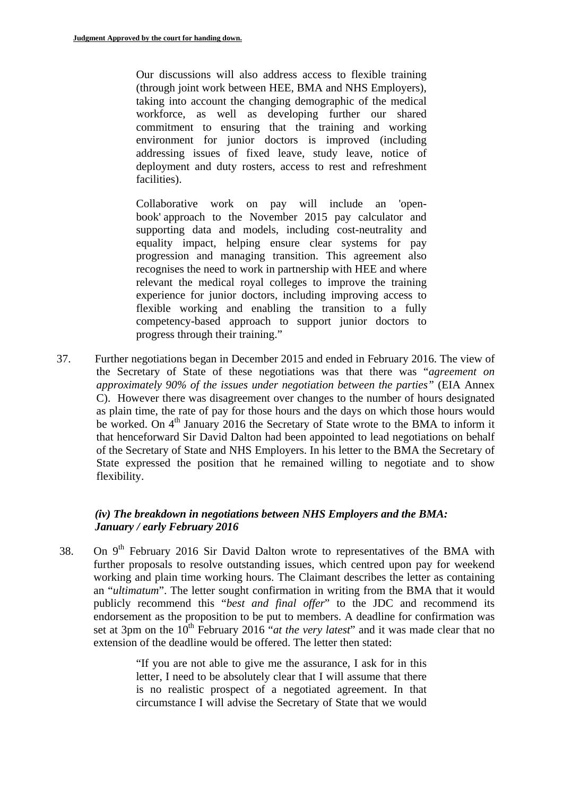Our discussions will also address access to flexible training (through joint work between HEE, BMA and NHS Employers), taking into account the changing demographic of the medical workforce, as well as developing further our shared commitment to ensuring that the training and working environment for junior doctors is improved (including addressing issues of fixed leave, study leave, notice of deployment and duty rosters, access to rest and refreshment facilities).

Collaborative work on pay will include an 'openbook' approach to the November 2015 pay calculator and supporting data and models, including cost-neutrality and equality impact, helping ensure clear systems for pay progression and managing transition. This agreement also recognises the need to work in partnership with HEE and where relevant the medical royal colleges to improve the training experience for junior doctors, including improving access to flexible working and enabling the transition to a fully competency-based approach to support junior doctors to progress through their training."

37. Further negotiations began in December 2015 and ended in February 2016. The view of the Secretary of State of these negotiations was that there was "*agreement on approximately 90% of the issues under negotiation between the parties"* (EIA Annex C). However there was disagreement over changes to the number of hours designated as plain time, the rate of pay for those hours and the days on which those hours would be worked. On 4<sup>th</sup> January 2016 the Secretary of State wrote to the BMA to inform it that henceforward Sir David Dalton had been appointed to lead negotiations on behalf of the Secretary of State and NHS Employers. In his letter to the BMA the Secretary of State expressed the position that he remained willing to negotiate and to show flexibility.

# *(iv) The breakdown in negotiations between NHS Employers and the BMA: January / early February 2016*

38. On  $9<sup>th</sup>$  February 2016 Sir David Dalton wrote to representatives of the BMA with further proposals to resolve outstanding issues, which centred upon pay for weekend working and plain time working hours. The Claimant describes the letter as containing an "*ultimatum*". The letter sought confirmation in writing from the BMA that it would publicly recommend this "*best and final offer*" to the JDC and recommend its endorsement as the proposition to be put to members. A deadline for confirmation was set at 3pm on the  $10^{th}$  February 2016 "*at the very latest*" and it was made clear that no extension of the deadline would be offered. The letter then stated:

> "If you are not able to give me the assurance, I ask for in this letter, I need to be absolutely clear that I will assume that there is no realistic prospect of a negotiated agreement. In that circumstance I will advise the Secretary of State that we would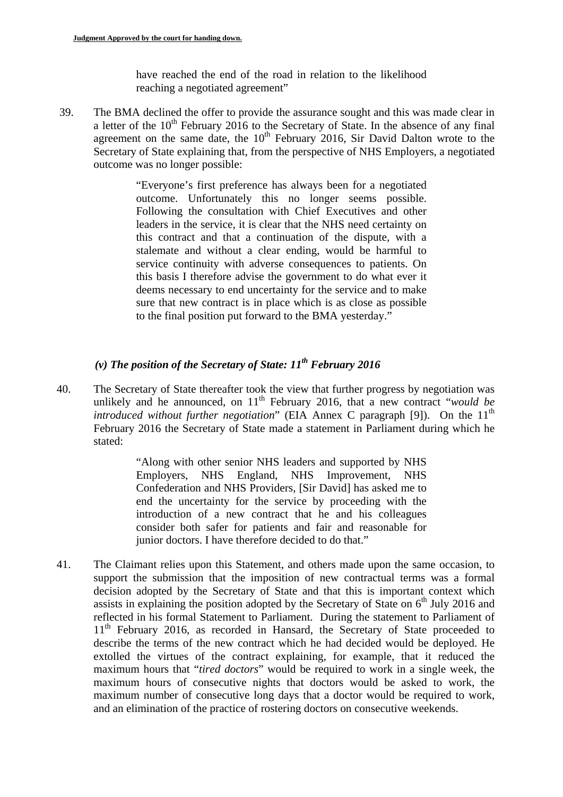have reached the end of the road in relation to the likelihood reaching a negotiated agreement"

39. The BMA declined the offer to provide the assurance sought and this was made clear in a letter of the  $10<sup>th</sup>$  February 2016 to the Secretary of State. In the absence of any final agreement on the same date, the  $10<sup>th</sup>$  February 2016, Sir David Dalton wrote to the Secretary of State explaining that, from the perspective of NHS Employers, a negotiated outcome was no longer possible:

> "Everyone's first preference has always been for a negotiated outcome. Unfortunately this no longer seems possible. Following the consultation with Chief Executives and other leaders in the service, it is clear that the NHS need certainty on this contract and that a continuation of the dispute, with a stalemate and without a clear ending, would be harmful to service continuity with adverse consequences to patients. On this basis I therefore advise the government to do what ever it deems necessary to end uncertainty for the service and to make sure that new contract is in place which is as close as possible to the final position put forward to the BMA yesterday."

# *(v) The position of the Secretary of State: 11th February 2016*

40. The Secretary of State thereafter took the view that further progress by negotiation was unlikely and he announced, on  $11<sup>th</sup>$  February 2016, that a new contract "*would be introduced without further negotiation*" (EIA Annex C paragraph [9]). On the  $11<sup>th</sup>$ February 2016 the Secretary of State made a statement in Parliament during which he stated:

> "Along with other senior NHS leaders and supported by NHS Employers, NHS England, NHS Improvement, NHS Confederation and NHS Providers, [Sir David] has asked me to end the uncertainty for the service by proceeding with the introduction of a new contract that he and his colleagues consider both safer for patients and fair and reasonable for junior doctors. I have therefore decided to do that."

41. The Claimant relies upon this Statement, and others made upon the same occasion, to support the submission that the imposition of new contractual terms was a formal decision adopted by the Secretary of State and that this is important context which assists in explaining the position adopted by the Secretary of State on  $6<sup>th</sup>$  July 2016 and reflected in his formal Statement to Parliament. During the statement to Parliament of  $11<sup>th</sup>$  February 2016, as recorded in Hansard, the Secretary of State proceeded to describe the terms of the new contract which he had decided would be deployed. He extolled the virtues of the contract explaining, for example, that it reduced the maximum hours that "*tired doctors*" would be required to work in a single week, the maximum hours of consecutive nights that doctors would be asked to work, the maximum number of consecutive long days that a doctor would be required to work, and an elimination of the practice of rostering doctors on consecutive weekends.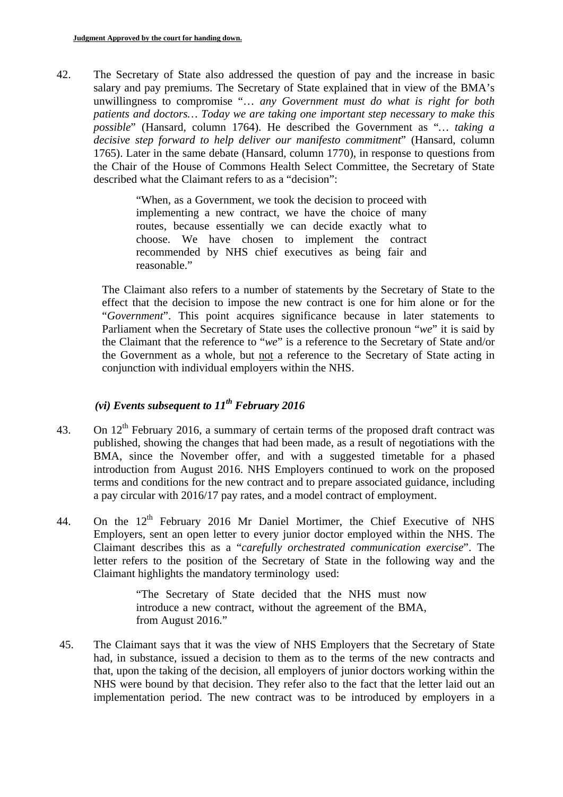42. The Secretary of State also addressed the question of pay and the increase in basic salary and pay premiums. The Secretary of State explained that in view of the BMA's unwillingness to compromise "… *any Government must do what is right for both patients and doctors… Today we are taking one important step necessary to make this possible*" (Hansard, column 1764). He described the Government as "*… taking a decisive step forward to help deliver our manifesto commitment*" (Hansard, column 1765). Later in the same debate (Hansard, column 1770), in response to questions from the Chair of the House of Commons Health Select Committee, the Secretary of State described what the Claimant refers to as a "decision":

> "When, as a Government, we took the decision to proceed with implementing a new contract, we have the choice of many routes, because essentially we can decide exactly what to choose. We have chosen to implement the contract recommended by NHS chief executives as being fair and reasonable."

The Claimant also refers to a number of statements by the Secretary of State to the effect that the decision to impose the new contract is one for him alone or for the "*Government*". This point acquires significance because in later statements to Parliament when the Secretary of State uses the collective pronoun "*we*" it is said by the Claimant that the reference to "*we*" is a reference to the Secretary of State and/or the Government as a whole, but not a reference to the Secretary of State acting in conjunction with individual employers within the NHS.

# *(vi) Events subsequent to*  $11^{th}$  *February 2016*

- 43. On  $12<sup>th</sup>$  February 2016, a summary of certain terms of the proposed draft contract was published, showing the changes that had been made, as a result of negotiations with the BMA, since the November offer, and with a suggested timetable for a phased introduction from August 2016. NHS Employers continued to work on the proposed terms and conditions for the new contract and to prepare associated guidance, including a pay circular with 2016/17 pay rates, and a model contract of employment.
- 44. On the  $12<sup>th</sup>$  February 2016 Mr Daniel Mortimer, the Chief Executive of NHS Employers, sent an open letter to every junior doctor employed within the NHS. The Claimant describes this as a "*carefully orchestrated communication exercise*". The letter refers to the position of the Secretary of State in the following way and the Claimant highlights the mandatory terminology used:

"The Secretary of State decided that the NHS must now introduce a new contract, without the agreement of the BMA, from August 2016."

45. The Claimant says that it was the view of NHS Employers that the Secretary of State had, in substance, issued a decision to them as to the terms of the new contracts and that, upon the taking of the decision, all employers of junior doctors working within the NHS were bound by that decision. They refer also to the fact that the letter laid out an implementation period. The new contract was to be introduced by employers in a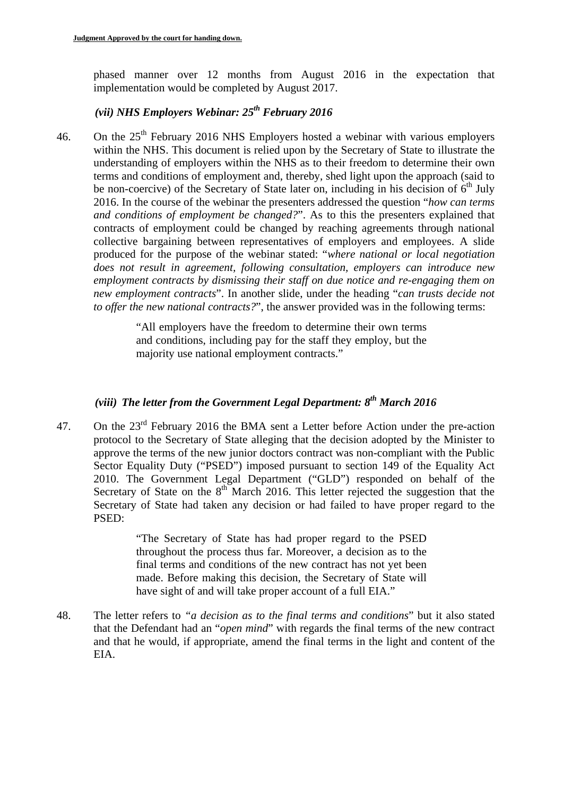phased manner over 12 months from August 2016 in the expectation that implementation would be completed by August 2017.

# *(vii) NHS Employers Webinar: 25th February 2016*

46. On the  $25<sup>th</sup>$  February 2016 NHS Employers hosted a webinar with various employers within the NHS. This document is relied upon by the Secretary of State to illustrate the understanding of employers within the NHS as to their freedom to determine their own terms and conditions of employment and, thereby, shed light upon the approach (said to be non-coercive) of the Secretary of State later on, including in his decision of  $6<sup>th</sup>$  July 2016. In the course of the webinar the presenters addressed the question "*how can terms and conditions of employment be changed?*". As to this the presenters explained that contracts of employment could be changed by reaching agreements through national collective bargaining between representatives of employers and employees. A slide produced for the purpose of the webinar stated: "*where national or local negotiation does not result in agreement, following consultation, employers can introduce new employment contracts by dismissing their staff on due notice and re-engaging them on new employment contracts*". In another slide, under the heading "*can trusts decide not to offer the new national contracts?*", the answer provided was in the following terms:

> "All employers have the freedom to determine their own terms and conditions, including pay for the staff they employ, but the majority use national employment contracts."

# *(viii) The letter from the Government Legal Department: 8th March 2016*

47. On the  $23<sup>rd</sup>$  February 2016 the BMA sent a Letter before Action under the pre-action protocol to the Secretary of State alleging that the decision adopted by the Minister to approve the terms of the new junior doctors contract was non-compliant with the Public Sector Equality Duty ("PSED") imposed pursuant to section 149 of the Equality Act 2010. The Government Legal Department ("GLD") responded on behalf of the Secretary of State on the  $8<sup>th</sup>$  March 2016. This letter rejected the suggestion that the Secretary of State had taken any decision or had failed to have proper regard to the PSED:

> "The Secretary of State has had proper regard to the PSED throughout the process thus far. Moreover, a decision as to the final terms and conditions of the new contract has not yet been made. Before making this decision, the Secretary of State will have sight of and will take proper account of a full EIA."

48. The letter refers to *"a decision as to the final terms and conditions*" but it also stated that the Defendant had an "*open mind*" with regards the final terms of the new contract and that he would, if appropriate, amend the final terms in the light and content of the EIA.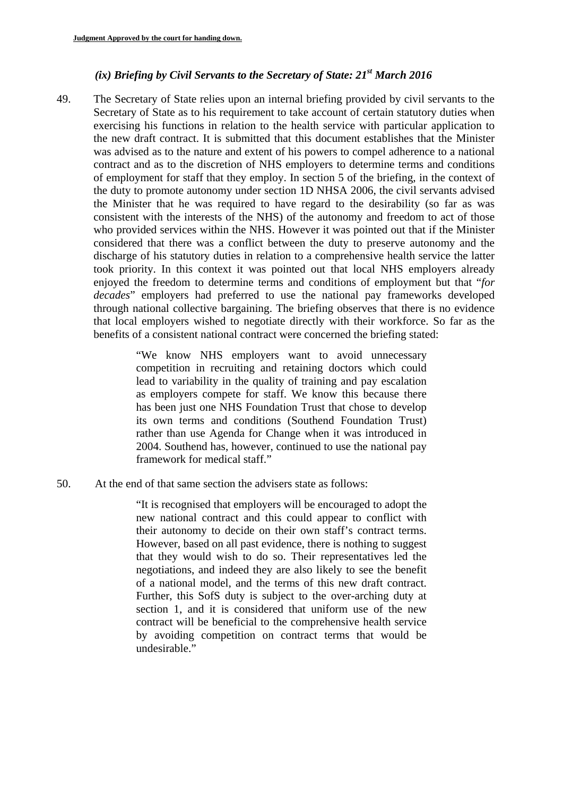### *(ix) Briefing by Civil Servants to the Secretary of State: 21st March 2016*

49. The Secretary of State relies upon an internal briefing provided by civil servants to the Secretary of State as to his requirement to take account of certain statutory duties when exercising his functions in relation to the health service with particular application to the new draft contract. It is submitted that this document establishes that the Minister was advised as to the nature and extent of his powers to compel adherence to a national contract and as to the discretion of NHS employers to determine terms and conditions of employment for staff that they employ. In section 5 of the briefing, in the context of the duty to promote autonomy under section 1D NHSA 2006, the civil servants advised the Minister that he was required to have regard to the desirability (so far as was consistent with the interests of the NHS) of the autonomy and freedom to act of those who provided services within the NHS. However it was pointed out that if the Minister considered that there was a conflict between the duty to preserve autonomy and the discharge of his statutory duties in relation to a comprehensive health service the latter took priority. In this context it was pointed out that local NHS employers already enjoyed the freedom to determine terms and conditions of employment but that "*for decades*" employers had preferred to use the national pay frameworks developed through national collective bargaining. The briefing observes that there is no evidence that local employers wished to negotiate directly with their workforce. So far as the benefits of a consistent national contract were concerned the briefing stated:

> "We know NHS employers want to avoid unnecessary competition in recruiting and retaining doctors which could lead to variability in the quality of training and pay escalation as employers compete for staff. We know this because there has been just one NHS Foundation Trust that chose to develop its own terms and conditions (Southend Foundation Trust) rather than use Agenda for Change when it was introduced in 2004. Southend has, however, continued to use the national pay framework for medical staff."

50. At the end of that same section the advisers state as follows:

"It is recognised that employers will be encouraged to adopt the new national contract and this could appear to conflict with their autonomy to decide on their own staff's contract terms. However, based on all past evidence, there is nothing to suggest that they would wish to do so. Their representatives led the negotiations, and indeed they are also likely to see the benefit of a national model, and the terms of this new draft contract. Further, this SofS duty is subject to the over-arching duty at section 1, and it is considered that uniform use of the new contract will be beneficial to the comprehensive health service by avoiding competition on contract terms that would be undesirable."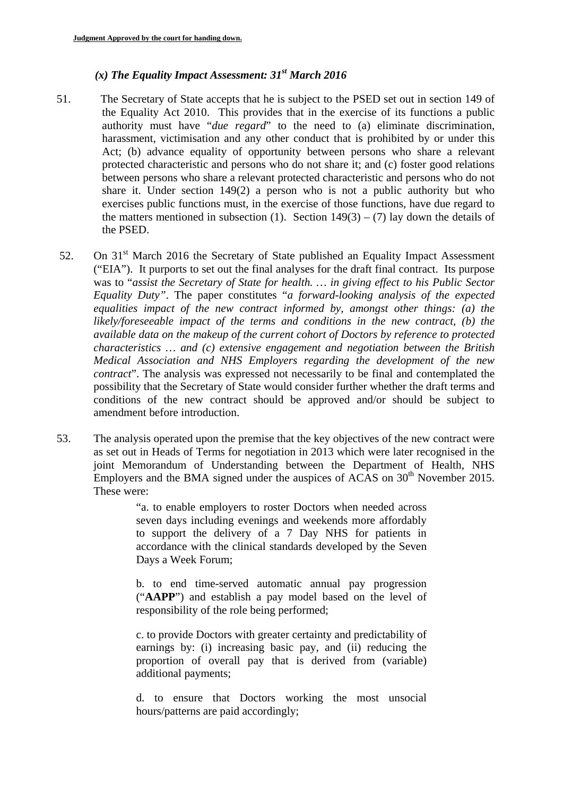# *(x) The Equality Impact Assessment: 31st March 2016*

- 51. The Secretary of State accepts that he is subject to the PSED set out in section 149 of the Equality Act 2010. This provides that in the exercise of its functions a public authority must have "*due regard*" to the need to (a) eliminate discrimination, harassment, victimisation and any other conduct that is prohibited by or under this Act; (b) advance equality of opportunity between persons who share a relevant protected characteristic and persons who do not share it; and (c) foster good relations between persons who share a relevant protected characteristic and persons who do not share it. Under section 149(2) a person who is not a public authority but who exercises public functions must, in the exercise of those functions, have due regard to the matters mentioned in subsection (1). Section  $149(3) - (7)$  lay down the details of the PSED.
- 52. On 31<sup>st</sup> March 2016 the Secretary of State published an Equality Impact Assessment ("EIA"). It purports to set out the final analyses for the draft final contract. Its purpose was to "*assist the Secretary of State for health. … in giving effect to his Public Sector Equality Duty"*. The paper constitutes "*a forward-looking analysis of the expected equalities impact of the new contract informed by, amongst other things: (a) the likely/foreseeable impact of the terms and conditions in the new contract, (b) the available data on the makeup of the current cohort of Doctors by reference to protected characteristics … and (c) extensive engagement and negotiation between the British Medical Association and NHS Employers regarding the development of the new contract*". The analysis was expressed not necessarily to be final and contemplated the possibility that the Secretary of State would consider further whether the draft terms and conditions of the new contract should be approved and/or should be subject to amendment before introduction.
- 53. The analysis operated upon the premise that the key objectives of the new contract were as set out in Heads of Terms for negotiation in 2013 which were later recognised in the joint Memorandum of Understanding between the Department of Health, NHS Employers and the BMA signed under the auspices of  $ACAS$  on  $30<sup>th</sup>$  November 2015. These were:

Days a Week Forum; "a. to enable employers to roster Doctors when needed across seven days including evenings and weekends more affordably to support the delivery of a 7 Day NHS for patients in accordance with the clinical standards developed by the Seven

b. to end time-served automatic annual pay progression ("**AAPP**") and establish a pay model based on the level of responsibility of the role being performed;

c. to provide Doctors with greater certainty and predictability of earnings by: (i) increasing basic pay, and (ii) reducing the proportion of overall pay that is derived from (variable) additional payments;

d. to ensure that Doctors working the most unsocial hours/patterns are paid accordingly;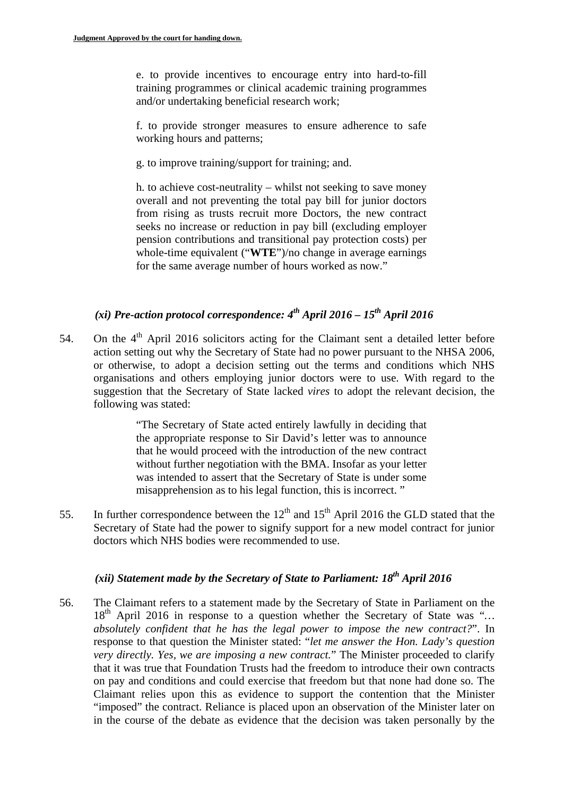e. to provide incentives to encourage entry into hard-to-fill training programmes or clinical academic training programmes and/or undertaking beneficial research work;

f. to provide stronger measures to ensure adherence to safe working hours and patterns;

g. to improve training/support for training; and.

h. to achieve cost-neutrality – whilst not seeking to save money overall and not preventing the total pay bill for junior doctors from rising as trusts recruit more Doctors, the new contract seeks no increase or reduction in pay bill (excluding employer pension contributions and transitional pay protection costs) per whole-time equivalent ("**WTE**")/no change in average earnings for the same average number of hours worked as now."

# *(xi) Pre-action protocol correspondence: 4th April 2016 – 15th April 2016*

54. On the  $4<sup>th</sup>$  April 2016 solicitors acting for the Claimant sent a detailed letter before action setting out why the Secretary of State had no power pursuant to the NHSA 2006, or otherwise, to adopt a decision setting out the terms and conditions which NHS organisations and others employing junior doctors were to use. With regard to the suggestion that the Secretary of State lacked *vires* to adopt the relevant decision, the following was stated:

> "The Secretary of State acted entirely lawfully in deciding that the appropriate response to Sir David's letter was to announce that he would proceed with the introduction of the new contract without further negotiation with the BMA. Insofar as your letter was intended to assert that the Secretary of State is under some misapprehension as to his legal function, this is incorrect. "

55. In further correspondence between the  $12<sup>th</sup>$  and  $15<sup>th</sup>$  April 2016 the GLD stated that the Secretary of State had the power to signify support for a new model contract for junior doctors which NHS bodies were recommended to use.

# *(xii) Statement made by the Secretary of State to Parliament: 18<sup>th</sup> April 2016*

56. The Claimant refers to a statement made by the Secretary of State in Parliament on the 18th April 2016 in response to a question whether the Secretary of State was "*… absolutely confident that he has the legal power to impose the new contract?*". In response to that question the Minister stated: "*let me answer the Hon. Lady's question very directly. Yes, we are imposing a new contract.*" The Minister proceeded to clarify that it was true that Foundation Trusts had the freedom to introduce their own contracts on pay and conditions and could exercise that freedom but that none had done so. The Claimant relies upon this as evidence to support the contention that the Minister "imposed" the contract. Reliance is placed upon an observation of the Minister later on in the course of the debate as evidence that the decision was taken personally by the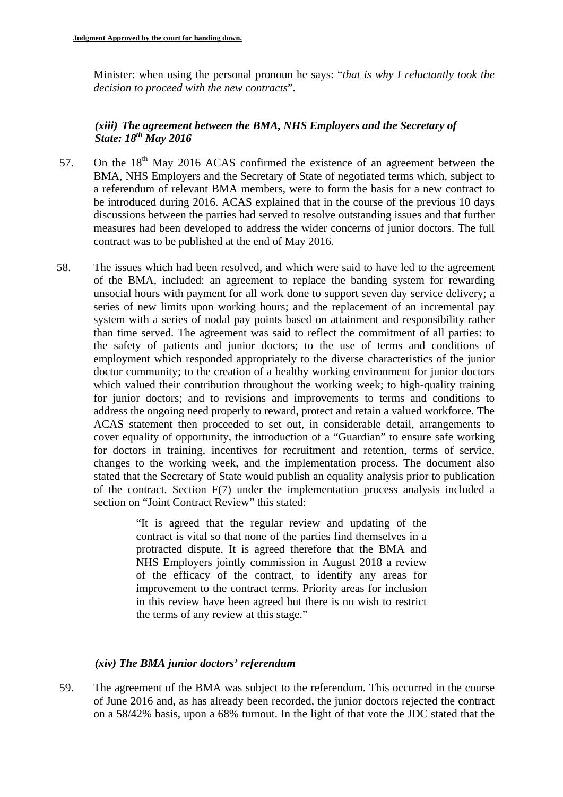Minister: when using the personal pronoun he says: "*that is why I reluctantly took the decision to proceed with the new contracts*".

## *(xiii) The agreement between the BMA, NHS Employers and the Secretary of State: 18th May 2016*

- 57. On the  $18<sup>th</sup>$  May 2016 ACAS confirmed the existence of an agreement between the BMA, NHS Employers and the Secretary of State of negotiated terms which, subject to a referendum of relevant BMA members, were to form the basis for a new contract to be introduced during 2016. ACAS explained that in the course of the previous 10 days discussions between the parties had served to resolve outstanding issues and that further measures had been developed to address the wider concerns of junior doctors. The full contract was to be published at the end of May 2016.
- 58. The issues which had been resolved, and which were said to have led to the agreement of the BMA, included: an agreement to replace the banding system for rewarding unsocial hours with payment for all work done to support seven day service delivery; a series of new limits upon working hours; and the replacement of an incremental pay system with a series of nodal pay points based on attainment and responsibility rather than time served. The agreement was said to reflect the commitment of all parties: to the safety of patients and junior doctors; to the use of terms and conditions of employment which responded appropriately to the diverse characteristics of the junior doctor community; to the creation of a healthy working environment for junior doctors which valued their contribution throughout the working week; to high-quality training for junior doctors; and to revisions and improvements to terms and conditions to address the ongoing need properly to reward, protect and retain a valued workforce. The ACAS statement then proceeded to set out, in considerable detail, arrangements to cover equality of opportunity, the introduction of a "Guardian" to ensure safe working for doctors in training, incentives for recruitment and retention, terms of service, changes to the working week, and the implementation process. The document also stated that the Secretary of State would publish an equality analysis prior to publication of the contract. Section F(7) under the implementation process analysis included a section on "Joint Contract Review" this stated:

"It is agreed that the regular review and updating of the contract is vital so that none of the parties find themselves in a protracted dispute. It is agreed therefore that the BMA and NHS Employers jointly commission in August 2018 a review of the efficacy of the contract, to identify any areas for improvement to the contract terms. Priority areas for inclusion in this review have been agreed but there is no wish to restrict the terms of any review at this stage."

## *(xiv) The BMA junior doctors' referendum*

59. The agreement of the BMA was subject to the referendum. This occurred in the course of June 2016 and, as has already been recorded, the junior doctors rejected the contract on a 58/42% basis, upon a 68% turnout. In the light of that vote the JDC stated that the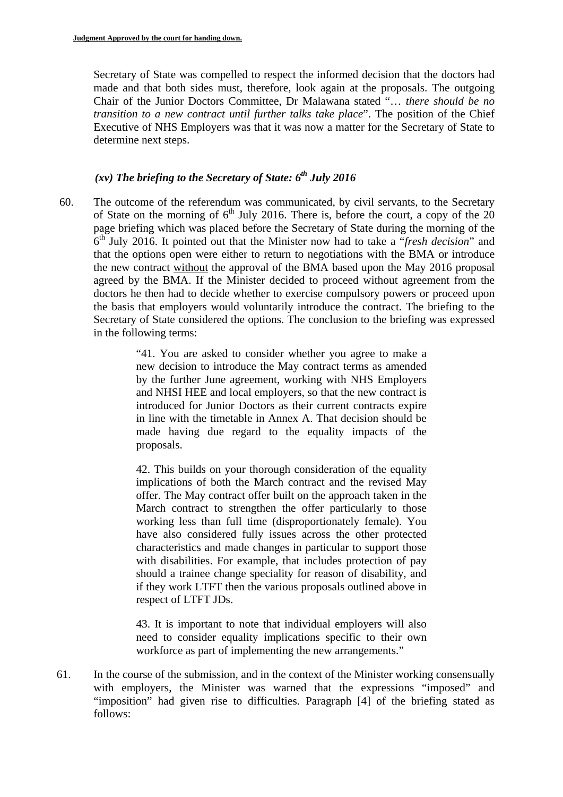Secretary of State was compelled to respect the informed decision that the doctors had made and that both sides must, therefore, look again at the proposals. The outgoing Chair of the Junior Doctors Committee, Dr Malawana stated "… *there should be no transition to a new contract until further talks take place*". The position of the Chief Executive of NHS Employers was that it was now a matter for the Secretary of State to determine next steps.

# $(xv)$  The briefing to the Secretary of State:  $6<sup>th</sup>$  July 2016

60. The outcome of the referendum was communicated, by civil servants, to the Secretary of State on the morning of  $6<sup>th</sup>$  July 2016. There is, before the court, a copy of the 20 page briefing which was placed before the Secretary of State during the morning of the 6th July 2016. It pointed out that the Minister now had to take a "*fresh decision*" and that the options open were either to return to negotiations with the BMA or introduce the new contract without the approval of the BMA based upon the May 2016 proposal agreed by the BMA. If the Minister decided to proceed without agreement from the doctors he then had to decide whether to exercise compulsory powers or proceed upon the basis that employers would voluntarily introduce the contract. The briefing to the Secretary of State considered the options. The conclusion to the briefing was expressed in the following terms:

> "41. You are asked to consider whether you agree to make a new decision to introduce the May contract terms as amended by the further June agreement, working with NHS Employers and NHSI HEE and local employers, so that the new contract is introduced for Junior Doctors as their current contracts expire in line with the timetable in Annex A. That decision should be made having due regard to the equality impacts of the proposals.

> 42. This builds on your thorough consideration of the equality implications of both the March contract and the revised May offer. The May contract offer built on the approach taken in the March contract to strengthen the offer particularly to those working less than full time (disproportionately female). You have also considered fully issues across the other protected characteristics and made changes in particular to support those with disabilities. For example, that includes protection of pay should a trainee change speciality for reason of disability, and if they work LTFT then the various proposals outlined above in respect of LTFT JDs.

> 43. It is important to note that individual employers will also need to consider equality implications specific to their own workforce as part of implementing the new arrangements."

61. In the course of the submission, and in the context of the Minister working consensually with employers, the Minister was warned that the expressions "imposed" and "imposition" had given rise to difficulties. Paragraph [4] of the briefing stated as follows: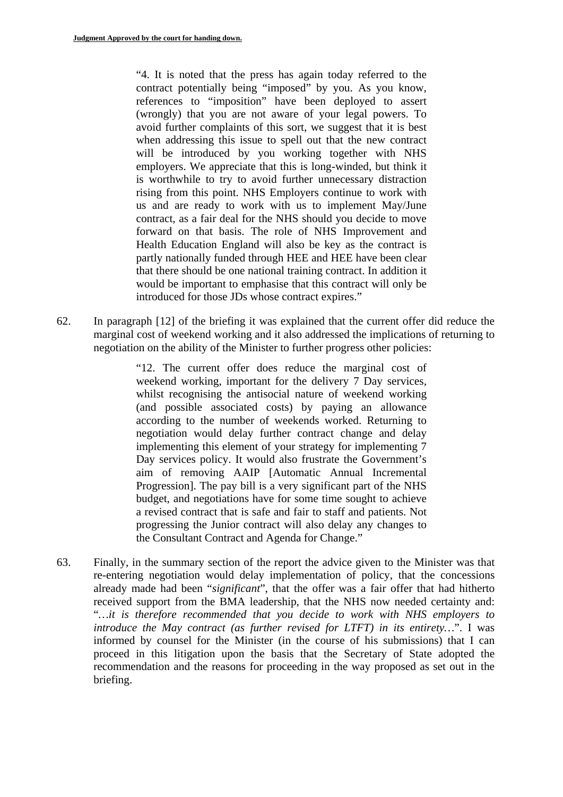"4. It is noted that the press has again today referred to the contract potentially being "imposed" by you. As you know, references to "imposition" have been deployed to assert (wrongly) that you are not aware of your legal powers. To avoid further complaints of this sort, we suggest that it is best when addressing this issue to spell out that the new contract will be introduced by you working together with NHS employers. We appreciate that this is long-winded, but think it is worthwhile to try to avoid further unnecessary distraction rising from this point. NHS Employers continue to work with us and are ready to work with us to implement May/June contract, as a fair deal for the NHS should you decide to move forward on that basis. The role of NHS Improvement and Health Education England will also be key as the contract is partly nationally funded through HEE and HEE have been clear that there should be one national training contract. In addition it would be important to emphasise that this contract will only be introduced for those JDs whose contract expires."

62. In paragraph [12] of the briefing it was explained that the current offer did reduce the marginal cost of weekend working and it also addressed the implications of returning to negotiation on the ability of the Minister to further progress other policies:

> "12. The current offer does reduce the marginal cost of weekend working, important for the delivery 7 Day services, whilst recognising the antisocial nature of weekend working (and possible associated costs) by paying an allowance according to the number of weekends worked. Returning to negotiation would delay further contract change and delay implementing this element of your strategy for implementing 7 Day services policy. It would also frustrate the Government's aim of removing AAIP [Automatic Annual Incremental Progression]. The pay bill is a very significant part of the NHS budget, and negotiations have for some time sought to achieve a revised contract that is safe and fair to staff and patients. Not progressing the Junior contract will also delay any changes to the Consultant Contract and Agenda for Change."

63. Finally, in the summary section of the report the advice given to the Minister was that re-entering negotiation would delay implementation of policy, that the concessions already made had been "*significant*", that the offer was a fair offer that had hitherto received support from the BMA leadership, that the NHS now needed certainty and: "*…it is therefore recommended that you decide to work with NHS employers to introduce the May contract (as further revised for LTFT) in its entirety…*". I was informed by counsel for the Minister (in the course of his submissions) that I can proceed in this litigation upon the basis that the Secretary of State adopted the recommendation and the reasons for proceeding in the way proposed as set out in the briefing.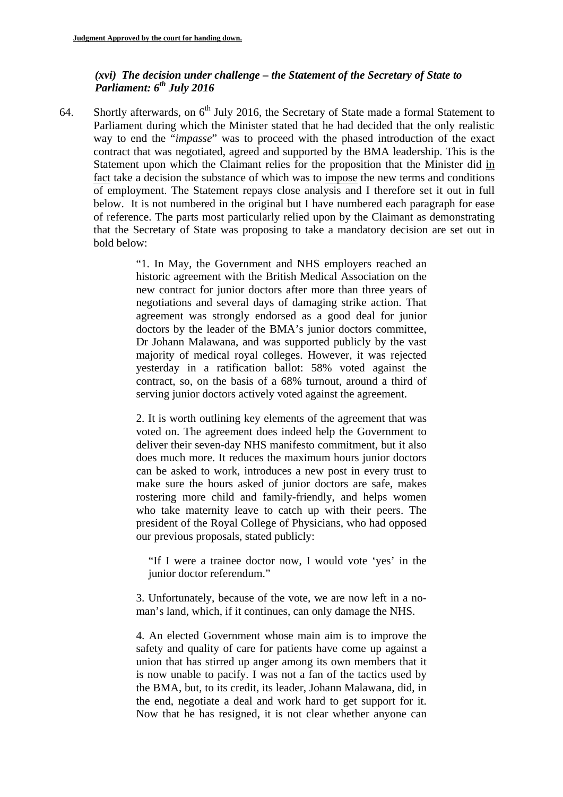### *(xvi) The decision under challenge – the Statement of the Secretary of State to Parliament:*  $6^{th}$  July 2016

64. Shortly afterwards, on  $6<sup>th</sup>$  July 2016, the Secretary of State made a formal Statement to Parliament during which the Minister stated that he had decided that the only realistic way to end the "*impasse*" was to proceed with the phased introduction of the exact contract that was negotiated, agreed and supported by the BMA leadership. This is the Statement upon which the Claimant relies for the proposition that the Minister did in fact take a decision the substance of which was to impose the new terms and conditions of employment. The Statement repays close analysis and I therefore set it out in full below. It is not numbered in the original but I have numbered each paragraph for ease of reference. The parts most particularly relied upon by the Claimant as demonstrating that the Secretary of State was proposing to take a mandatory decision are set out in bold below:

> "1. In May, the Government and NHS employers reached an historic agreement with the British Medical Association on the new contract for junior doctors after more than three years of negotiations and several days of damaging strike action. That agreement was strongly endorsed as a good deal for junior doctors by the leader of the BMA's junior doctors committee, Dr Johann Malawana, and was supported publicly by the vast majority of medical royal colleges. However, it was rejected yesterday in a ratification ballot: 58% voted against the contract, so, on the basis of a 68% turnout, around a third of serving junior doctors actively voted against the agreement.

> 2. It is worth outlining key elements of the agreement that was voted on. The agreement does indeed help the Government to deliver their seven-day NHS manifesto commitment, but it also does much more. It reduces the maximum hours junior doctors can be asked to work, introduces a new post in every trust to make sure the hours asked of junior doctors are safe, makes rostering more child and family-friendly, and helps women who take maternity leave to catch up with their peers. The president of the Royal College of Physicians, who had opposed our previous proposals, stated publicly:

"If I were a trainee doctor now, I would vote 'yes' in the junior doctor referendum."

3. Unfortunately, because of the vote, we are now left in a noman's land, which, if it continues, can only damage the NHS.

4. An elected Government whose main aim is to improve the safety and quality of care for patients have come up against a union that has stirred up anger among its own members that it is now unable to pacify. I was not a fan of the tactics used by the BMA, but, to its credit, its leader, Johann Malawana, did, in the end, negotiate a deal and work hard to get support for it. Now that he has resigned, it is not clear whether anyone can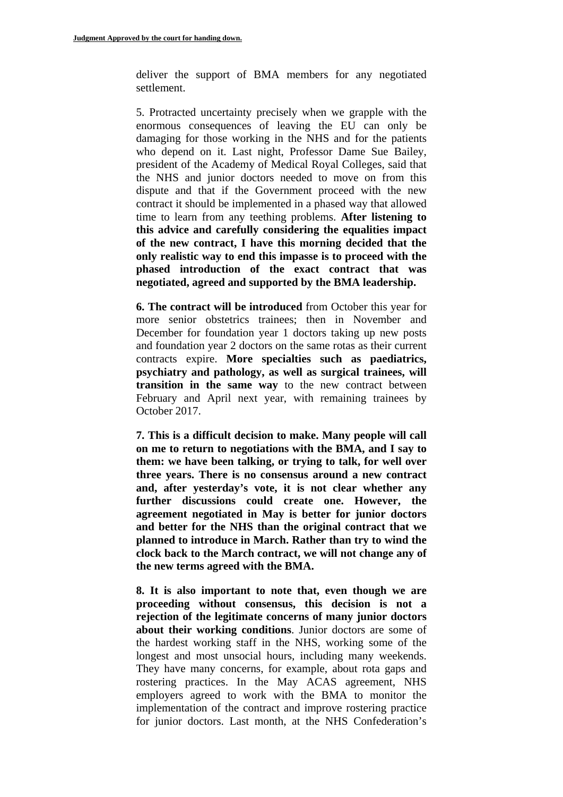deliver the support of BMA members for any negotiated settlement.

5. Protracted uncertainty precisely when we grapple with the enormous consequences of leaving the EU can only be damaging for those working in the NHS and for the patients who depend on it. Last night, Professor Dame Sue Bailey, president of the Academy of Medical Royal Colleges, said that the NHS and junior doctors needed to move on from this dispute and that if the Government proceed with the new contract it should be implemented in a phased way that allowed time to learn from any teething problems. **After listening to this advice and carefully considering the equalities impact of the new contract, I have this morning decided that the only realistic way to end this impasse is to proceed with the phased introduction of the exact contract that was negotiated, agreed and supported by the BMA leadership.** 

**6. The contract will be introduced** from October this year for more senior obstetrics trainees; then in November and December for foundation year 1 doctors taking up new posts and foundation year 2 doctors on the same rotas as their current contracts expire. **More specialties such as paediatrics, psychiatry and pathology, as well as surgical trainees, will transition in the same way** to the new contract between February and April next year, with remaining trainees by October 2017.

**7. This is a difficult decision to make. Many people will call on me to return to negotiations with the BMA, and I say to them: we have been talking, or trying to talk, for well over three years. There is no consensus around a new contract and, after yesterday's vote, it is not clear whether any further discussions could create one. However, the agreement negotiated in May is better for junior doctors and better for the NHS than the original contract that we planned to introduce in March. Rather than try to wind the clock back to the March contract, we will not change any of the new terms agreed with the BMA.** 

**8. It is also important to note that, even though we are proceeding without consensus, this decision is not a rejection of the legitimate concerns of many junior doctors about their working conditions**. Junior doctors are some of the hardest working staff in the NHS, working some of the longest and most unsocial hours, including many weekends. They have many concerns, for example, about rota gaps and rostering practices. In the May ACAS agreement, NHS employers agreed to work with the BMA to monitor the implementation of the contract and improve rostering practice for junior doctors. Last month, at the NHS Confederation's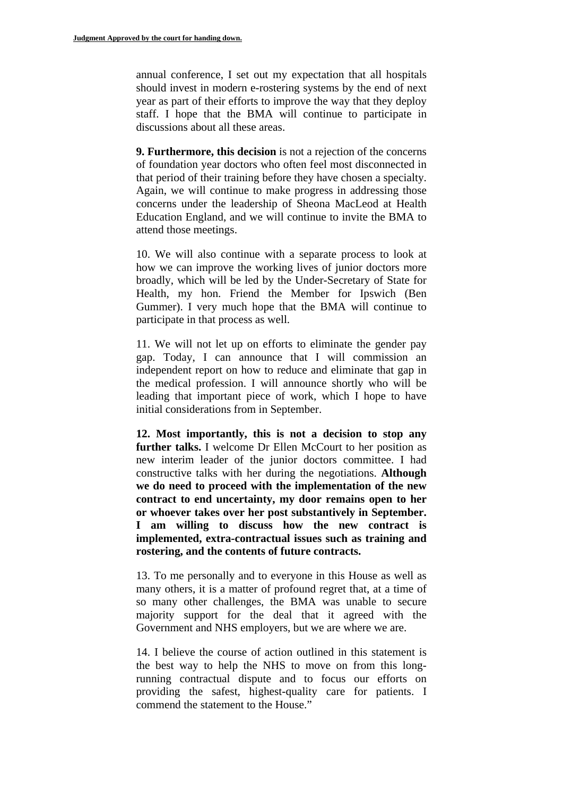annual conference, I set out my expectation that all hospitals should invest in modern e-rostering systems by the end of next year as part of their efforts to improve the way that they deploy staff. I hope that the BMA will continue to participate in discussions about all these areas.

**9. Furthermore, this decision** is not a rejection of the concerns of foundation year doctors who often feel most disconnected in that period of their training before they have chosen a specialty. Again, we will continue to make progress in addressing those concerns under the leadership of Sheona MacLeod at Health Education England, and we will continue to invite the BMA to attend those meetings.

10. We will also continue with a separate process to look at how we can improve the working lives of junior doctors more broadly, which will be led by the Under-Secretary of State for Health, my hon. Friend the Member for Ipswich (Ben Gummer). I very much hope that the BMA will continue to participate in that process as well.

11. We will not let up on efforts to eliminate the gender pay gap. Today, I can announce that I will commission an independent report on how to reduce and eliminate that gap in the medical profession. I will announce shortly who will be leading that important piece of work, which I hope to have initial considerations from in September.

**12. Most importantly, this is not a decision to stop any**  further talks. I welcome Dr Ellen McCourt to her position as new interim leader of the junior doctors committee. I had constructive talks with her during the negotiations. **Although we do need to proceed with the implementation of the new contract to end uncertainty, my door remains open to her or whoever takes over her post substantively in September. I am willing to discuss how the new contract is implemented, extra-contractual issues such as training and rostering, and the contents of future contracts.** 

13. To me personally and to everyone in this House as well as many others, it is a matter of profound regret that, at a time of so many other challenges, the BMA was unable to secure majority support for the deal that it agreed with the Government and NHS employers, but we are where we are.

14. I believe the course of action outlined in this statement is the best way to help the NHS to move on from this longrunning contractual dispute and to focus our efforts on providing the safest, highest-quality care for patients. I commend the statement to the House."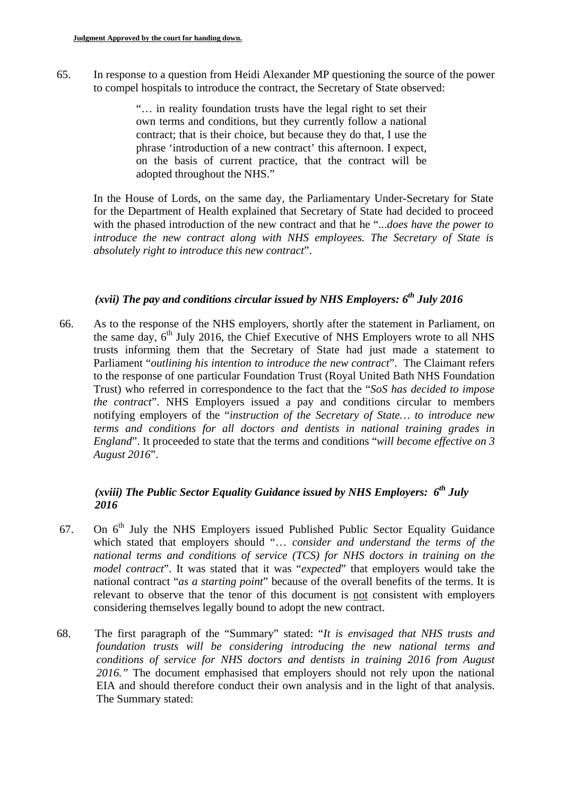65. In response to a question from Heidi Alexander MP questioning the source of the power to compel hospitals to introduce the contract, the Secretary of State observed:

> "… in reality foundation trusts have the legal right to set their own terms and conditions, but they currently follow a national contract; that is their choice, but because they do that, I use the phrase 'introduction of a new contract' this afternoon. I expect, on the basis of current practice, that the contract will be adopted throughout the NHS."

In the House of Lords, on the same day, the Parliamentary Under-Secretary for State for the Department of Health explained that Secretary of State had decided to proceed with the phased introduction of the new contract and that he "...*does have the power to*  introduce the new contract along with NHS employees. The Secretary of State is *absolutely right to introduce this new contract*".

## *(xvii) The pay and conditions circular issued by NHS Employers: 6th July 2016*

66. As to the response of the NHS employers, shortly after the statement in Parliament, on the same day,  $6<sup>th</sup>$  July 2016, the Chief Executive of NHS Employers wrote to all NHS trusts informing them that the Secretary of State had just made a statement to Parliament "*outlining his intention to introduce the new contract*". The Claimant refers to the response of one particular Foundation Trust (Royal United Bath NHS Foundation Trust) who referred in correspondence to the fact that the "*SoS has decided to impose the contract*". NHS Employers issued a pay and conditions circular to members notifying employers of the "*instruction of the Secretary of State… to introduce new terms and conditions for all doctors and dentists in national training grades in England*". It proceeded to state that the terms and conditions "*will become effective on 3 August 2016*".

# *(xviii) The Public Sector Equality Guidance issued by NHS Employers: 6th July 2016*

- 67. On  $6<sup>th</sup>$  July the NHS Employers issued Published Public Sector Equality Guidance which stated that employers should "… *consider and understand the terms of the national terms and conditions of service (TCS) for NHS doctors in training on the model contract*". It was stated that it was "*expected*" that employers would take the national contract "*as a starting point*" because of the overall benefits of the terms. It is relevant to observe that the tenor of this document is not consistent with employers considering themselves legally bound to adopt the new contract.
- 68. The first paragraph of the "Summary" stated: "*It is envisaged that NHS trusts and foundation trusts will be considering introducing the new national terms and conditions of service for NHS doctors and dentists in training 2016 from August 2016."* The document emphasised that employers should not rely upon the national EIA and should therefore conduct their own analysis and in the light of that analysis. The Summary stated: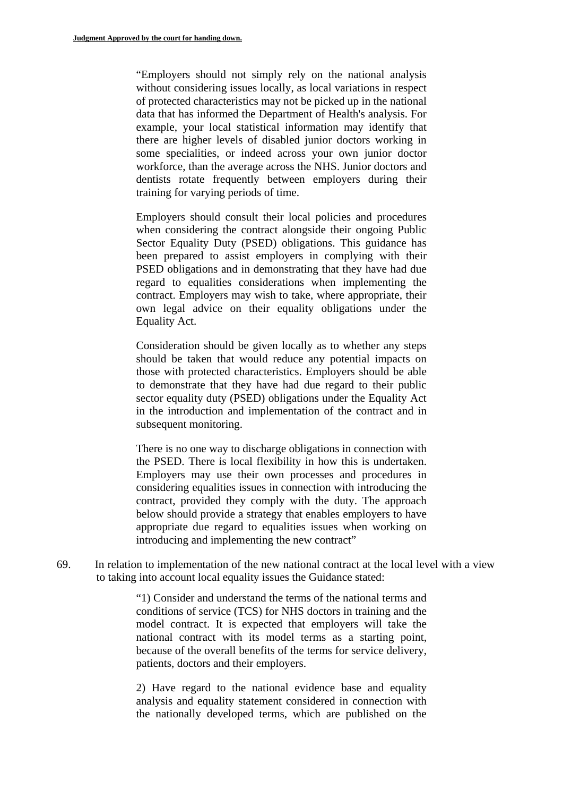"Employers should not simply rely on the national analysis without considering issues locally, as local variations in respect of protected characteristics may not be picked up in the national data that has informed the Department of Health's analysis. For example, your local statistical information may identify that there are higher levels of disabled junior doctors working in some specialities, or indeed across your own junior doctor workforce, than the average across the NHS. Junior doctors and dentists rotate frequently between employers during their training for varying periods of time.

Employers should consult their local policies and procedures when considering the contract alongside their ongoing Public Sector Equality Duty (PSED) obligations. This guidance has been prepared to assist employers in complying with their PSED obligations and in demonstrating that they have had due regard to equalities considerations when implementing the contract. Employers may wish to take, where appropriate, their own legal advice on their equality obligations under the Equality Act.

Consideration should be given locally as to whether any steps should be taken that would reduce any potential impacts on those with protected characteristics. Employers should be able to demonstrate that they have had due regard to their public sector equality duty (PSED) obligations under the Equality Act in the introduction and implementation of the contract and in subsequent monitoring.

There is no one way to discharge obligations in connection with the PSED. There is local flexibility in how this is undertaken. Employers may use their own processes and procedures in considering equalities issues in connection with introducing the contract, provided they comply with the duty. The approach below should provide a strategy that enables employers to have appropriate due regard to equalities issues when working on introducing and implementing the new contract"

69. In relation to implementation of the new national contract at the local level with a view to taking into account local equality issues the Guidance stated:

> "1) Consider and understand the terms of the national terms and conditions of service (TCS) for NHS doctors in training and the model contract. It is expected that employers will take the national contract with its model terms as a starting point, because of the overall benefits of the terms for service delivery, patients, doctors and their employers.

> 2) Have regard to the national evidence base and equality analysis and equality statement considered in connection with the nationally developed terms, which are published on the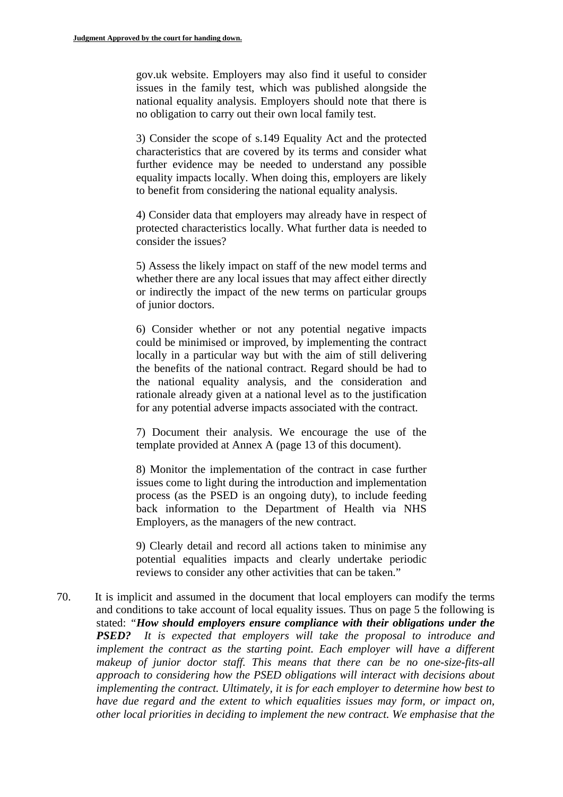gov.uk website. Employers may also find it useful to consider issues in the family test, which was published alongside the national equality analysis. Employers should note that there is no obligation to carry out their own local family test.

3) Consider the scope of s.149 Equality Act and the protected characteristics that are covered by its terms and consider what further evidence may be needed to understand any possible equality impacts locally. When doing this, employers are likely to benefit from considering the national equality analysis.

4) Consider data that employers may already have in respect of protected characteristics locally. What further data is needed to consider the issues?

5) Assess the likely impact on staff of the new model terms and whether there are any local issues that may affect either directly or indirectly the impact of the new terms on particular groups of junior doctors.

6) Consider whether or not any potential negative impacts could be minimised or improved, by implementing the contract locally in a particular way but with the aim of still delivering the benefits of the national contract. Regard should be had to the national equality analysis, and the consideration and rationale already given at a national level as to the justification for any potential adverse impacts associated with the contract.

7) Document their analysis. We encourage the use of the template provided at Annex A (page 13 of this document).

8) Monitor the implementation of the contract in case further issues come to light during the introduction and implementation process (as the PSED is an ongoing duty), to include feeding back information to the Department of Health via NHS Employers, as the managers of the new contract.

9) Clearly detail and record all actions taken to minimise any potential equalities impacts and clearly undertake periodic reviews to consider any other activities that can be taken."

70. It is implicit and assumed in the document that local employers can modify the terms and conditions to take account of local equality issues. Thus on page 5 the following is stated: *"How should employers ensure compliance with their obligations under the PSED? It is expected that employers will take the proposal to introduce and implement the contract as the starting point. Each employer will have a different makeup of junior doctor staff. This means that there can be no one-size-fits-all approach to considering how the PSED obligations will interact with decisions about implementing the contract. Ultimately, it is for each employer to determine how best to have due regard and the extent to which equalities issues may form, or impact on, other local priorities in deciding to implement the new contract. We emphasise that the*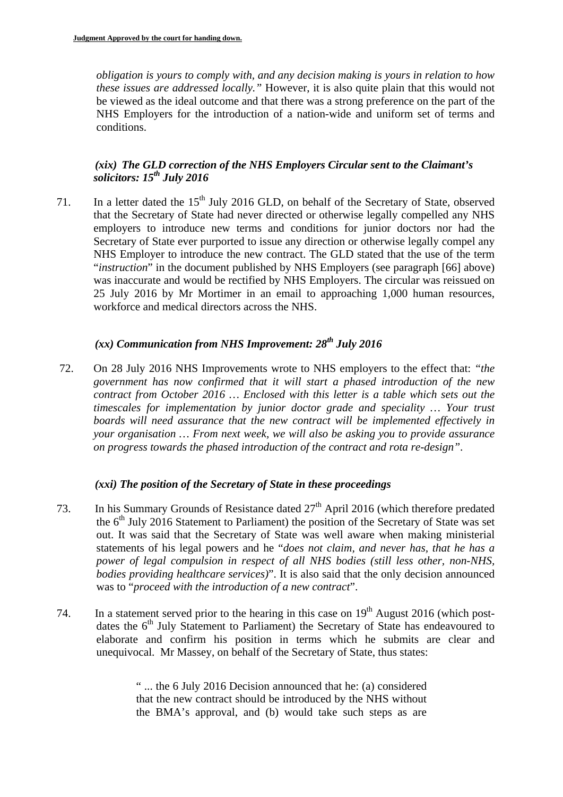*obligation is yours to comply with, and any decision making is yours in relation to how these issues are addressed locally."* However, it is also quite plain that this would not be viewed as the ideal outcome and that there was a strong preference on the part of the NHS Employers for the introduction of a nation-wide and uniform set of terms and conditions.

## *(xix) The GLD correction of the NHS Employers Circular sent to the Claimant's solicitors: 15th July 2016*

71. In a letter dated the 15<sup>th</sup> July 2016 GLD, on behalf of the Secretary of State, observed that the Secretary of State had never directed or otherwise legally compelled any NHS employers to introduce new terms and conditions for junior doctors nor had the Secretary of State ever purported to issue any direction or otherwise legally compel any NHS Employer to introduce the new contract. The GLD stated that the use of the term "*instruction*" in the document published by NHS Employers (see paragraph [66] above) was inaccurate and would be rectified by NHS Employers. The circular was reissued on 25 July 2016 by Mr Mortimer in an email to approaching 1,000 human resources, workforce and medical directors across the NHS.

### *(xx) Communication from NHS Improvement: 28th July 2016*

72. On 28 July 2016 NHS Improvements wrote to NHS employers to the effect that: *"the government has now confirmed that it will start a phased introduction of the new contract from October 2016 … Enclosed with this letter is a table which sets out the timescales for implementation by junior doctor grade and speciality … Your trust boards will need assurance that the new contract will be implemented effectively in your organisation … From next week, we will also be asking you to provide assurance on progress towards the phased introduction of the contract and rota re-design"*.

### *(xxi) The position of the Secretary of State in these proceedings*

- 73. In his Summary Grounds of Resistance dated 27<sup>th</sup> April 2016 (which therefore predated the  $6<sup>th</sup>$  July 2016 Statement to Parliament) the position of the Secretary of State was set out. It was said that the Secretary of State was well aware when making ministerial statements of his legal powers and he "*does not claim, and never has, that he has a power of legal compulsion in respect of all NHS bodies (still less other, non-NHS, bodies providing healthcare services)*". It is also said that the only decision announced was to "*proceed with the introduction of a new contract*".
- 74. In a statement served prior to the hearing in this case on  $19<sup>th</sup>$  August 2016 (which postdates the 6<sup>th</sup> July Statement to Parliament) the Secretary of State has endeavoured to elaborate and confirm his position in terms which he submits are clear and unequivocal. Mr Massey, on behalf of the Secretary of State, thus states:

" ... the 6 July 2016 Decision announced that he: (a) considered that the new contract should be introduced by the NHS without the BMA's approval, and (b) would take such steps as are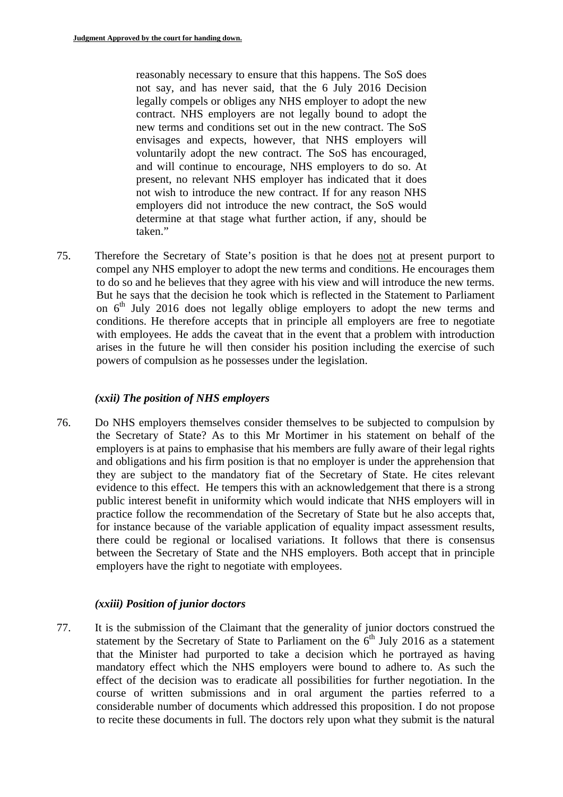reasonably necessary to ensure that this happens. The SoS does not say, and has never said, that the 6 July 2016 Decision legally compels or obliges any NHS employer to adopt the new contract. NHS employers are not legally bound to adopt the new terms and conditions set out in the new contract. The SoS envisages and expects, however, that NHS employers will voluntarily adopt the new contract. The SoS has encouraged, and will continue to encourage, NHS employers to do so. At present, no relevant NHS employer has indicated that it does not wish to introduce the new contract. If for any reason NHS employers did not introduce the new contract, the SoS would determine at that stage what further action, if any, should be taken."

 to do so and he believes that they agree with his view and will introduce the new terms. 75. Therefore the Secretary of State's position is that he does not at present purport to compel any NHS employer to adopt the new terms and conditions. He encourages them But he says that the decision he took which is reflected in the Statement to Parliament on 6<sup>th</sup> July 2016 does not legally oblige employers to adopt the new terms and conditions. He therefore accepts that in principle all employers are free to negotiate with employees. He adds the caveat that in the event that a problem with introduction arises in the future he will then consider his position including the exercise of such powers of compulsion as he possesses under the legislation.

# *(xxii) The position of NHS employers*

76. Do NHS employers themselves consider themselves to be subjected to compulsion by the Secretary of State? As to this Mr Mortimer in his statement on behalf of the employers is at pains to emphasise that his members are fully aware of their legal rights and obligations and his firm position is that no employer is under the apprehension that they are subject to the mandatory fiat of the Secretary of State. He cites relevant evidence to this effect. He tempers this with an acknowledgement that there is a strong public interest benefit in uniformity which would indicate that NHS employers will in practice follow the recommendation of the Secretary of State but he also accepts that, for instance because of the variable application of equality impact assessment results, there could be regional or localised variations. It follows that there is consensus between the Secretary of State and the NHS employers. Both accept that in principle employers have the right to negotiate with employees.

### *(xxiii) Position of junior doctors*

77. It is the submission of the Claimant that the generality of junior doctors construed the statement by the Secretary of State to Parliament on the  $6<sup>th</sup>$  July 2016 as a statement that the Minister had purported to take a decision which he portrayed as having mandatory effect which the NHS employers were bound to adhere to. As such the effect of the decision was to eradicate all possibilities for further negotiation. In the course of written submissions and in oral argument the parties referred to a considerable number of documents which addressed this proposition. I do not propose to recite these documents in full. The doctors rely upon what they submit is the natural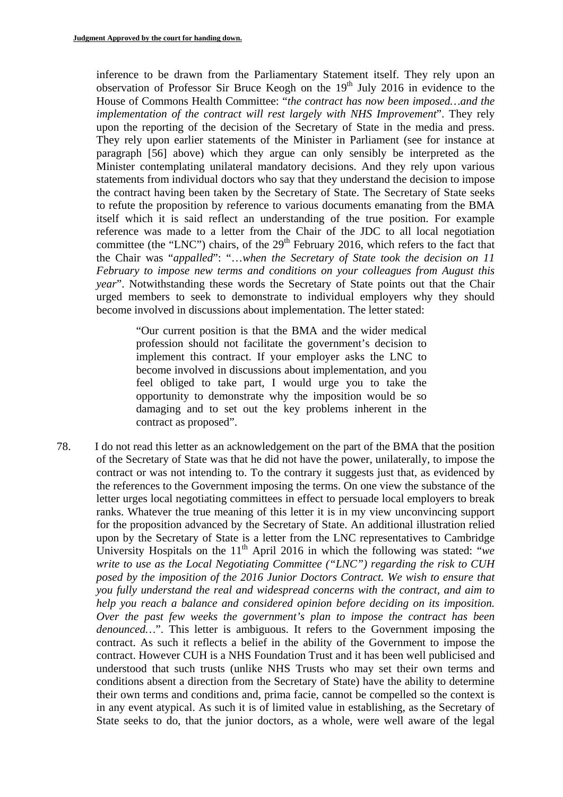inference to be drawn from the Parliamentary Statement itself. They rely upon an observation of Professor Sir Bruce Keogh on the  $19<sup>th</sup>$  July 2016 in evidence to the House of Commons Health Committee: "*the contract has now been imposed…and the implementation of the contract will rest largely with NHS Improvement*". They rely upon the reporting of the decision of the Secretary of State in the media and press. They rely upon earlier statements of the Minister in Parliament (see for instance at paragraph [56] above) which they argue can only sensibly be interpreted as the Minister contemplating unilateral mandatory decisions. And they rely upon various statements from individual doctors who say that they understand the decision to impose the contract having been taken by the Secretary of State. The Secretary of State seeks to refute the proposition by reference to various documents emanating from the BMA itself which it is said reflect an understanding of the true position. For example reference was made to a letter from the Chair of the JDC to all local negotiation committee (the "LNC") chairs, of the  $29<sup>th</sup>$  February 2016, which refers to the fact that the Chair was "*appalled*": "…*when the Secretary of State took the decision on 11 February to impose new terms and conditions on your colleagues from August this year*". Notwithstanding these words the Secretary of State points out that the Chair urged members to seek to demonstrate to individual employers why they should become involved in discussions about implementation. The letter stated:

"Our current position is that the BMA and the wider medical profession should not facilitate the government's decision to implement this contract. If your employer asks the LNC to become involved in discussions about implementation, and you feel obliged to take part, I would urge you to take the opportunity to demonstrate why the imposition would be so damaging and to set out the key problems inherent in the contract as proposed".

78. I do not read this letter as an acknowledgement on the part of the BMA that the position of the Secretary of State was that he did not have the power, unilaterally, to impose the contract or was not intending to. To the contrary it suggests just that, as evidenced by the references to the Government imposing the terms. On one view the substance of the letter urges local negotiating committees in effect to persuade local employers to break ranks. Whatever the true meaning of this letter it is in my view unconvincing support for the proposition advanced by the Secretary of State. An additional illustration relied upon by the Secretary of State is a letter from the LNC representatives to Cambridge University Hospitals on the 11<sup>th</sup> April 2016 in which the following was stated: "*we write to use as the Local Negotiating Committee ("LNC") regarding the risk to CUH posed by the imposition of the 2016 Junior Doctors Contract. We wish to ensure that you fully understand the real and widespread concerns with the contract, and aim to help you reach a balance and considered opinion before deciding on its imposition. Over the past few weeks the government's plan to impose the contract has been denounced...*". This letter is ambiguous. It refers to the Government imposing the contract. As such it reflects a belief in the ability of the Government to impose the contract. However CUH is a NHS Foundation Trust and it has been well publicised and understood that such trusts (unlike NHS Trusts who may set their own terms and conditions absent a direction from the Secretary of State) have the ability to determine their own terms and conditions and, prima facie, cannot be compelled so the context is in any event atypical. As such it is of limited value in establishing, as the Secretary of State seeks to do, that the junior doctors, as a whole, were well aware of the legal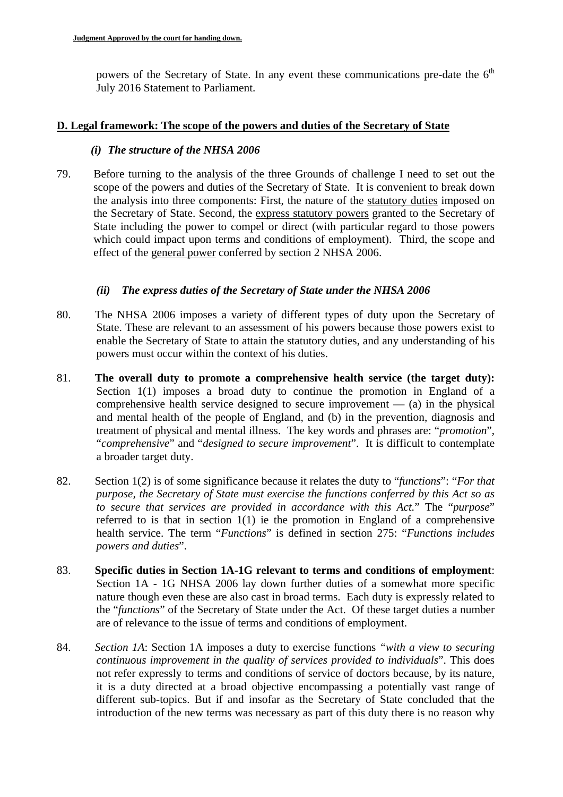powers of the Secretary of State. In any event these communications pre-date the  $6<sup>th</sup>$ July 2016 Statement to Parliament.

#### **D. Legal framework: The scope of the powers and duties of the Secretary of State**

#### *(i) The structure of the NHSA 2006*

79. Before turning to the analysis of the three Grounds of challenge I need to set out the scope of the powers and duties of the Secretary of State. It is convenient to break down the analysis into three components: First, the nature of the statutory duties imposed on the Secretary of State. Second, the express statutory powers granted to the Secretary of State including the power to compel or direct (with particular regard to those powers which could impact upon terms and conditions of employment). Third, the scope and effect of the general power conferred by section 2 NHSA 2006.

#### *(ii) The express duties of the Secretary of State under the NHSA 2006*

- 80. The NHSA 2006 imposes a variety of different types of duty upon the Secretary of State. These are relevant to an assessment of his powers because those powers exist to enable the Secretary of State to attain the statutory duties, and any understanding of his powers must occur within the context of his duties.
- 81. **The overall duty to promote a comprehensive health service (the target duty):** Section 1(1) imposes a broad duty to continue the promotion in England of a comprehensive health service designed to secure improvement  $-$  (a) in the physical and mental health of the people of England, and (b) in the prevention, diagnosis and treatment of physical and mental illness. The key words and phrases are: "*promotion*", "*comprehensive*" and "*designed to secure improvement*". It is difficult to contemplate a broader target duty.
- 82. Section 1(2) is of some significance because it relates the duty to "*functions*": "*For that purpose, the Secretary of State must exercise the functions conferred by this Act so as to secure that services are provided in accordance with this Act.*" The "*purpose*" referred to is that in section 1(1) ie the promotion in England of a comprehensive health service. The term "*Functions*" is defined in section 275: "*Functions includes powers and duties*".
- 83. **Specific duties in Section 1A-1G relevant to terms and conditions of employment**: Section 1A - 1G NHSA 2006 lay down further duties of a somewhat more specific nature though even these are also cast in broad terms. Each duty is expressly related to the "*functions*" of the Secretary of State under the Act. Of these target duties a number are of relevance to the issue of terms and conditions of employment.
- 84. *Section 1A*: Section 1A imposes a duty to exercise functions *"with a view to securing continuous improvement in the quality of services provided to individuals*". This does not refer expressly to terms and conditions of service of doctors because, by its nature, it is a duty directed at a broad objective encompassing a potentially vast range of different sub-topics. But if and insofar as the Secretary of State concluded that the introduction of the new terms was necessary as part of this duty there is no reason why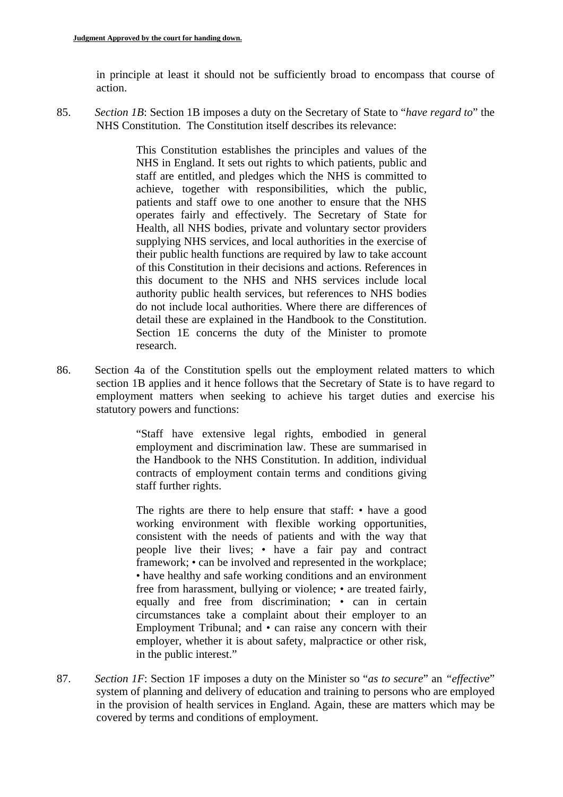in principle at least it should not be sufficiently broad to encompass that course of action.

85. *Section 1B*: Section 1B imposes a duty on the Secretary of State to "*have regard to*" the NHS Constitution. The Constitution itself describes its relevance:

> This Constitution establishes the principles and values of the NHS in England. It sets out rights to which patients, public and staff are entitled, and pledges which the NHS is committed to achieve, together with responsibilities, which the public, patients and staff owe to one another to ensure that the NHS operates fairly and effectively. The Secretary of State for Health, all NHS bodies, private and voluntary sector providers supplying NHS services, and local authorities in the exercise of their public health functions are required by law to take account of this Constitution in their decisions and actions. References in this document to the NHS and NHS services include local authority public health services, but references to NHS bodies do not include local authorities. Where there are differences of detail these are explained in the Handbook to the Constitution. Section 1E concerns the duty of the Minister to promote research.

86. Section 4a of the Constitution spells out the employment related matters to which section 1B applies and it hence follows that the Secretary of State is to have regard to employment matters when seeking to achieve his target duties and exercise his statutory powers and functions:

> "Staff have extensive legal rights, embodied in general employment and discrimination law. These are summarised in the Handbook to the NHS Constitution. In addition, individual contracts of employment contain terms and conditions giving staff further rights.

> The rights are there to help ensure that staff: • have a good working environment with flexible working opportunities, consistent with the needs of patients and with the way that people live their lives; • have a fair pay and contract framework; • can be involved and represented in the workplace; • have healthy and safe working conditions and an environment free from harassment, bullying or violence; • are treated fairly, equally and free from discrimination; • can in certain circumstances take a complaint about their employer to an Employment Tribunal; and • can raise any concern with their employer, whether it is about safety, malpractice or other risk, in the public interest."

87. *Section 1F*: Section 1F imposes a duty on the Minister so "*as to secure*" an *"effective*" system of planning and delivery of education and training to persons who are employed in the provision of health services in England. Again, these are matters which may be covered by terms and conditions of employment.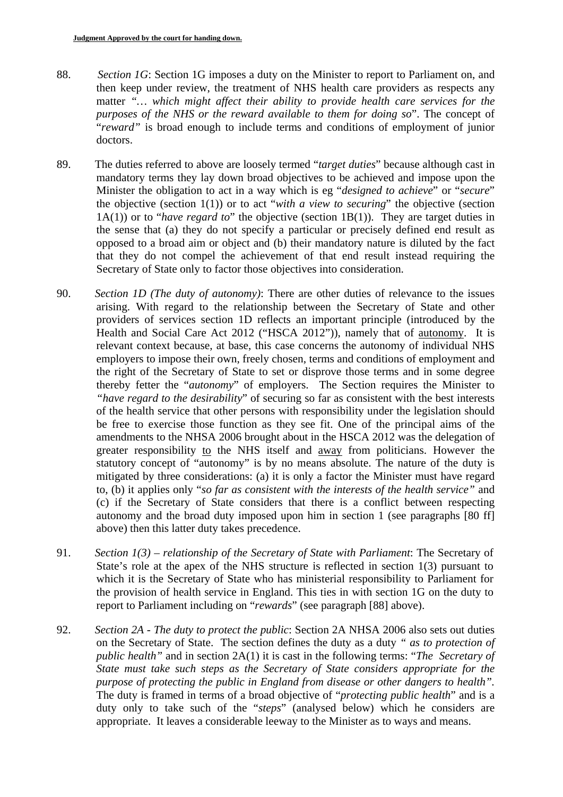- 88. *Section 1G*: Section 1G imposes a duty on the Minister to report to Parliament on, and then keep under review, the treatment of NHS health care providers as respects any matter *"… which might affect their ability to provide health care services for the purposes of the NHS or the reward available to them for doing so*". The concept of "*reward"* is broad enough to include terms and conditions of employment of junior doctors.
- 89. The duties referred to above are loosely termed "*target duties*" because although cast in mandatory terms they lay down broad objectives to be achieved and impose upon the Minister the obligation to act in a way which is eg "*designed to achieve*" or "*secure*" the objective (section 1(1)) or to act "*with a view to securing*" the objective (section 1A(1)) or to "*have regard to*" the objective (section 1B(1)). They are target duties in the sense that (a) they do not specify a particular or precisely defined end result as opposed to a broad aim or object and (b) their mandatory nature is diluted by the fact that they do not compel the achievement of that end result instead requiring the Secretary of State only to factor those objectives into consideration.
- 90. *Section 1D (The duty of autonomy)*: There are other duties of relevance to the issues arising. With regard to the relationship between the Secretary of State and other providers of services section 1D reflects an important principle (introduced by the Health and Social Care Act 2012 ("HSCA 2012")), namely that of autonomy. It is relevant context because, at base, this case concerns the autonomy of individual NHS employers to impose their own, freely chosen, terms and conditions of employment and the right of the Secretary of State to set or disprove those terms and in some degree thereby fetter the "*autonomy*" of employers. The Section requires the Minister to *"have regard to the desirability*" of securing so far as consistent with the best interests of the health service that other persons with responsibility under the legislation should be free to exercise those function as they see fit. One of the principal aims of the amendments to the NHSA 2006 brought about in the HSCA 2012 was the delegation of greater responsibility to the NHS itself and away from politicians. However the statutory concept of "autonomy" is by no means absolute. The nature of the duty is mitigated by three considerations: (a) it is only a factor the Minister must have regard to, (b) it applies only "*so far as consistent with the interests of the health service"* and (c) if the Secretary of State considers that there is a conflict between respecting autonomy and the broad duty imposed upon him in section 1 (see paragraphs [80 ff] above) then this latter duty takes precedence.
- 91. *Section 1(3) relationship of the Secretary of State with Parliament*: The Secretary of State's role at the apex of the NHS structure is reflected in section 1(3) pursuant to which it is the Secretary of State who has ministerial responsibility to Parliament for the provision of health service in England. This ties in with section 1G on the duty to report to Parliament including on "*rewards*" (see paragraph [88] above).
- *purpose of protecting the public in England from disease or other dangers to health".* 92. *Section 2A - The duty to protect the public*: Section 2A NHSA 2006 also sets out duties on the Secretary of State. The section defines the duty as a duty *" as to protection of public health"* and in section 2A(1) it is cast in the following terms: "*The Secretary of State must take such steps as the Secretary of State considers appropriate for the*  The duty is framed in terms of a broad objective of "*protecting public health*" and is a duty only to take such of the "*steps*" (analysed below) which he considers are appropriate. It leaves a considerable leeway to the Minister as to ways and means.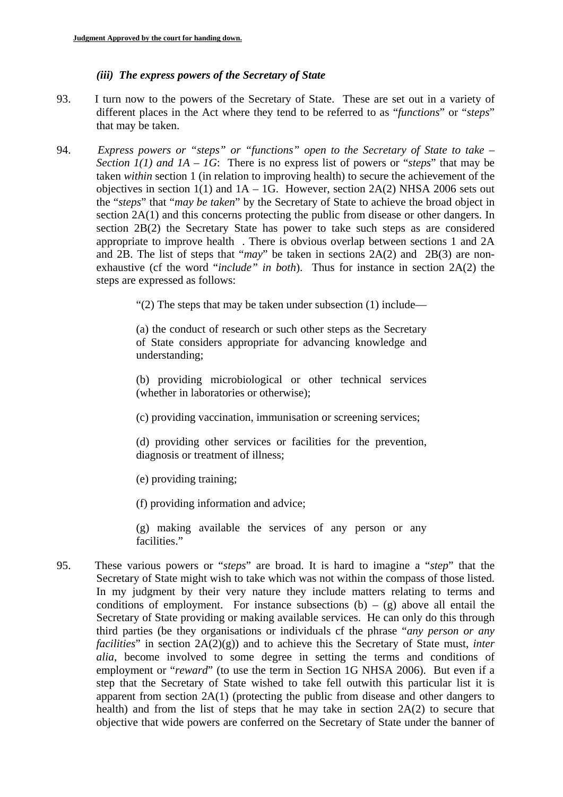## *(iii) The express powers of the Secretary of State*

- 93. I turn now to the powers of the Secretary of State. These are set out in a variety of different places in the Act where they tend to be referred to as "*functions*" or "*steps*" that may be taken.
- 94. *Express powers or "steps" or "functions" open to the Secretary of State to take Section 1(1) and 1A – 1G*: There is no express list of powers or "*steps*" that may be taken *within* section 1 (in relation to improving health) to secure the achievement of the objectives in section  $1(1)$  and  $1A - 1G$ . However, section  $2A(2)$  NHSA 2006 sets out the "*steps*" that "*may be taken*" by the Secretary of State to achieve the broad object in section 2A(1) and this concerns protecting the public from disease or other dangers. In section 2B(2) the Secretary State has power to take such steps as are considered appropriate to improve health . There is obvious overlap between sections 1 and 2A and 2B. The list of steps that "*may*" be taken in sections 2A(2) and 2B(3) are nonexhaustive (cf the word "*include" in both*). Thus for instance in section 2A(2) the steps are expressed as follows:

"(2) The steps that may be taken under subsection (1) include—

(a) the conduct of research or such other steps as the Secretary of State considers appropriate for advancing knowledge and understanding;

(b) providing microbiological or other technical services (whether in laboratories or otherwise);

(c) providing vaccination, immunisation or screening services;

(d) providing other services or facilities for the prevention, diagnosis or treatment of illness;

(e) providing training;

(f) providing information and advice;

(g) making available the services of any person or any facilities."

95. These various powers or "*steps*" are broad. It is hard to imagine a "*step*" that the Secretary of State might wish to take which was not within the compass of those listed. In my judgment by their very nature they include matters relating to terms and conditions of employment. For instance subsections  $(b) - (g)$  above all entail the Secretary of State providing or making available services. He can only do this through third parties (be they organisations or individuals cf the phrase "*any person or any facilities*" in section 2A(2)(g)) and to achieve this the Secretary of State must, *inter alia*, become involved to some degree in setting the terms and conditions of employment or "*reward*" (to use the term in Section 1G NHSA 2006). But even if a step that the Secretary of State wished to take fell outwith this particular list it is apparent from section 2A(1) (protecting the public from disease and other dangers to health) and from the list of steps that he may take in section 2A(2) to secure that objective that wide powers are conferred on the Secretary of State under the banner of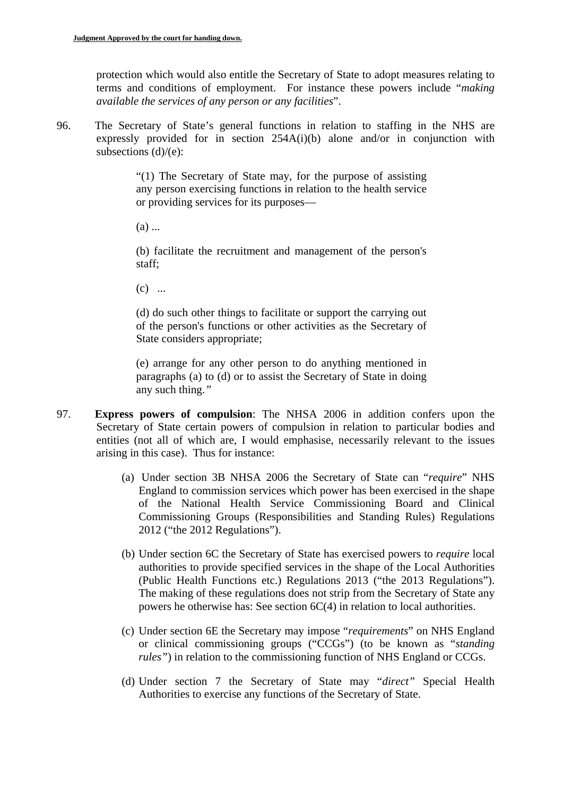protection which would also entitle the Secretary of State to adopt measures relating to terms and conditions of employment. For instance these powers include "*making available the services of any person or any facilities*".

96. The Secretary of State's general functions in relation to staffing in the NHS are expressly provided for in section 254A(i)(b) alone and/or in conjunction with subsections  $(d)/(e)$ :

> "(1) The Secretary of State may, for the purpose of assisting any person exercising functions in relation to the health service or providing services for its purposes—

 $(a)$  ...

staff: (b) facilitate the recruitment and management of the person's

 $(c)$  ...

(d) do such other things to facilitate or support the carrying out of the person's functions or other activities as the Secretary of State considers appropriate;

(e) arrange for any other person to do anything mentioned in paragraphs (a) to (d) or to assist the Secretary of State in doing any such thing.*"* 

- 97. **Express powers of compulsion**: The NHSA 2006 in addition confers upon the Secretary of State certain powers of compulsion in relation to particular bodies and entities (not all of which are, I would emphasise, necessarily relevant to the issues arising in this case). Thus for instance:
	- (a) Under section 3B NHSA 2006 the Secretary of State can "*require*" NHS England to commission services which power has been exercised in the shape of the National Health Service Commissioning Board and Clinical Commissioning Groups (Responsibilities and Standing Rules) Regulations 2012 ("the 2012 Regulations").
	- (b) Under section 6C the Secretary of State has exercised powers to *require* local authorities to provide specified services in the shape of the Local Authorities (Public Health Functions etc.) Regulations 2013 ("the 2013 Regulations"). The making of these regulations does not strip from the Secretary of State any powers he otherwise has: See section 6C(4) in relation to local authorities.
	- (c) Under section 6E the Secretary may impose "*requirements*" on NHS England or clinical commissioning groups ("CCGs") (to be known as "*standing rules*") in relation to the commissioning function of NHS England or CCGs.
	- (d) Under section 7 the Secretary of State may "*direct"* Special Health Authorities to exercise any functions of the Secretary of State.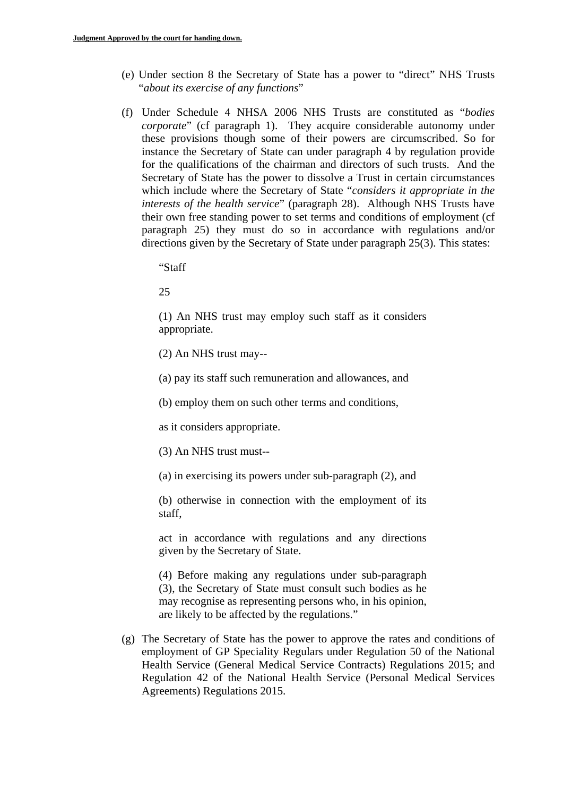- (e) Under section 8 the Secretary of State has a power to "direct" NHS Trusts "*about its exercise of any functions*"
- (f) Under Schedule 4 NHSA 2006 NHS Trusts are constituted as "*bodies corporate*" (cf paragraph 1). They acquire considerable autonomy under these provisions though some of their powers are circumscribed. So for instance the Secretary of State can under paragraph 4 by regulation provide for the qualifications of the chairman and directors of such trusts. And the Secretary of State has the power to dissolve a Trust in certain circumstances which include where the Secretary of State "*considers it appropriate in the interests of the health service*" (paragraph 28). Although NHS Trusts have their own free standing power to set terms and conditions of employment (cf paragraph 25) they must do so in accordance with regulations and/or directions given by the Secretary of State under paragraph 25(3). This states:

"Staff

25

(1) An NHS trust may employ such staff as it considers appropriate.

(2) An NHS trust may--

(a) pay its staff such remuneration and allowances, and

(b) employ them on such other terms and conditions,

as it considers appropriate.

(3) An NHS trust must--

(a) in exercising its powers under sub-paragraph (2), and

(b) otherwise in connection with the employment of its staff,

act in accordance with regulations and any directions given by the Secretary of State.

(4) Before making any regulations under sub-paragraph (3), the Secretary of State must consult such bodies as he may recognise as representing persons who, in his opinion, are likely to be affected by the regulations."

(g) The Secretary of State has the power to approve the rates and conditions of employment of GP Speciality Regulars under Regulation 50 of the National Health Service (General Medical Service Contracts) Regulations 2015; and Regulation 42 of the National Health Service (Personal Medical Services Agreements) Regulations 2015.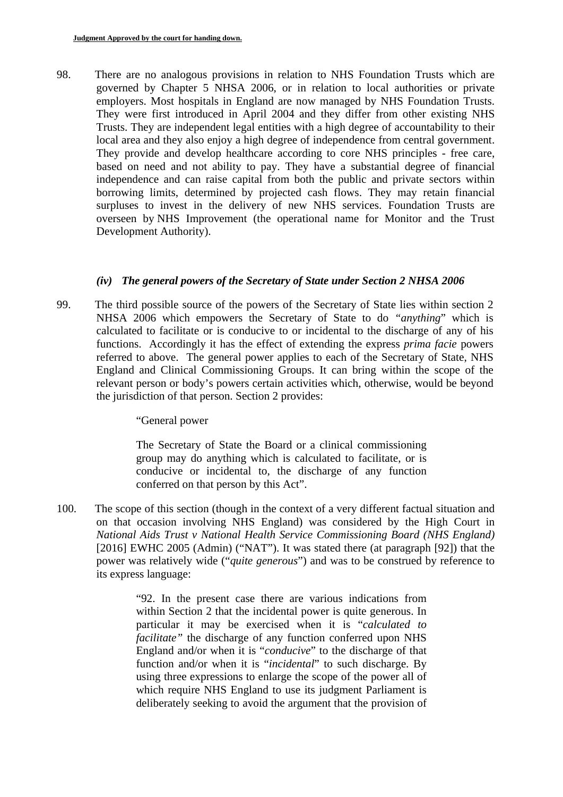98. There are no analogous provisions in relation to NHS Foundation Trusts which are governed by Chapter 5 NHSA 2006, or in relation to local authorities or private employers. Most hospitals in England are now managed by NHS Foundation Trusts. They were first introduced in April 2004 and they differ from other existing NHS Trusts. They are independent legal entities with a high degree of accountability to their local area and they also enjoy a high degree of independence from central government. They provide and develop healthcare according to core NHS principles - free care, based on need and not ability to pay. They have a substantial degree of financial independence and can raise capital from both the public and private sectors within borrowing limits, determined by projected cash flows. They may retain financial surpluses to invest in the delivery of new NHS services. Foundation Trusts are overseen by NHS Improvement (the operational name for Monitor and the Trust Development Authority).

### *(iv) The general powers of the Secretary of State under Section 2 NHSA 2006*

99. The third possible source of the powers of the Secretary of State lies within section 2 NHSA 2006 which empowers the Secretary of State to do *"anything*" which is calculated to facilitate or is conducive to or incidental to the discharge of any of his functions. Accordingly it has the effect of extending the express *prima facie* powers referred to above. The general power applies to each of the Secretary of State, NHS England and Clinical Commissioning Groups. It can bring within the scope of the relevant person or body's powers certain activities which, otherwise, would be beyond the jurisdiction of that person. Section 2 provides:

"General power

The Secretary of State the Board or a clinical commissioning group may do anything which is calculated to facilitate, or is conducive or incidental to, the discharge of any function conferred on that person by this Act".

100. The scope of this section (though in the context of a very different factual situation and on that occasion involving NHS England) was considered by the High Court in *National Aids Trust v National Health Service Commissioning Board (NHS England)*  [2016] EWHC 2005 (Admin) ("NAT"). It was stated there (at paragraph [92]) that the power was relatively wide ("*quite generous*") and was to be construed by reference to its express language:

> "92. In the present case there are various indications from within Section 2 that the incidental power is quite generous. In particular it may be exercised when it is "*calculated to facilitate"* the discharge of any function conferred upon NHS England and/or when it is "*conducive*" to the discharge of that function and/or when it is "*incidental*" to such discharge. By using three expressions to enlarge the scope of the power all of which require NHS England to use its judgment Parliament is deliberately seeking to avoid the argument that the provision of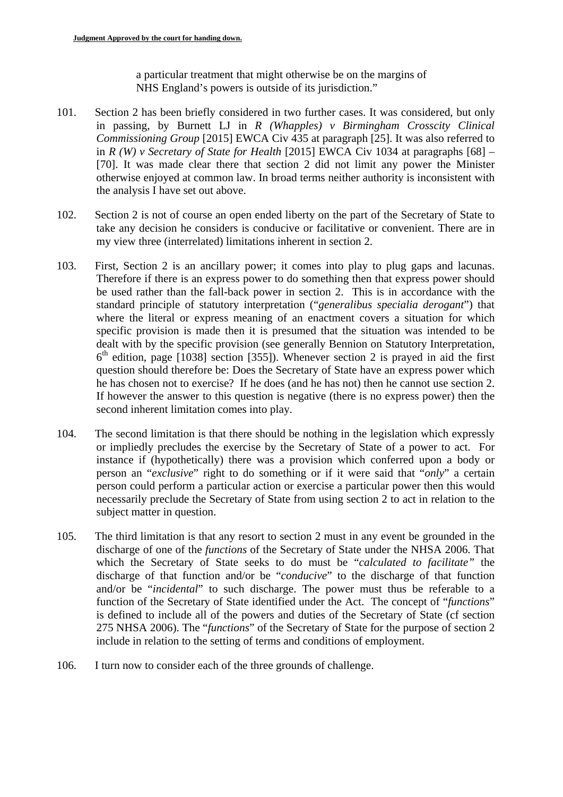a particular treatment that might otherwise be on the margins of NHS England's powers is outside of its jurisdiction."

- 101. Section 2 has been briefly considered in two further cases. It was considered, but only in passing, by Burnett LJ in *R (Whapples) v Birmingham Crosscity Clinical Commissioning Group* [2015] EWCA Civ 435 at paragraph [25]. It was also referred to in *R (W) v Secretary of State for Health* [2015] EWCA Civ 1034 at paragraphs [68] – [70]. It was made clear there that section 2 did not limit any power the Minister otherwise enjoyed at common law. In broad terms neither authority is inconsistent with the analysis I have set out above.
- 102. Section 2 is not of course an open ended liberty on the part of the Secretary of State to take any decision he considers is conducive or facilitative or convenient. There are in my view three (interrelated) limitations inherent in section 2.
- 103. First, Section 2 is an ancillary power; it comes into play to plug gaps and lacunas. Therefore if there is an express power to do something then that express power should be used rather than the fall-back power in section 2. This is in accordance with the standard principle of statutory interpretation ("*generalibus specialia derogant*") that where the literal or express meaning of an enactment covers a situation for which specific provision is made then it is presumed that the situation was intended to be dealt with by the specific provision (see generally Bennion on Statutory Interpretation,  $6<sup>th</sup>$  edition, page [1038] section [355]). Whenever section 2 is prayed in aid the first question should therefore be: Does the Secretary of State have an express power which he has chosen not to exercise? If he does (and he has not) then he cannot use section 2. If however the answer to this question is negative (there is no express power) then the second inherent limitation comes into play.
- 104. The second limitation is that there should be nothing in the legislation which expressly or impliedly precludes the exercise by the Secretary of State of a power to act. For instance if (hypothetically) there was a provision which conferred upon a body or person an "*exclusive*" right to do something or if it were said that "*only*" a certain person could perform a particular action or exercise a particular power then this would necessarily preclude the Secretary of State from using section 2 to act in relation to the subject matter in question.
- 105. The third limitation is that any resort to section 2 must in any event be grounded in the discharge of one of the *functions* of the Secretary of State under the NHSA 2006. That which the Secretary of State seeks to do must be "*calculated to facilitate"* the discharge of that function and/or be "*conducive*" to the discharge of that function and/or be "*incidental*" to such discharge. The power must thus be referable to a function of the Secretary of State identified under the Act. The concept of "*functions*" is defined to include all of the powers and duties of the Secretary of State (cf section 275 NHSA 2006). The "*functions*" of the Secretary of State for the purpose of section 2 include in relation to the setting of terms and conditions of employment.
- 106. I turn now to consider each of the three grounds of challenge.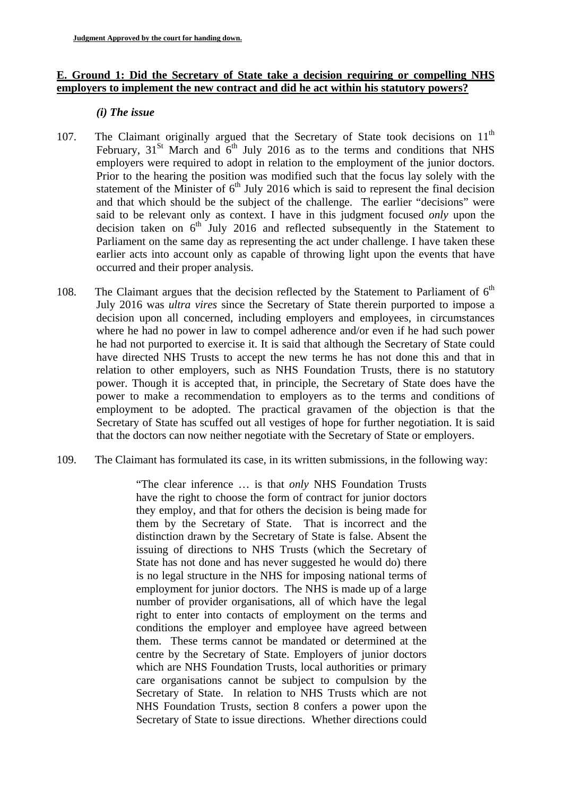### **E. Ground 1: Did the Secretary of State take a decision requiring or compelling NHS employers to implement the new contract and did he act within his statutory powers?**

#### *(i) The issue*

- 107. The Claimant originally argued that the Secretary of State took decisions on  $11<sup>th</sup>$ February,  $31^{St}$  March and  $6^{th}$  July 2016 as to the terms and conditions that NHS employers were required to adopt in relation to the employment of the junior doctors. Prior to the hearing the position was modified such that the focus lay solely with the statement of the Minister of  $6<sup>th</sup>$  July 2016 which is said to represent the final decision and that which should be the subject of the challenge. The earlier "decisions" were said to be relevant only as context. I have in this judgment focused *only* upon the decision taken on  $6<sup>th</sup>$  July 2016 and reflected subsequently in the Statement to Parliament on the same day as representing the act under challenge. I have taken these earlier acts into account only as capable of throwing light upon the events that have occurred and their proper analysis.
- 108. The Claimant argues that the decision reflected by the Statement to Parliament of  $6<sup>th</sup>$ July 2016 was *ultra vires* since the Secretary of State therein purported to impose a decision upon all concerned, including employers and employees, in circumstances where he had no power in law to compel adherence and/or even if he had such power he had not purported to exercise it. It is said that although the Secretary of State could have directed NHS Trusts to accept the new terms he has not done this and that in relation to other employers, such as NHS Foundation Trusts, there is no statutory power. Though it is accepted that, in principle, the Secretary of State does have the power to make a recommendation to employers as to the terms and conditions of employment to be adopted. The practical gravamen of the objection is that the Secretary of State has scuffed out all vestiges of hope for further negotiation. It is said that the doctors can now neither negotiate with the Secretary of State or employers.
- 109. The Claimant has formulated its case, in its written submissions, in the following way:

"The clear inference … is that *only* NHS Foundation Trusts have the right to choose the form of contract for junior doctors they employ, and that for others the decision is being made for them by the Secretary of State. That is incorrect and the distinction drawn by the Secretary of State is false. Absent the issuing of directions to NHS Trusts (which the Secretary of State has not done and has never suggested he would do) there is no legal structure in the NHS for imposing national terms of employment for junior doctors. The NHS is made up of a large number of provider organisations, all of which have the legal right to enter into contacts of employment on the terms and conditions the employer and employee have agreed between them. These terms cannot be mandated or determined at the centre by the Secretary of State. Employers of junior doctors which are NHS Foundation Trusts, local authorities or primary care organisations cannot be subject to compulsion by the Secretary of State. In relation to NHS Trusts which are not NHS Foundation Trusts, section 8 confers a power upon the Secretary of State to issue directions. Whether directions could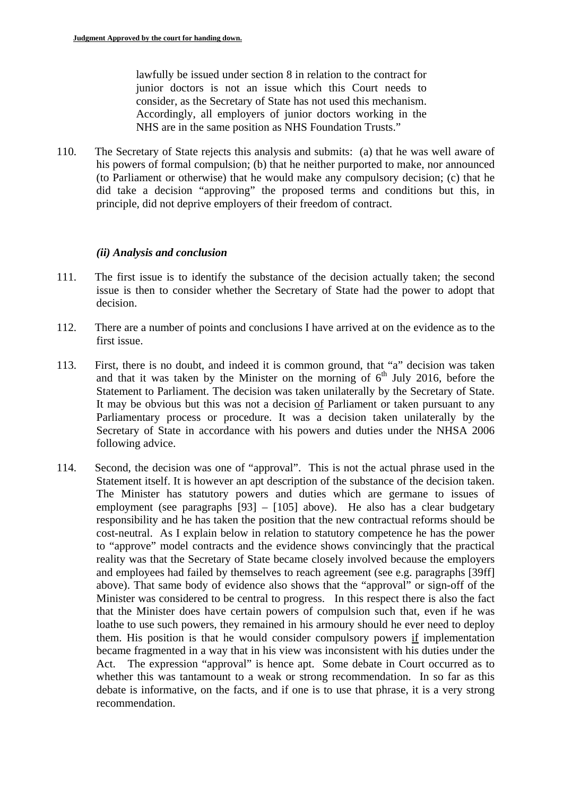lawfully be issued under section 8 in relation to the contract for junior doctors is not an issue which this Court needs to consider, as the Secretary of State has not used this mechanism. Accordingly, all employers of junior doctors working in the NHS are in the same position as NHS Foundation Trusts."

110. The Secretary of State rejects this analysis and submits: (a) that he was well aware of his powers of formal compulsion; (b) that he neither purported to make, nor announced (to Parliament or otherwise) that he would make any compulsory decision; (c) that he did take a decision "approving" the proposed terms and conditions but this, in principle, did not deprive employers of their freedom of contract.

#### *(ii) Analysis and conclusion*

- 111. The first issue is to identify the substance of the decision actually taken; the second issue is then to consider whether the Secretary of State had the power to adopt that decision.
- 112. There are a number of points and conclusions I have arrived at on the evidence as to the first issue.
- 113. First, there is no doubt, and indeed it is common ground, that "a" decision was taken and that it was taken by the Minister on the morning of  $6<sup>th</sup>$  July 2016, before the Statement to Parliament. The decision was taken unilaterally by the Secretary of State. It may be obvious but this was not a decision of Parliament or taken pursuant to any Parliamentary process or procedure. It was a decision taken unilaterally by the Secretary of State in accordance with his powers and duties under the NHSA 2006 following advice.
- 114. Second, the decision was one of "approval". This is not the actual phrase used in the Statement itself. It is however an apt description of the substance of the decision taken. The Minister has statutory powers and duties which are germane to issues of employment (see paragraphs [93] – [105] above). He also has a clear budgetary responsibility and he has taken the position that the new contractual reforms should be cost-neutral. As I explain below in relation to statutory competence he has the power to "approve" model contracts and the evidence shows convincingly that the practical reality was that the Secretary of State became closely involved because the employers and employees had failed by themselves to reach agreement (see e.g. paragraphs [39ff] above). That same body of evidence also shows that the "approval" or sign-off of the Minister was considered to be central to progress. In this respect there is also the fact that the Minister does have certain powers of compulsion such that, even if he was loathe to use such powers, they remained in his armoury should he ever need to deploy them. His position is that he would consider compulsory powers if implementation became fragmented in a way that in his view was inconsistent with his duties under the Act. The expression "approval" is hence apt. Some debate in Court occurred as to whether this was tantamount to a weak or strong recommendation. In so far as this debate is informative, on the facts, and if one is to use that phrase, it is a very strong recommendation.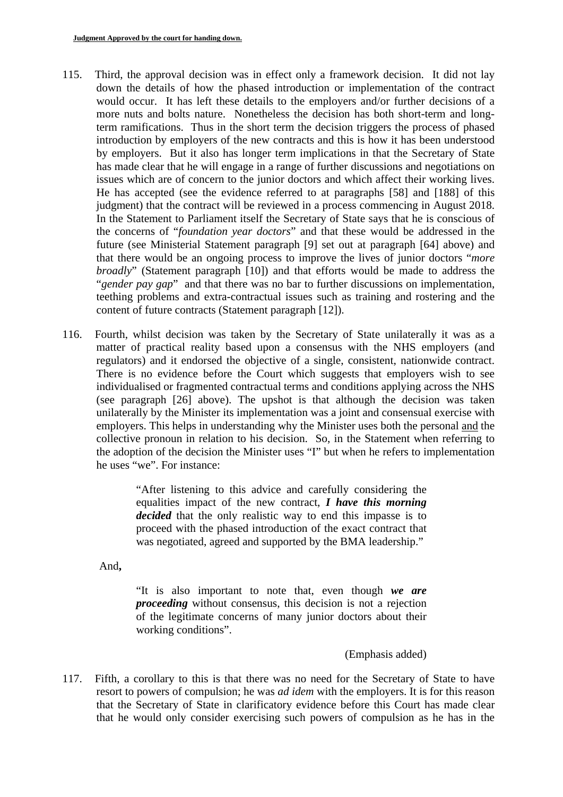- 115. Third, the approval decision was in effect only a framework decision. It did not lay down the details of how the phased introduction or implementation of the contract would occur. It has left these details to the employers and/or further decisions of a more nuts and bolts nature. Nonetheless the decision has both short-term and longterm ramifications. Thus in the short term the decision triggers the process of phased introduction by employers of the new contracts and this is how it has been understood by employers. But it also has longer term implications in that the Secretary of State has made clear that he will engage in a range of further discussions and negotiations on issues which are of concern to the junior doctors and which affect their working lives. He has accepted (see the evidence referred to at paragraphs [58] and [188] of this judgment) that the contract will be reviewed in a process commencing in August 2018. In the Statement to Parliament itself the Secretary of State says that he is conscious of the concerns of "*foundation year doctors*" and that these would be addressed in the future (see Ministerial Statement paragraph [9] set out at paragraph [64] above) and that there would be an ongoing process to improve the lives of junior doctors "*more broadly*" (Statement paragraph [10]) and that efforts would be made to address the "*gender pay gap*" and that there was no bar to further discussions on implementation, teething problems and extra-contractual issues such as training and rostering and the content of future contracts (Statement paragraph [12]).
- 116. Fourth, whilst decision was taken by the Secretary of State unilaterally it was as a matter of practical reality based upon a consensus with the NHS employers (and regulators) and it endorsed the objective of a single, consistent, nationwide contract. There is no evidence before the Court which suggests that employers wish to see individualised or fragmented contractual terms and conditions applying across the NHS (see paragraph [26] above). The upshot is that although the decision was taken unilaterally by the Minister its implementation was a joint and consensual exercise with employers. This helps in understanding why the Minister uses both the personal and the collective pronoun in relation to his decision. So, in the Statement when referring to the adoption of the decision the Minister uses "I" but when he refers to implementation he uses "we". For instance:

"After listening to this advice and carefully considering the equalities impact of the new contract, *I have this morning decided* that the only realistic way to end this impasse is to proceed with the phased introduction of the exact contract that was negotiated, agreed and supported by the BMA leadership."

And**,** 

"It is also important to note that, even though *we are proceeding* without consensus, this decision is not a rejection of the legitimate concerns of many junior doctors about their working conditions".

### (Emphasis added)

117. Fifth, a corollary to this is that there was no need for the Secretary of State to have resort to powers of compulsion; he was *ad idem* with the employers. It is for this reason that the Secretary of State in clarificatory evidence before this Court has made clear that he would only consider exercising such powers of compulsion as he has in the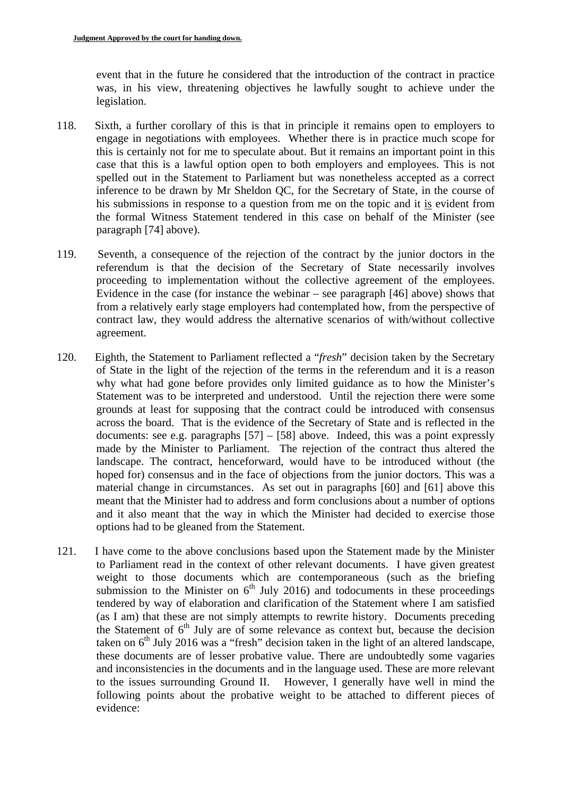event that in the future he considered that the introduction of the contract in practice was, in his view, threatening objectives he lawfully sought to achieve under the legislation.

- 118. Sixth, a further corollary of this is that in principle it remains open to employers to engage in negotiations with employees. Whether there is in practice much scope for this is certainly not for me to speculate about. But it remains an important point in this case that this is a lawful option open to both employers and employees. This is not spelled out in the Statement to Parliament but was nonetheless accepted as a correct inference to be drawn by Mr Sheldon QC, for the Secretary of State, in the course of his submissions in response to a question from me on the topic and it is evident from the formal Witness Statement tendered in this case on behalf of the Minister (see paragraph [74] above).
- 119. Seventh, a consequence of the rejection of the contract by the junior doctors in the referendum is that the decision of the Secretary of State necessarily involves proceeding to implementation without the collective agreement of the employees. Evidence in the case (for instance the webinar – see paragraph [46] above) shows that from a relatively early stage employers had contemplated how, from the perspective of contract law, they would address the alternative scenarios of with/without collective agreement.
- 120. Eighth, the Statement to Parliament reflected a "*fresh*" decision taken by the Secretary of State in the light of the rejection of the terms in the referendum and it is a reason why what had gone before provides only limited guidance as to how the Minister's Statement was to be interpreted and understood. Until the rejection there were some grounds at least for supposing that the contract could be introduced with consensus across the board. That is the evidence of the Secretary of State and is reflected in the documents: see e.g. paragraphs  $[57] - [58]$  above. Indeed, this was a point expressly made by the Minister to Parliament. The rejection of the contract thus altered the landscape. The contract, henceforward, would have to be introduced without (the hoped for) consensus and in the face of objections from the junior doctors. This was a material change in circumstances. As set out in paragraphs [60] and [61] above this meant that the Minister had to address and form conclusions about a number of options and it also meant that the way in which the Minister had decided to exercise those options had to be gleaned from the Statement.
- 121. I have come to the above conclusions based upon the Statement made by the Minister to Parliament read in the context of other relevant documents. I have given greatest weight to those documents which are contemporaneous (such as the briefing submission to the Minister on  $6<sup>th</sup>$  July 2016) and todocuments in these proceedings tendered by way of elaboration and clarification of the Statement where I am satisfied (as I am) that these are not simply attempts to rewrite history. Documents preceding the Statement of  $6<sup>th</sup>$  July are of some relevance as context but, because the decision taken on  $6<sup>th</sup>$  July 2016 was a "fresh" decision taken in the light of an altered landscape, these documents are of lesser probative value. There are undoubtedly some vagaries and inconsistencies in the documents and in the language used. These are more relevant to the issues surrounding Ground II. However, I generally have well in mind the following points about the probative weight to be attached to different pieces of evidence: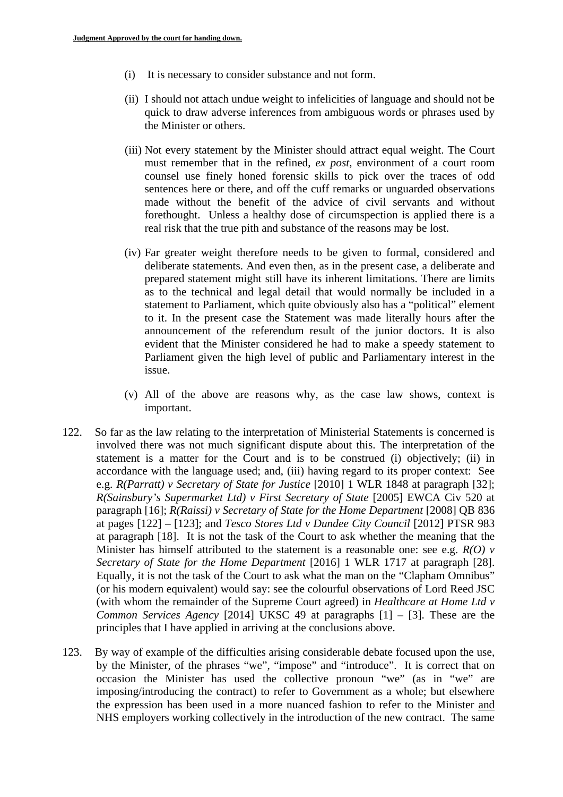- (i) It is necessary to consider substance and not form.
- (ii) I should not attach undue weight to infelicities of language and should not be quick to draw adverse inferences from ambiguous words or phrases used by the Minister or others.
- (iii) Not every statement by the Minister should attract equal weight. The Court must remember that in the refined, *ex post*, environment of a court room counsel use finely honed forensic skills to pick over the traces of odd sentences here or there, and off the cuff remarks or unguarded observations made without the benefit of the advice of civil servants and without forethought. Unless a healthy dose of circumspection is applied there is a real risk that the true pith and substance of the reasons may be lost.
- (iv) Far greater weight therefore needs to be given to formal, considered and deliberate statements. And even then, as in the present case, a deliberate and prepared statement might still have its inherent limitations. There are limits as to the technical and legal detail that would normally be included in a statement to Parliament, which quite obviously also has a "political" element to it. In the present case the Statement was made literally hours after the announcement of the referendum result of the junior doctors. It is also evident that the Minister considered he had to make a speedy statement to Parliament given the high level of public and Parliamentary interest in the issue.
- (v) All of the above are reasons why, as the case law shows, context is important.
- 122. So far as the law relating to the interpretation of Ministerial Statements is concerned is involved there was not much significant dispute about this. The interpretation of the statement is a matter for the Court and is to be construed (i) objectively; (ii) in accordance with the language used; and, (iii) having regard to its proper context: See e.g. *R(Parratt) v Secretary of State for Justice* [2010] 1 WLR 1848 at paragraph [32]; *R(Sainsbury's Supermarket Ltd) v First Secretary of State* [2005] EWCA Civ 520 at paragraph [16]; *R(Raissi) v Secretary of State for the Home Department* [2008] QB 836 at pages [122] – [123]; and *Tesco Stores Ltd v Dundee City Council* [2012] PTSR 983 at paragraph [18]. It is not the task of the Court to ask whether the meaning that the Minister has himself attributed to the statement is a reasonable one: see e.g. *R(O) v Secretary of State for the Home Department* [2016] 1 WLR 1717 at paragraph [28]. Equally, it is not the task of the Court to ask what the man on the "Clapham Omnibus" (or his modern equivalent) would say: see the colourful observations of Lord Reed JSC (with whom the remainder of the Supreme Court agreed) in *Healthcare at Home Ltd v Common Services Agency* [2014] UKSC 49 at paragraphs [1] – [3]. These are the principles that I have applied in arriving at the conclusions above.
- 123. By way of example of the difficulties arising considerable debate focused upon the use, by the Minister, of the phrases "we", "impose" and "introduce". It is correct that on occasion the Minister has used the collective pronoun "we" (as in "we" are imposing/introducing the contract) to refer to Government as a whole; but elsewhere the expression has been used in a more nuanced fashion to refer to the Minister and NHS employers working collectively in the introduction of the new contract. The same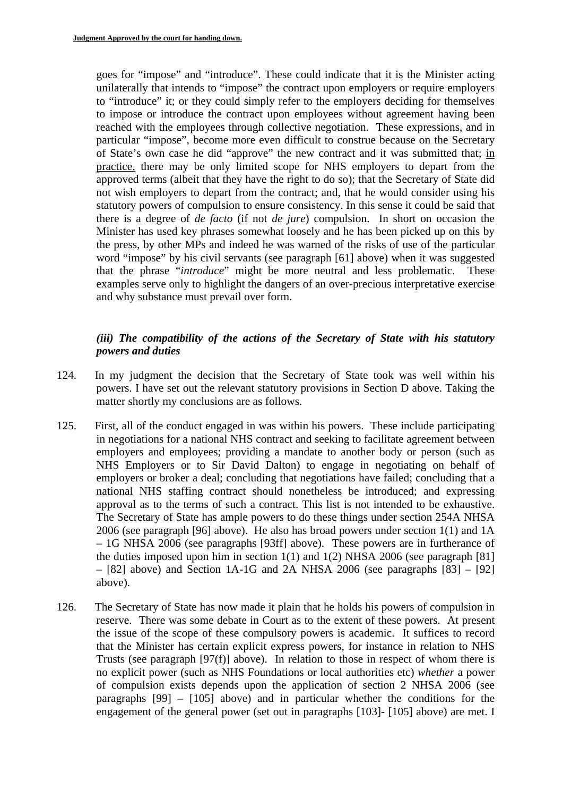goes for "impose" and "introduce". These could indicate that it is the Minister acting unilaterally that intends to "impose" the contract upon employers or require employers to "introduce" it; or they could simply refer to the employers deciding for themselves to impose or introduce the contract upon employees without agreement having been reached with the employees through collective negotiation. These expressions, and in particular "impose", become more even difficult to construe because on the Secretary of State's own case he did "approve" the new contract and it was submitted that; in practice, there may be only limited scope for NHS employers to depart from the approved terms (albeit that they have the right to do so); that the Secretary of State did not wish employers to depart from the contract; and, that he would consider using his statutory powers of compulsion to ensure consistency. In this sense it could be said that there is a degree of *de facto* (if not *de jure*) compulsion. In short on occasion the Minister has used key phrases somewhat loosely and he has been picked up on this by the press, by other MPs and indeed he was warned of the risks of use of the particular word "impose" by his civil servants (see paragraph [61] above) when it was suggested that the phrase "*introduce*" might be more neutral and less problematic. These examples serve only to highlight the dangers of an over-precious interpretative exercise and why substance must prevail over form.

## *(iii) The compatibility of the actions of the Secretary of State with his statutory powers and duties*

- 124. In my judgment the decision that the Secretary of State took was well within his powers. I have set out the relevant statutory provisions in Section D above. Taking the matter shortly my conclusions are as follows.
- approval as to the terms of such a contract. This list is not intended to be exhaustive. 125. First, all of the conduct engaged in was within his powers. These include participating in negotiations for a national NHS contract and seeking to facilitate agreement between employers and employees; providing a mandate to another body or person (such as NHS Employers or to Sir David Dalton) to engage in negotiating on behalf of employers or broker a deal; concluding that negotiations have failed; concluding that a national NHS staffing contract should nonetheless be introduced; and expressing The Secretary of State has ample powers to do these things under section 254A NHSA 2006 (see paragraph [96] above). He also has broad powers under section 1(1) and 1A – 1G NHSA 2006 (see paragraphs [93ff] above). These powers are in furtherance of the duties imposed upon him in section  $1(1)$  and  $1(2)$  NHSA 2006 (see paragraph [81]  $-$  [82] above) and Section 1A-1G and 2A NHSA 2006 (see paragraphs  $[83] - [92]$ above).
- 126. The Secretary of State has now made it plain that he holds his powers of compulsion in reserve. There was some debate in Court as to the extent of these powers. At present the issue of the scope of these compulsory powers is academic. It suffices to record that the Minister has certain explicit express powers, for instance in relation to NHS Trusts (see paragraph [97(f)] above). In relation to those in respect of whom there is no explicit power (such as NHS Foundations or local authorities etc) *whether* a power of compulsion exists depends upon the application of section 2 NHSA 2006 (see paragraphs [99] – [105] above) and in particular whether the conditions for the engagement of the general power (set out in paragraphs [103]- [105] above) are met. I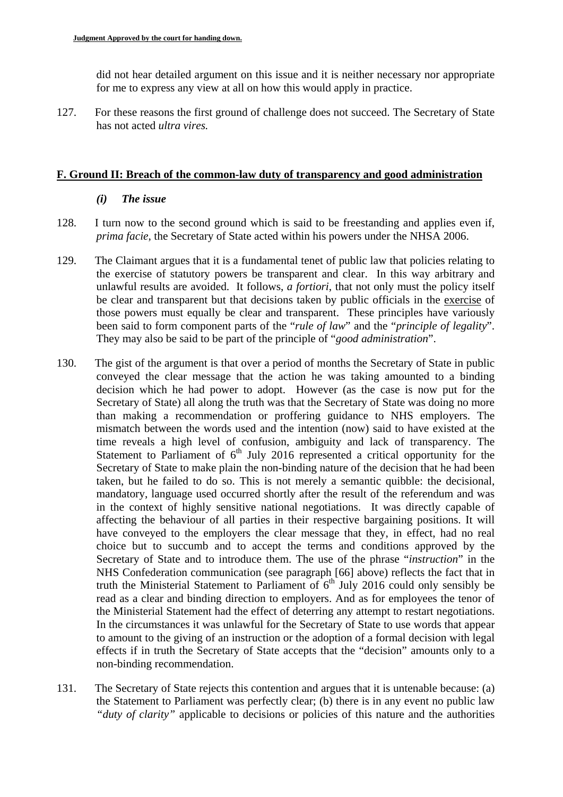did not hear detailed argument on this issue and it is neither necessary nor appropriate for me to express any view at all on how this would apply in practice.

127. For these reasons the first ground of challenge does not succeed. The Secretary of State has not acted *ultra vires.* 

#### **F. Ground II: Breach of the common-law duty of transparency and good administration**

#### *(i) The issue*

- 128. I turn now to the second ground which is said to be freestanding and applies even if, *prima facie*, the Secretary of State acted within his powers under the NHSA 2006.
- 129. The Claimant argues that it is a fundamental tenet of public law that policies relating to the exercise of statutory powers be transparent and clear. In this way arbitrary and unlawful results are avoided. It follows, *a fortiori*, that not only must the policy itself be clear and transparent but that decisions taken by public officials in the exercise of those powers must equally be clear and transparent. These principles have variously been said to form component parts of the "*rule of law*" and the "*principle of legality*". They may also be said to be part of the principle of "*good administration*".
- 130. The gist of the argument is that over a period of months the Secretary of State in public conveyed the clear message that the action he was taking amounted to a binding decision which he had power to adopt. However (as the case is now put for the Secretary of State) all along the truth was that the Secretary of State was doing no more than making a recommendation or proffering guidance to NHS employers. The mismatch between the words used and the intention (now) said to have existed at the time reveals a high level of confusion, ambiguity and lack of transparency. The Statement to Parliament of 6<sup>th</sup> July 2016 represented a critical opportunity for the Secretary of State to make plain the non-binding nature of the decision that he had been taken, but he failed to do so. This is not merely a semantic quibble: the decisional, mandatory, language used occurred shortly after the result of the referendum and was in the context of highly sensitive national negotiations. It was directly capable of affecting the behaviour of all parties in their respective bargaining positions. It will have conveyed to the employers the clear message that they, in effect, had no real choice but to succumb and to accept the terms and conditions approved by the Secretary of State and to introduce them. The use of the phrase "*instruction*" in the NHS Confederation communication (see paragraph [66] above) reflects the fact that in truth the Ministerial Statement to Parliament of  $6<sup>th</sup>$  July 2016 could only sensibly be read as a clear and binding direction to employers. And as for employees the tenor of the Ministerial Statement had the effect of deterring any attempt to restart negotiations. In the circumstances it was unlawful for the Secretary of State to use words that appear to amount to the giving of an instruction or the adoption of a formal decision with legal effects if in truth the Secretary of State accepts that the "decision" amounts only to a non-binding recommendation.
- 131. The Secretary of State rejects this contention and argues that it is untenable because: (a) the Statement to Parliament was perfectly clear; (b) there is in any event no public law *"duty of clarity"* applicable to decisions or policies of this nature and the authorities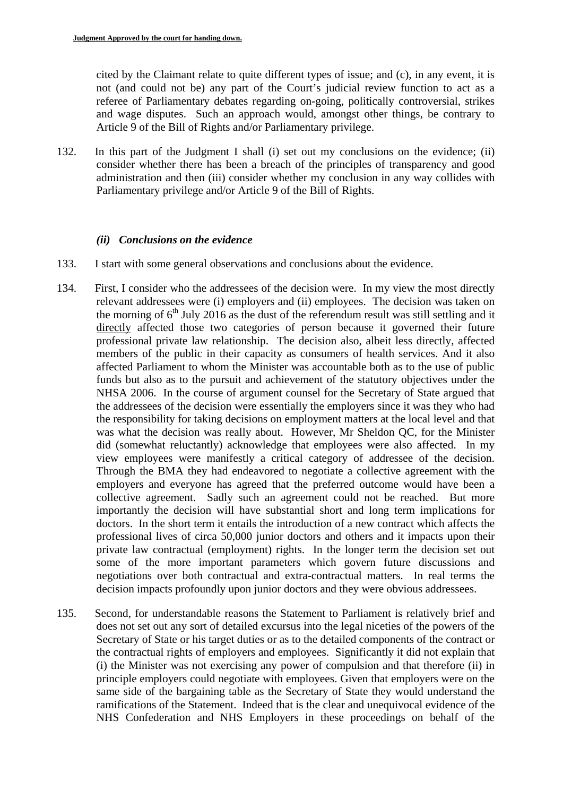cited by the Claimant relate to quite different types of issue; and (c), in any event, it is not (and could not be) any part of the Court's judicial review function to act as a referee of Parliamentary debates regarding on-going, politically controversial, strikes and wage disputes. Such an approach would, amongst other things, be contrary to Article 9 of the Bill of Rights and/or Parliamentary privilege.

132. In this part of the Judgment I shall (i) set out my conclusions on the evidence; (ii) consider whether there has been a breach of the principles of transparency and good administration and then (iii) consider whether my conclusion in any way collides with Parliamentary privilege and/or Article 9 of the Bill of Rights.

#### *(ii) Conclusions on the evidence*

- 133. I start with some general observations and conclusions about the evidence.
- 134. First, I consider who the addressees of the decision were. In my view the most directly relevant addressees were (i) employers and (ii) employees. The decision was taken on the morning of  $6<sup>th</sup>$  July 2016 as the dust of the referendum result was still settling and it directly affected those two categories of person because it governed their future professional private law relationship. The decision also, albeit less directly, affected members of the public in their capacity as consumers of health services. And it also affected Parliament to whom the Minister was accountable both as to the use of public funds but also as to the pursuit and achievement of the statutory objectives under the NHSA 2006. In the course of argument counsel for the Secretary of State argued that the addressees of the decision were essentially the employers since it was they who had the responsibility for taking decisions on employment matters at the local level and that was what the decision was really about. However, Mr Sheldon QC, for the Minister did (somewhat reluctantly) acknowledge that employees were also affected. In my view employees were manifestly a critical category of addressee of the decision. Through the BMA they had endeavored to negotiate a collective agreement with the employers and everyone has agreed that the preferred outcome would have been a collective agreement. Sadly such an agreement could not be reached. But more importantly the decision will have substantial short and long term implications for doctors. In the short term it entails the introduction of a new contract which affects the professional lives of circa 50,000 junior doctors and others and it impacts upon their private law contractual (employment) rights. In the longer term the decision set out some of the more important parameters which govern future discussions and negotiations over both contractual and extra-contractual matters. In real terms the decision impacts profoundly upon junior doctors and they were obvious addressees.
- 135. Second, for understandable reasons the Statement to Parliament is relatively brief and does not set out any sort of detailed excursus into the legal niceties of the powers of the Secretary of State or his target duties or as to the detailed components of the contract or the contractual rights of employers and employees. Significantly it did not explain that (i) the Minister was not exercising any power of compulsion and that therefore (ii) in principle employers could negotiate with employees. Given that employers were on the same side of the bargaining table as the Secretary of State they would understand the ramifications of the Statement. Indeed that is the clear and unequivocal evidence of the NHS Confederation and NHS Employers in these proceedings on behalf of the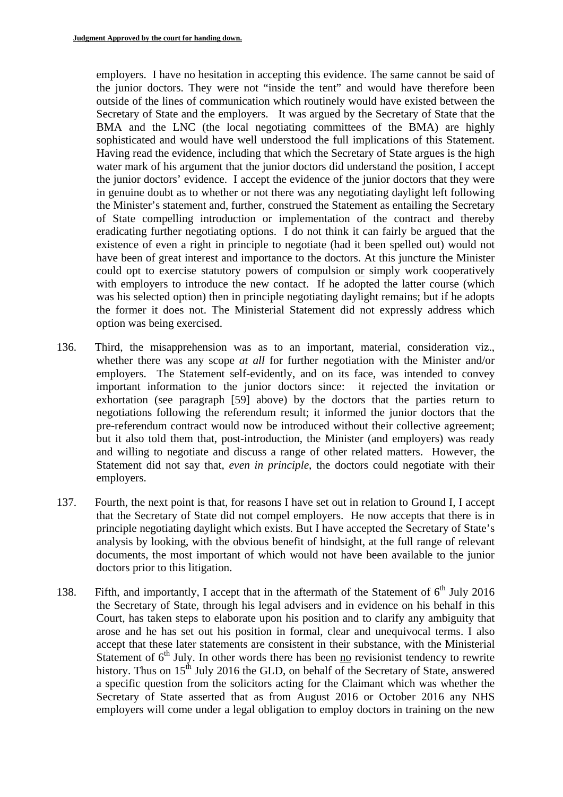employers. I have no hesitation in accepting this evidence. The same cannot be said of the junior doctors. They were not "inside the tent" and would have therefore been outside of the lines of communication which routinely would have existed between the Secretary of State and the employers. It was argued by the Secretary of State that the BMA and the LNC (the local negotiating committees of the BMA) are highly sophisticated and would have well understood the full implications of this Statement. Having read the evidence, including that which the Secretary of State argues is the high water mark of his argument that the junior doctors did understand the position, I accept the junior doctors' evidence. I accept the evidence of the junior doctors that they were in genuine doubt as to whether or not there was any negotiating daylight left following the Minister's statement and, further, construed the Statement as entailing the Secretary of State compelling introduction or implementation of the contract and thereby eradicating further negotiating options. I do not think it can fairly be argued that the existence of even a right in principle to negotiate (had it been spelled out) would not have been of great interest and importance to the doctors. At this juncture the Minister could opt to exercise statutory powers of compulsion or simply work cooperatively with employers to introduce the new contact. If he adopted the latter course (which was his selected option) then in principle negotiating daylight remains; but if he adopts the former it does not. The Ministerial Statement did not expressly address which option was being exercised.

- 136. Third, the misapprehension was as to an important, material, consideration viz., whether there was any scope *at all* for further negotiation with the Minister and/or employers. The Statement self-evidently, and on its face, was intended to convey important information to the junior doctors since: it rejected the invitation or exhortation (see paragraph [59] above) by the doctors that the parties return to negotiations following the referendum result; it informed the junior doctors that the pre-referendum contract would now be introduced without their collective agreement; but it also told them that, post-introduction, the Minister (and employers) was ready and willing to negotiate and discuss a range of other related matters. However, the Statement did not say that, *even in principle*, the doctors could negotiate with their employers.
- 137. Fourth, the next point is that, for reasons I have set out in relation to Ground I, I accept that the Secretary of State did not compel employers. He now accepts that there is in principle negotiating daylight which exists. But I have accepted the Secretary of State's analysis by looking, with the obvious benefit of hindsight, at the full range of relevant documents, the most important of which would not have been available to the junior doctors prior to this litigation.
- 138. Fifth, and importantly, I accept that in the aftermath of the Statement of  $6<sup>th</sup>$  July 2016 the Secretary of State, through his legal advisers and in evidence on his behalf in this Court, has taken steps to elaborate upon his position and to clarify any ambiguity that arose and he has set out his position in formal, clear and unequivocal terms. I also accept that these later statements are consistent in their substance, with the Ministerial Statement of  $6<sup>th</sup>$  July. In other words there has been no revisionist tendency to rewrite history. Thus on  $15<sup>th</sup>$  July 2016 the GLD, on behalf of the Secretary of State, answered a specific question from the solicitors acting for the Claimant which was whether the Secretary of State asserted that as from August 2016 or October 2016 any NHS employers will come under a legal obligation to employ doctors in training on the new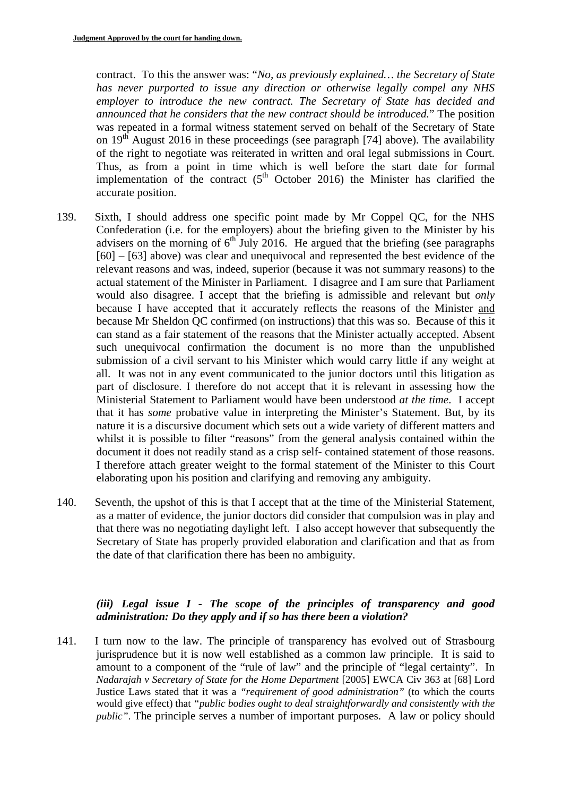contract. To this the answer was: "*No, as previously explained… the Secretary of State has never purported to issue any direction or otherwise legally compel any NHS employer to introduce the new contract. The Secretary of State has decided and announced that he considers that the new contract should be introduced.*" The position was repeated in a formal witness statement served on behalf of the Secretary of State on  $19<sup>th</sup>$  August 2016 in these proceedings (see paragraph [74] above). The availability of the right to negotiate was reiterated in written and oral legal submissions in Court. Thus, as from a point in time which is well before the start date for formal implementation of the contract  $(5<sup>th</sup> October 2016)$  the Minister has clarified the accurate position.

- 139. Sixth, I should address one specific point made by Mr Coppel QC, for the NHS Confederation (i.e. for the employers) about the briefing given to the Minister by his advisers on the morning of  $6<sup>th</sup>$  July 2016. He argued that the briefing (see paragraphs [60] – [63] above) was clear and unequivocal and represented the best evidence of the relevant reasons and was, indeed, superior (because it was not summary reasons) to the actual statement of the Minister in Parliament. I disagree and I am sure that Parliament would also disagree. I accept that the briefing is admissible and relevant but *only*  because I have accepted that it accurately reflects the reasons of the Minister and because Mr Sheldon QC confirmed (on instructions) that this was so. Because of this it can stand as a fair statement of the reasons that the Minister actually accepted. Absent such unequivocal confirmation the document is no more than the unpublished submission of a civil servant to his Minister which would carry little if any weight at all. It was not in any event communicated to the junior doctors until this litigation as part of disclosure. I therefore do not accept that it is relevant in assessing how the Ministerial Statement to Parliament would have been understood *at the time*. I accept that it has *some* probative value in interpreting the Minister's Statement. But, by its nature it is a discursive document which sets out a wide variety of different matters and whilst it is possible to filter "reasons" from the general analysis contained within the document it does not readily stand as a crisp self- contained statement of those reasons. I therefore attach greater weight to the formal statement of the Minister to this Court elaborating upon his position and clarifying and removing any ambiguity.
- 140. Seventh, the upshot of this is that I accept that at the time of the Ministerial Statement, as a matter of evidence, the junior doctors did consider that compulsion was in play and that there was no negotiating daylight left. I also accept however that subsequently the Secretary of State has properly provided elaboration and clarification and that as from the date of that clarification there has been no ambiguity.

# *(iii) Legal issue I - The scope of the principles of transparency and good administration: Do they apply and if so has there been a violation?*

141. I turn now to the law. The principle of transparency has evolved out of Strasbourg jurisprudence but it is now well established as a common law principle. It is said to amount to a component of the "rule of law" and the principle of "legal certainty". In *Nadarajah v Secretary of State for the Home Department* [2005] EWCA Civ 363 at [68] Lord Justice Laws stated that it was a *"requirement of good administration"* (to which the courts would give effect) that *"public bodies ought to deal straightforwardly and consistently with the public*". The principle serves a number of important purposes. A law or policy should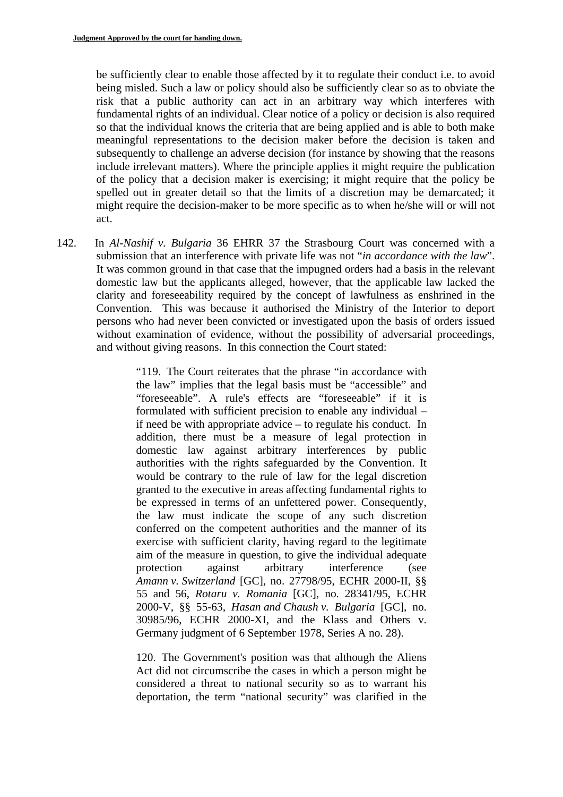be sufficiently clear to enable those affected by it to regulate their conduct i.e. to avoid being misled. Such a law or policy should also be sufficiently clear so as to obviate the risk that a public authority can act in an arbitrary way which interferes with fundamental rights of an individual. Clear notice of a policy or decision is also required so that the individual knows the criteria that are being applied and is able to both make meaningful representations to the decision maker before the decision is taken and subsequently to challenge an adverse decision (for instance by showing that the reasons include irrelevant matters). Where the principle applies it might require the publication of the policy that a decision maker is exercising; it might require that the policy be spelled out in greater detail so that the limits of a discretion may be demarcated; it might require the decision-maker to be more specific as to when he/she will or will not act.

142. In *Al-Nashif v. Bulgaria* 36 EHRR 37 the Strasbourg Court was concerned with a submission that an interference with private life was not "*in accordance with the law*". It was common ground in that case that the impugned orders had a basis in the relevant domestic law but the applicants alleged, however, that the applicable law lacked the clarity and foreseeability required by the concept of lawfulness as enshrined in the Convention. This was because it authorised the Ministry of the Interior to deport persons who had never been convicted or investigated upon the basis of orders issued without examination of evidence, without the possibility of adversarial proceedings, and without giving reasons. In this connection the Court stated:

> "119. The Court reiterates that the phrase "in accordance with the law" implies that the legal basis must be "accessible" and "foreseeable". A rule's effects are "foreseeable" if it is formulated with sufficient precision to enable any individual – if need be with appropriate advice – to regulate his conduct. In addition, there must be a measure of legal protection in domestic law against arbitrary interferences by public authorities with the rights safeguarded by the Convention. It would be contrary to the rule of law for the legal discretion granted to the executive in areas affecting fundamental rights to be expressed in terms of an unfettered power. Consequently, the law must indicate the scope of any such discretion conferred on the competent authorities and the manner of its exercise with sufficient clarity, having regard to the legitimate aim of the measure in question, to give the individual adequate protection against arbitrary interference (see *Amann v. Switzerland* [GC], no. 27798/95, ECHR 2000-II, §§ 55 and 56, *Rotaru v. Romania* [GC], no. 28341/95, ECHR 2000-V, §§ 55-63*, Hasan and Chaush v. Bulgaria* [GC], no. 30985/96, ECHR 2000-XI, and the Klass and Others v. Germany judgment of 6 September 1978, Series A no. 28).

> 120. The Government's position was that although the Aliens Act did not circumscribe the cases in which a person might be considered a threat to national security so as to warrant his deportation, the term "national security" was clarified in the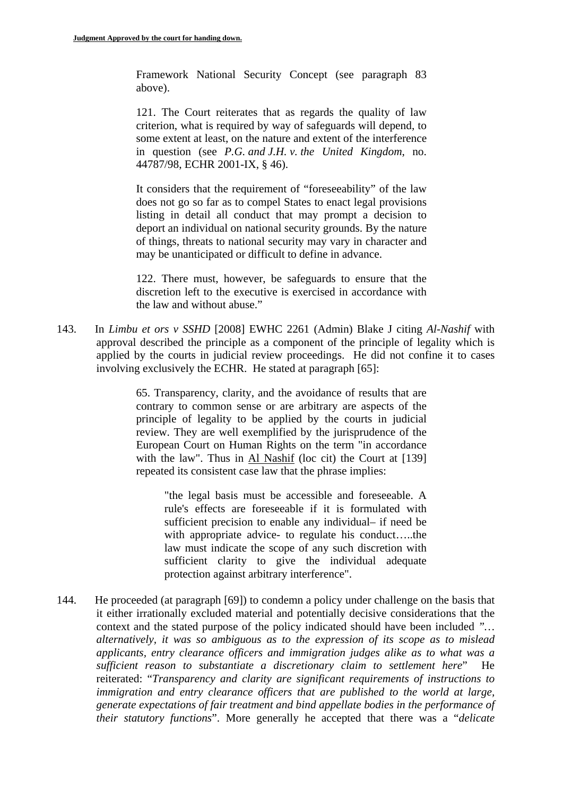Framework National Security Concept (see paragraph 83 above).

121. The Court reiterates that as regards the quality of law criterion, what is required by way of safeguards will depend, to some extent at least, on the nature and extent of the interference in question (see *P.G. and J.H. v. the United Kingdom*, no. 44787/98, ECHR 2001-IX, § 46).

It considers that the requirement of "foreseeability" of the law does not go so far as to compel States to enact legal provisions listing in detail all conduct that may prompt a decision to deport an individual on national security grounds. By the nature of things, threats to national security may vary in character and may be unanticipated or difficult to define in advance.

122. There must, however, be safeguards to ensure that the discretion left to the executive is exercised in accordance with the law and without abuse."

143. In *Limbu et ors v SSHD* [2008] EWHC 2261 (Admin) Blake J citing *Al-Nashif* with approval described the principle as a component of the principle of legality which is applied by the courts in judicial review proceedings. He did not confine it to cases involving exclusively the ECHR. He stated at paragraph [65]:

> 65. Transparency, clarity, and the avoidance of results that are contrary to common sense or are arbitrary are aspects of the principle of legality to be applied by the courts in judicial review. They are well exemplified by the jurisprudence of the European Court on Human Rights on the term "in accordance with the law". Thus in Al Nashif (loc cit) the Court at [139] repeated its consistent case law that the phrase implies:

"the legal basis must be accessible and foreseeable. A rule's effects are foreseeable if it is formulated with sufficient precision to enable any individual– if need be with appropriate advice- to regulate his conduct…..the law must indicate the scope of any such discretion with sufficient clarity to give the individual adequate protection against arbitrary interference".

 context and the stated purpose of the policy indicated should have been included *"…*  144. He proceeded (at paragraph [69]) to condemn a policy under challenge on the basis that it either irrationally excluded material and potentially decisive considerations that the *alternatively, it was so ambiguous as to the expression of its scope as to mislead applicants, entry clearance officers and immigration judges alike as to what was a sufficient reason to substantiate a discretionary claim to settlement here*" He reiterated: "*Transparency and clarity are significant requirements of instructions to immigration and entry clearance officers that are published to the world at large, generate expectations of fair treatment and bind appellate bodies in the performance of their statutory functions*". More generally he accepted that there was a "*delicate*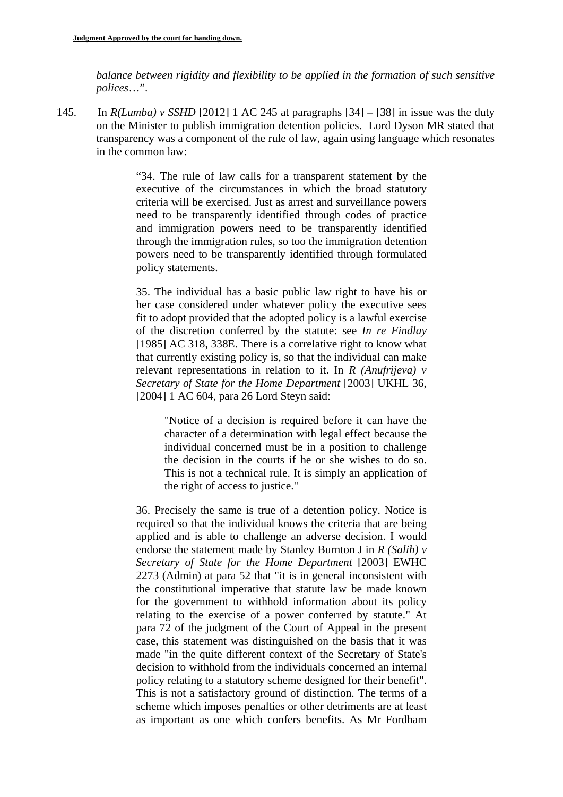*balance between rigidity and flexibility to be applied in the formation of such sensitive polices*…".

145. In *R(Lumba) v SSHD* [2012] 1 AC 245 at paragraphs [34] – [38] in issue was the duty on the Minister to publish immigration detention policies. Lord Dyson MR stated that transparency was a component of the rule of law, again using language which resonates in the common law:

> "34. The rule of law calls for a transparent statement by the executive of the circumstances in which the broad statutory criteria will be exercised. Just as arrest and surveillance powers need to be transparently identified through codes of practice and immigration powers need to be transparently identified through the immigration rules, so too the immigration detention powers need to be transparently identified through formulated policy statements.

> 35. The individual has a basic public law right to have his or her case considered under whatever policy the executive sees fit to adopt provided that the adopted policy is a lawful exercise of the discretion conferred by the statute: see *In re Findlay*  [1985] AC 318, 338E. There is a correlative right to know what that currently existing policy is, so that the individual can make relevant representations in relation to it. In *R (Anufrijeva) v Secretary of State for the Home Department* [2003] UKHL 36, [2004] 1 AC 604, para 26 Lord Steyn said:

"Notice of a decision is required before it can have the character of a determination with legal effect because the individual concerned must be in a position to challenge the decision in the courts if he or she wishes to do so. This is not a technical rule. It is simply an application of the right of access to justice."

36. Precisely the same is true of a detention policy. Notice is required so that the individual knows the criteria that are being applied and is able to challenge an adverse decision. I would endorse the statement made by Stanley Burnton J in *R (Salih) v Secretary of State for the Home Department* [2003] EWHC 2273 (Admin) at para 52 that "it is in general inconsistent with the constitutional imperative that statute law be made known for the government to withhold information about its policy relating to the exercise of a power conferred by statute." At para 72 of the judgment of the Court of Appeal in the present case, this statement was distinguished on the basis that it was made "in the quite different context of the Secretary of State's decision to withhold from the individuals concerned an internal policy relating to a statutory scheme designed for their benefit". This is not a satisfactory ground of distinction. The terms of a scheme which imposes penalties or other detriments are at least as important as one which confers benefits. As Mr Fordham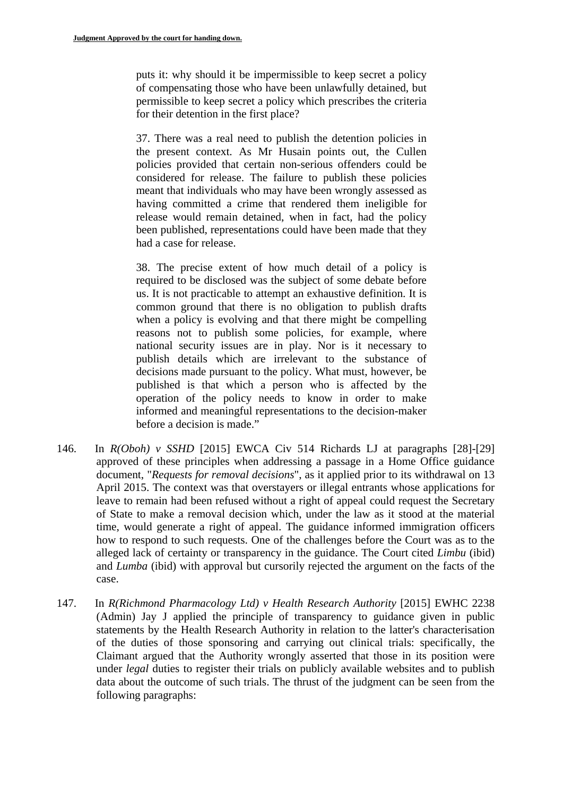puts it: why should it be impermissible to keep secret a policy of compensating those who have been unlawfully detained, but permissible to keep secret a policy which prescribes the criteria for their detention in the first place?

37. There was a real need to publish the detention policies in the present context. As Mr Husain points out, the Cullen policies provided that certain non-serious offenders could be considered for release. The failure to publish these policies meant that individuals who may have been wrongly assessed as having committed a crime that rendered them ineligible for release would remain detained, when in fact, had the policy been published, representations could have been made that they had a case for release.

38. The precise extent of how much detail of a policy is required to be disclosed was the subject of some debate before us. It is not practicable to attempt an exhaustive definition. It is common ground that there is no obligation to publish drafts when a policy is evolving and that there might be compelling reasons not to publish some policies, for example, where national security issues are in play. Nor is it necessary to publish details which are irrelevant to the substance of decisions made pursuant to the policy. What must, however, be published is that which a person who is affected by the operation of the policy needs to know in order to make informed and meaningful representations to the decision-maker before a decision is made."

- 146. In *R(Oboh) v SSHD* [2015] EWCA Civ 514 Richards LJ at paragraphs [28]-[29] approved of these principles when addressing a passage in a Home Office guidance document, "*Requests for removal decisions*", as it applied prior to its withdrawal on 13 April 2015. The context was that overstayers or illegal entrants whose applications for leave to remain had been refused without a right of appeal could request the Secretary of State to make a removal decision which, under the law as it stood at the material time, would generate a right of appeal. The guidance informed immigration officers how to respond to such requests. One of the challenges before the Court was as to the alleged lack of certainty or transparency in the guidance. The Court cited *Limbu* (ibid) and *Lumba* (ibid) with approval but cursorily rejected the argument on the facts of the case.
- 147. In *R(Richmond Pharmacology Ltd) v Health Research Authority* [2015] EWHC 2238 (Admin) Jay J applied the principle of transparency to guidance given in public statements by the Health Research Authority in relation to the latter's characterisation of the duties of those sponsoring and carrying out clinical trials: specifically, the Claimant argued that the Authority wrongly asserted that those in its position were under *legal* duties to register their trials on publicly available websites and to publish data about the outcome of such trials. The thrust of the judgment can be seen from the following paragraphs: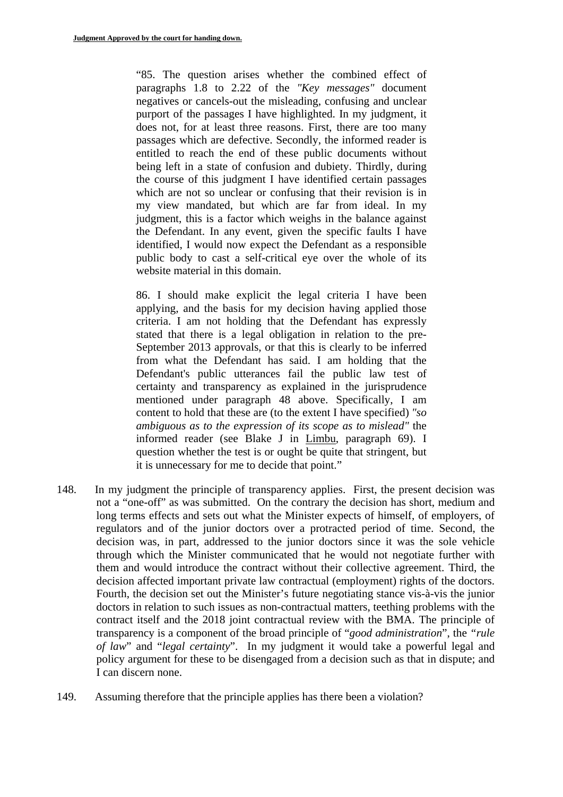"85. The question arises whether the combined effect of paragraphs 1.8 to 2.22 of the *"Key messages"* document negatives or cancels-out the misleading, confusing and unclear purport of the passages I have highlighted. In my judgment, it does not, for at least three reasons. First, there are too many passages which are defective. Secondly, the informed reader is entitled to reach the end of these public documents without being left in a state of confusion and dubiety. Thirdly, during the course of this judgment I have identified certain passages which are not so unclear or confusing that their revision is in my view mandated, but which are far from ideal. In my judgment, this is a factor which weighs in the balance against the Defendant. In any event, given the specific faults I have identified, I would now expect the Defendant as a responsible public body to cast a self-critical eye over the whole of its website material in this domain.

86. I should make explicit the legal criteria I have been applying, and the basis for my decision having applied those criteria. I am not holding that the Defendant has expressly stated that there is a legal obligation in relation to the pre-September 2013 approvals, or that this is clearly to be inferred from what the Defendant has said. I am holding that the Defendant's public utterances fail the public law test of certainty and transparency as explained in the jurisprudence mentioned under paragraph 48 above. Specifically, I am content to hold that these are (to the extent I have specified) *"so ambiguous as to the expression of its scope as to mislead"* the informed reader (see Blake J in Limbu, paragraph 69). I question whether the test is or ought be quite that stringent, but it is unnecessary for me to decide that point."

- 148. In my judgment the principle of transparency applies. First, the present decision was not a "one-off" as was submitted. On the contrary the decision has short, medium and long terms effects and sets out what the Minister expects of himself, of employers, of regulators and of the junior doctors over a protracted period of time. Second, the decision was, in part, addressed to the junior doctors since it was the sole vehicle through which the Minister communicated that he would not negotiate further with them and would introduce the contract without their collective agreement. Third, the decision affected important private law contractual (employment) rights of the doctors. Fourth, the decision set out the Minister's future negotiating stance vis-à-vis the junior doctors in relation to such issues as non-contractual matters, teething problems with the contract itself and the 2018 joint contractual review with the BMA. The principle of transparency is a component of the broad principle of "*good administration*", the *"rule of law*" and "*legal certainty*". In my judgment it would take a powerful legal and policy argument for these to be disengaged from a decision such as that in dispute; and I can discern none.
- 149. Assuming therefore that the principle applies has there been a violation?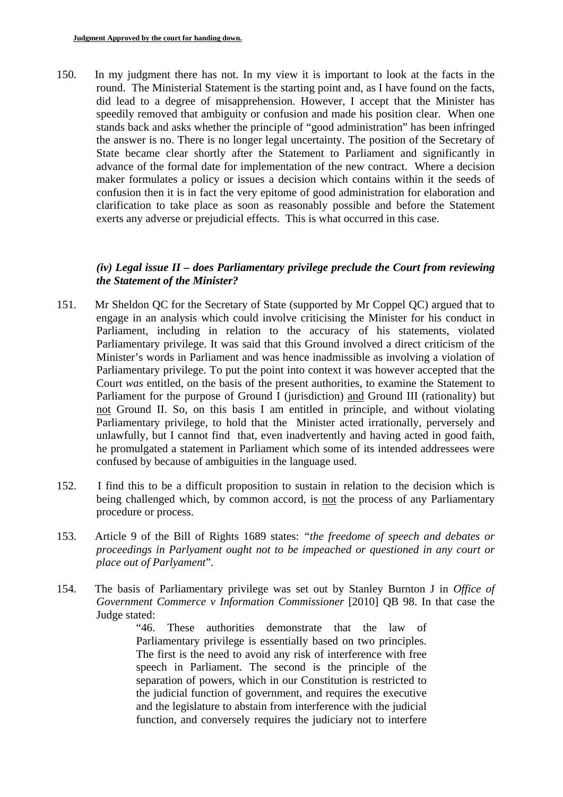150. In my judgment there has not. In my view it is important to look at the facts in the round. The Ministerial Statement is the starting point and, as I have found on the facts, did lead to a degree of misapprehension. However, I accept that the Minister has speedily removed that ambiguity or confusion and made his position clear. When one stands back and asks whether the principle of "good administration" has been infringed the answer is no. There is no longer legal uncertainty. The position of the Secretary of State became clear shortly after the Statement to Parliament and significantly in advance of the formal date for implementation of the new contract. Where a decision maker formulates a policy or issues a decision which contains within it the seeds of confusion then it is in fact the very epitome of good administration for elaboration and clarification to take place as soon as reasonably possible and before the Statement exerts any adverse or prejudicial effects. This is what occurred in this case.

## *(iv) Legal issue II – does Parliamentary privilege preclude the Court from reviewing the Statement of the Minister?*

- 151. Mr Sheldon QC for the Secretary of State (supported by Mr Coppel QC) argued that to engage in an analysis which could involve criticising the Minister for his conduct in Parliament, including in relation to the accuracy of his statements, violated Parliamentary privilege. It was said that this Ground involved a direct criticism of the Minister's words in Parliament and was hence inadmissible as involving a violation of Parliamentary privilege. To put the point into context it was however accepted that the Court *was* entitled, on the basis of the present authorities, to examine the Statement to Parliament for the purpose of Ground I (jurisdiction) and Ground III (rationality) but not Ground II. So, on this basis I am entitled in principle, and without violating Parliamentary privilege, to hold that the Minister acted irrationally, perversely and unlawfully, but I cannot find that, even inadvertently and having acted in good faith, he promulgated a statement in Parliament which some of its intended addressees were confused by because of ambiguities in the language used.
- 152. I find this to be a difficult proposition to sustain in relation to the decision which is being challenged which, by common accord, is not the process of any Parliamentary procedure or process.
- place out of Parlyament". 153. Article 9 of the Bill of Rights 1689 states: *"the freedome of speech and debates or proceedings in Parlyament ought not to be impeached or questioned in any court or*
- 154. The basis of Parliamentary privilege was set out by Stanley Burnton J in *Office of Government Commerce v Information Commissioner* [2010] QB 98. In that case the Judge stated:

"46. These authorities demonstrate that the law of Parliamentary privilege is essentially based on two principles. The first is the need to avoid any risk of interference with free speech in Parliament. The second is the principle of the separation of powers, which in our Constitution is restricted to the judicial function of government, and requires the executive and the legislature to abstain from interference with the judicial function, and conversely requires the judiciary not to interfere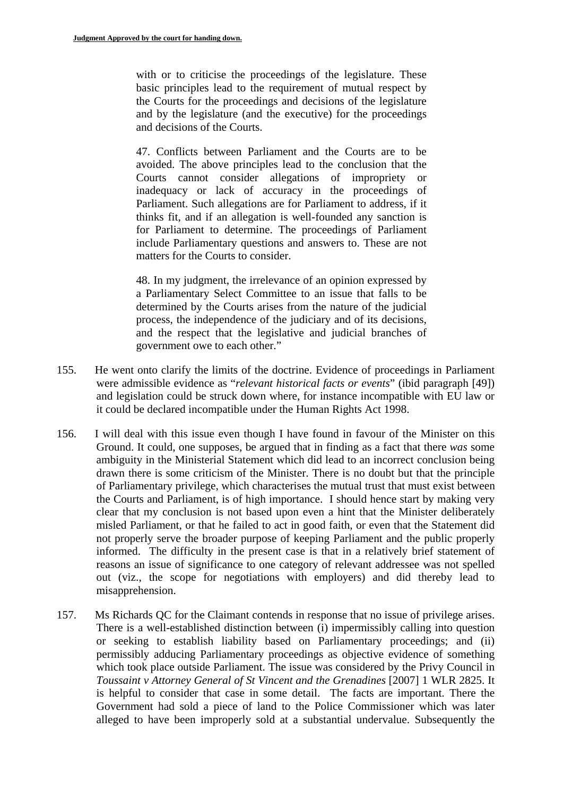with or to criticise the proceedings of the legislature. These basic principles lead to the requirement of mutual respect by the Courts for the proceedings and decisions of the legislature and by the legislature (and the executive) for the proceedings and decisions of the Courts.

47. Conflicts between Parliament and the Courts are to be avoided. The above principles lead to the conclusion that the Courts cannot consider allegations of impropriety or inadequacy or lack of accuracy in the proceedings of Parliament. Such allegations are for Parliament to address, if it thinks fit, and if an allegation is well-founded any sanction is for Parliament to determine. The proceedings of Parliament include Parliamentary questions and answers to. These are not matters for the Courts to consider.

48. In my judgment, the irrelevance of an opinion expressed by a Parliamentary Select Committee to an issue that falls to be determined by the Courts arises from the nature of the judicial process, the independence of the judiciary and of its decisions, and the respect that the legislative and judicial branches of government owe to each other."

- 155. He went onto clarify the limits of the doctrine. Evidence of proceedings in Parliament were admissible evidence as "*relevant historical facts or events*" (ibid paragraph [49]) and legislation could be struck down where, for instance incompatible with EU law or it could be declared incompatible under the Human Rights Act 1998.
- 156. I will deal with this issue even though I have found in favour of the Minister on this Ground. It could, one supposes, be argued that in finding as a fact that there *was* some ambiguity in the Ministerial Statement which did lead to an incorrect conclusion being drawn there is some criticism of the Minister. There is no doubt but that the principle of Parliamentary privilege, which characterises the mutual trust that must exist between the Courts and Parliament, is of high importance. I should hence start by making very clear that my conclusion is not based upon even a hint that the Minister deliberately misled Parliament, or that he failed to act in good faith, or even that the Statement did not properly serve the broader purpose of keeping Parliament and the public properly informed. The difficulty in the present case is that in a relatively brief statement of reasons an issue of significance to one category of relevant addressee was not spelled out (viz., the scope for negotiations with employers) and did thereby lead to misapprehension.
- 157. Ms Richards QC for the Claimant contends in response that no issue of privilege arises. There is a well-established distinction between (i) impermissibly calling into question or seeking to establish liability based on Parliamentary proceedings; and (ii) permissibly adducing Parliamentary proceedings as objective evidence of something which took place outside Parliament. The issue was considered by the Privy Council in *Toussaint v Attorney General of St Vincent and the Grenadines* [2007] 1 WLR 2825. It is helpful to consider that case in some detail. The facts are important. There the Government had sold a piece of land to the Police Commissioner which was later alleged to have been improperly sold at a substantial undervalue. Subsequently the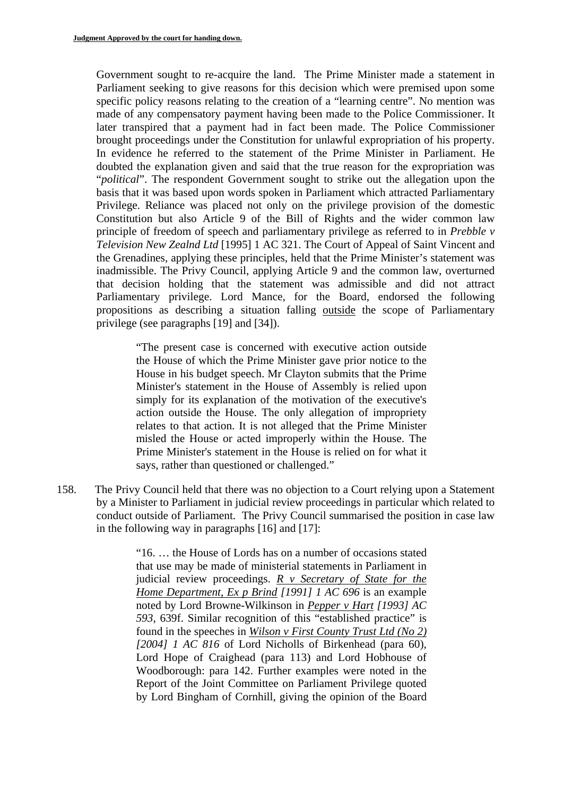Government sought to re-acquire the land. The Prime Minister made a statement in Parliament seeking to give reasons for this decision which were premised upon some specific policy reasons relating to the creation of a "learning centre". No mention was made of any compensatory payment having been made to the Police Commissioner. It later transpired that a payment had in fact been made. The Police Commissioner brought proceedings under the Constitution for unlawful expropriation of his property. In evidence he referred to the statement of the Prime Minister in Parliament. He doubted the explanation given and said that the true reason for the expropriation was "*political*". The respondent Government sought to strike out the allegation upon the basis that it was based upon words spoken in Parliament which attracted Parliamentary Privilege. Reliance was placed not only on the privilege provision of the domestic Constitution but also Article 9 of the Bill of Rights and the wider common law principle of freedom of speech and parliamentary privilege as referred to in *Prebble v Television New Zealnd Ltd* [1995] 1 AC 321. The Court of Appeal of Saint Vincent and the Grenadines, applying these principles, held that the Prime Minister's statement was inadmissible. The Privy Council, applying Article 9 and the common law, overturned that decision holding that the statement was admissible and did not attract Parliamentary privilege. Lord Mance, for the Board, endorsed the following propositions as describing a situation falling outside the scope of Parliamentary privilege (see paragraphs [19] and [34]).

"The present case is concerned with executive action outside the House of which the Prime Minister gave prior notice to the House in his budget speech. Mr Clayton submits that the Prime Minister's statement in the House of Assembly is relied upon simply for its explanation of the motivation of the executive's action outside the House. The only allegation of impropriety relates to that action. It is not alleged that the Prime Minister misled the House or acted improperly within the House. The Prime Minister's statement in the House is relied on for what it says, rather than questioned or challenged."

158. The Privy Council held that there was no objection to a Court relying upon a Statement by a Minister to Parliament in judicial review proceedings in particular which related to conduct outside of Parliament. The Privy Council summarised the position in case law in the following way in paragraphs [16] and [17]:

> "16. … the House of Lords has on a number of occasions stated that use may be made of ministerial statements in Parliament in judicial review proceedings. *R v Secretary of State for the Home Department, Ex p Brind [1991] 1 AC 696* is an example noted by Lord Browne-Wilkinson in *Pepper v Hart [1993] AC 593*, 639f. Similar recognition of this "established practice" is found in the speeches in *Wilson v First County Trust Ltd (No 2) [2004] 1 AC 816* of Lord Nicholls of Birkenhead (para 60), Lord Hope of Craighead (para 113) and Lord Hobhouse of Woodborough: para 142. Further examples were noted in the Report of the Joint Committee on Parliament Privilege quoted by Lord Bingham of Cornhill, giving the opinion of the Board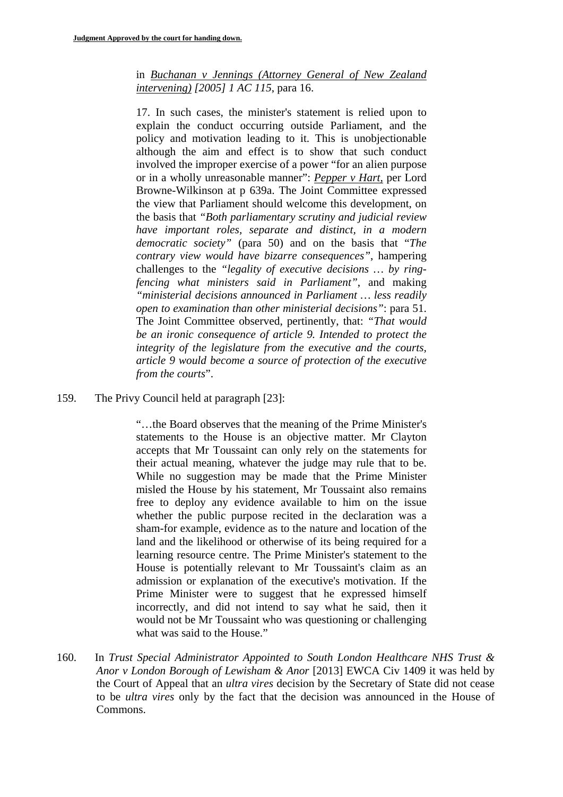in *Buchanan v Jennings (Attorney General of New Zealand intervening) [2005] 1 AC 115*, para 16.

17. In such cases, the minister's statement is relied upon to explain the conduct occurring outside Parliament, and the policy and motivation leading to it. This is unobjectionable although the aim and effect is to show that such conduct involved the improper exercise of a power "for an alien purpose or in a wholly unreasonable manner": *Pepper v Hart,* per Lord Browne-Wilkinson at p 639a. The Joint Committee expressed the view that Parliament should welcome this development, on the basis that *"Both parliamentary scrutiny and judicial review have important roles, separate and distinct, in a modern democratic society"* (para 50) and on the basis that "*The contrary view would have bizarre consequences"*, hampering challenges to the *"legality of executive decisions … by ringfencing what ministers said in Parliament"*, and making *"ministerial decisions announced in Parliament … less readily open to examination than other ministerial decisions"*: para 51. The Joint Committee observed, pertinently, that: *"That would be an ironic consequence of article 9. Intended to protect the integrity of the legislature from the executive and the courts, article 9 would become a source of protection of the executive from the courts*".

159. The Privy Council held at paragraph [23]:

"…the Board observes that the meaning of the Prime Minister's statements to the House is an objective matter. Mr Clayton accepts that Mr Toussaint can only rely on the statements for their actual meaning, whatever the judge may rule that to be. While no suggestion may be made that the Prime Minister misled the House by his statement, Mr Toussaint also remains free to deploy any evidence available to him on the issue whether the public purpose recited in the declaration was a sham-for example, evidence as to the nature and location of the land and the likelihood or otherwise of its being required for a learning resource centre. The Prime Minister's statement to the House is potentially relevant to Mr Toussaint's claim as an admission or explanation of the executive's motivation. If the Prime Minister were to suggest that he expressed himself incorrectly, and did not intend to say what he said, then it would not be Mr Toussaint who was questioning or challenging what was said to the House."

160. In *Trust Special Administrator Appointed to South London Healthcare NHS Trust & Anor v London Borough of Lewisham & Anor* [2013] EWCA Civ 1409 it was held by the Court of Appeal that an *ultra vires* decision by the Secretary of State did not cease to be *ultra vires* only by the fact that the decision was announced in the House of Commons.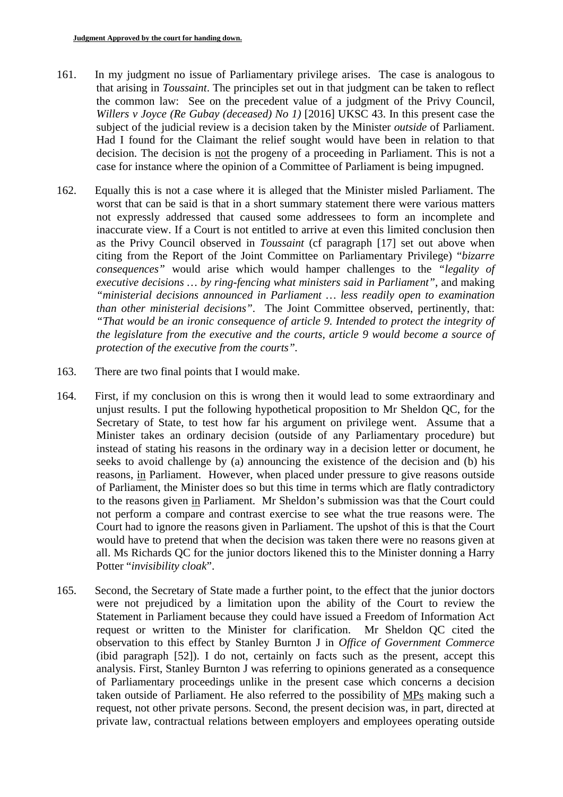- 161. In my judgment no issue of Parliamentary privilege arises. The case is analogous to that arising in *Toussaint*. The principles set out in that judgment can be taken to reflect the common law: See on the precedent value of a judgment of the Privy Council, *Willers v Joyce (Re Gubay (deceased) No 1)* [2016] UKSC 43. In this present case the subject of the judicial review is a decision taken by the Minister *outside* of Parliament. Had I found for the Claimant the relief sought would have been in relation to that decision. The decision is not the progeny of a proceeding in Parliament. This is not a case for instance where the opinion of a Committee of Parliament is being impugned.
- 162. Equally this is not a case where it is alleged that the Minister misled Parliament. The worst that can be said is that in a short summary statement there were various matters not expressly addressed that caused some addressees to form an incomplete and inaccurate view. If a Court is not entitled to arrive at even this limited conclusion then as the Privy Council observed in *Toussaint* (cf paragraph [17] set out above when citing from the Report of the Joint Committee on Parliamentary Privilege) "*bizarre consequences"* would arise which would hamper challenges to the *"legality of executive decisions … by ring-fencing what ministers said in Parliament"*, and making *"ministerial decisions announced in Parliament … less readily open to examination than other ministerial decisions"*. The Joint Committee observed, pertinently, that: *"That would be an ironic consequence of article 9. Intended to protect the integrity of the legislature from the executive and the courts, article 9 would become a source of protection of the executive from the courts".*
- 163. There are two final points that I would make.
- 164. First, if my conclusion on this is wrong then it would lead to some extraordinary and unjust results. I put the following hypothetical proposition to Mr Sheldon QC, for the Secretary of State, to test how far his argument on privilege went. Assume that a Minister takes an ordinary decision (outside of any Parliamentary procedure) but instead of stating his reasons in the ordinary way in a decision letter or document, he seeks to avoid challenge by (a) announcing the existence of the decision and (b) his reasons, in Parliament. However, when placed under pressure to give reasons outside of Parliament, the Minister does so but this time in terms which are flatly contradictory to the reasons given in Parliament. Mr Sheldon's submission was that the Court could not perform a compare and contrast exercise to see what the true reasons were. The Court had to ignore the reasons given in Parliament. The upshot of this is that the Court would have to pretend that when the decision was taken there were no reasons given at all. Ms Richards QC for the junior doctors likened this to the Minister donning a Harry Potter "*invisibility cloak*".
- 165. Second, the Secretary of State made a further point, to the effect that the junior doctors were not prejudiced by a limitation upon the ability of the Court to review the Statement in Parliament because they could have issued a Freedom of Information Act request or written to the Minister for clarification. Mr Sheldon QC cited the observation to this effect by Stanley Burnton J in *Office of Government Commerce*  (ibid paragraph [52]). I do not, certainly on facts such as the present, accept this analysis. First, Stanley Burnton J was referring to opinions generated as a consequence of Parliamentary proceedings unlike in the present case which concerns a decision taken outside of Parliament. He also referred to the possibility of MPs making such a request, not other private persons. Second, the present decision was, in part, directed at private law, contractual relations between employers and employees operating outside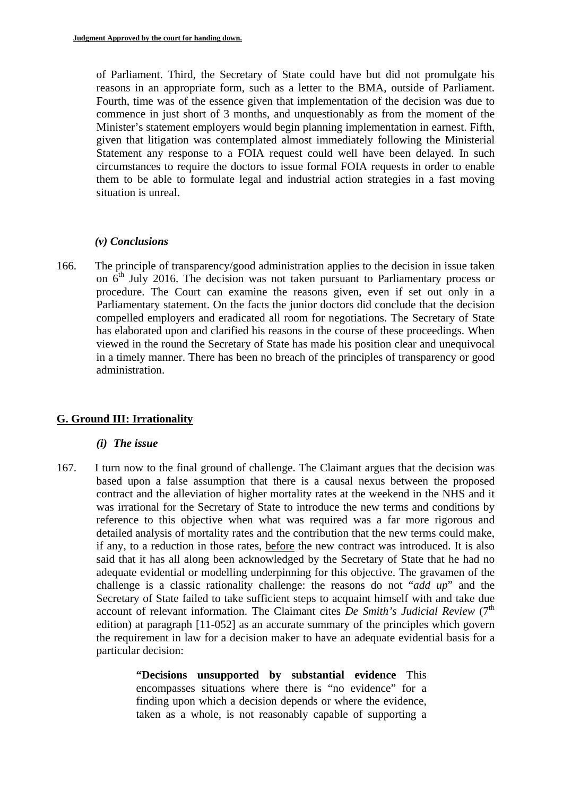of Parliament. Third, the Secretary of State could have but did not promulgate his reasons in an appropriate form, such as a letter to the BMA, outside of Parliament. Fourth, time was of the essence given that implementation of the decision was due to commence in just short of 3 months, and unquestionably as from the moment of the Minister's statement employers would begin planning implementation in earnest. Fifth, given that litigation was contemplated almost immediately following the Ministerial Statement any response to a FOIA request could well have been delayed. In such circumstances to require the doctors to issue formal FOIA requests in order to enable them to be able to formulate legal and industrial action strategies in a fast moving situation is unreal.

#### *(v) Conclusions*

166. The principle of transparency/good administration applies to the decision in issue taken on  $6<sup>th</sup>$  July 2016. The decision was not taken pursuant to Parliamentary process or procedure. The Court can examine the reasons given, even if set out only in a Parliamentary statement. On the facts the junior doctors did conclude that the decision compelled employers and eradicated all room for negotiations. The Secretary of State has elaborated upon and clarified his reasons in the course of these proceedings. When viewed in the round the Secretary of State has made his position clear and unequivocal in a timely manner. There has been no breach of the principles of transparency or good administration.

# **G. Ground III: Irrationality**

#### *(i) The issue*

167. I turn now to the final ground of challenge. The Claimant argues that the decision was based upon a false assumption that there is a causal nexus between the proposed contract and the alleviation of higher mortality rates at the weekend in the NHS and it was irrational for the Secretary of State to introduce the new terms and conditions by reference to this objective when what was required was a far more rigorous and detailed analysis of mortality rates and the contribution that the new terms could make, if any, to a reduction in those rates, before the new contract was introduced. It is also said that it has all along been acknowledged by the Secretary of State that he had no adequate evidential or modelling underpinning for this objective. The gravamen of the challenge is a classic rationality challenge: the reasons do not "*add up*" and the Secretary of State failed to take sufficient steps to acquaint himself with and take due account of relevant information. The Claimant cites *De Smith's Judicial Review* (7<sup>th</sup>) edition) at paragraph [11-052] as an accurate summary of the principles which govern the requirement in law for a decision maker to have an adequate evidential basis for a particular decision:

> **"Decisions unsupported by substantial evidence** This encompasses situations where there is "no evidence" for a finding upon which a decision depends or where the evidence, taken as a whole, is not reasonably capable of supporting a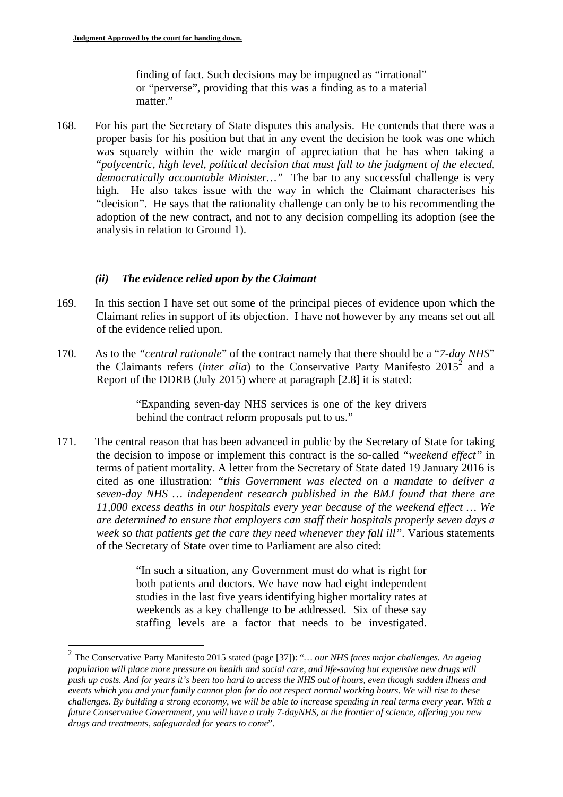1

finding of fact. Such decisions may be impugned as "irrational" or "perverse", providing that this was a finding as to a material matter."

168. For his part the Secretary of State disputes this analysis. He contends that there was a proper basis for his position but that in any event the decision he took was one which was squarely within the wide margin of appreciation that he has when taking a "*polycentric, high level, political decision that must fall to the judgment of the elected, democratically accountable Minister…"* The bar to any successful challenge is very high. He also takes issue with the way in which the Claimant characterises his "decision". He says that the rationality challenge can only be to his recommending the adoption of the new contract, and not to any decision compelling its adoption (see the analysis in relation to Ground 1).

#### *(ii) The evidence relied upon by the Claimant*

- 169. In this section I have set out some of the principal pieces of evidence upon which the Claimant relies in support of its objection. I have not however by any means set out all of the evidence relied upon.
- 170. As to the *"central rationale*" of the contract namely that there should be a "*7-day NHS*" the Claimants refers *(inter alia)* to the Conservative Party Manifesto  $2015^2$  and a Report of the DDRB (July 2015) where at paragraph [2.8] it is stated:

"Expanding seven-day NHS services is one of the key drivers behind the contract reform proposals put to us."

171. The central reason that has been advanced in public by the Secretary of State for taking the decision to impose or implement this contract is the so-called *"weekend effect"* in terms of patient mortality. A letter from the Secretary of State dated 19 January 2016 is cited as one illustration: *"this Government was elected on a mandate to deliver a seven-day NHS … independent research published in the BMJ found that there are 11,000 excess deaths in our hospitals every year because of the weekend effect … We are determined to ensure that employers can staff their hospitals properly seven days a week so that patients get the care they need whenever they fall ill"*. Various statements of the Secretary of State over time to Parliament are also cited:

> "In such a situation, any Government must do what is right for both patients and doctors. We have now had eight independent studies in the last five years identifying higher mortality rates at weekends as a key challenge to be addressed. Six of these say staffing levels are a factor that needs to be investigated.

 *population will place more pressure on health and social care, and life-saving but expensive new drugs will push up costs. And for years it's been too hard to access the NHS out of hours, even though sudden illness and*  2 The Conservative Party Manifesto 2015 stated (page [37]): "*… our NHS faces major challenges. An ageing events which you and your family cannot plan for do not respect normal working hours. We will rise to these challenges. By building a strong economy, we will be able to increase spending in real terms every year. With a future Conservative Government, you will have a truly 7-dayNHS, at the frontier of science, offering you new drugs and treatments, safeguarded for years to come*".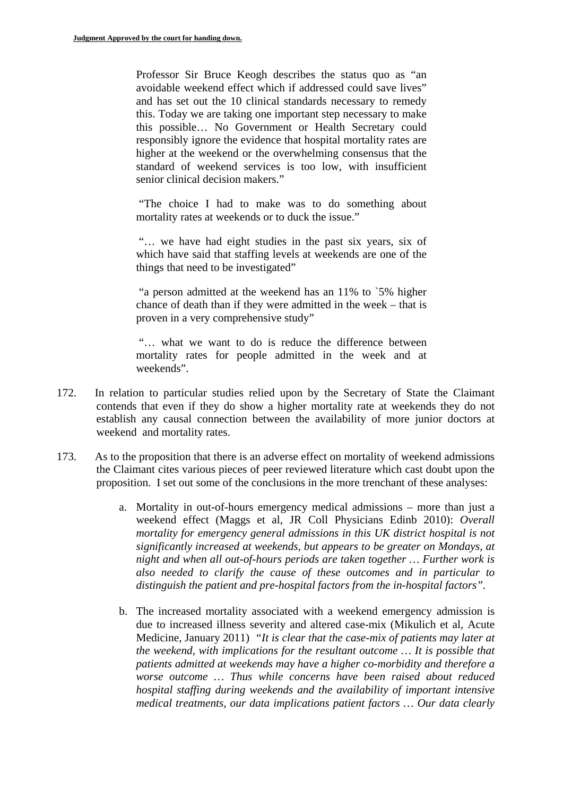Professor Sir Bruce Keogh describes the status quo as "an avoidable weekend effect which if addressed could save lives" and has set out the 10 clinical standards necessary to remedy this. Today we are taking one important step necessary to make this possible… No Government or Health Secretary could responsibly ignore the evidence that hospital mortality rates are higher at the weekend or the overwhelming consensus that the standard of weekend services is too low, with insufficient senior clinical decision makers."

"The choice I had to make was to do something about mortality rates at weekends or to duck the issue."

"… we have had eight studies in the past six years, six of which have said that staffing levels at weekends are one of the things that need to be investigated"

"a person admitted at the weekend has an 11% to `5% higher chance of death than if they were admitted in the week – that is proven in a very comprehensive study"

"… what we want to do is reduce the difference between mortality rates for people admitted in the week and at weekends".

- 172. In relation to particular studies relied upon by the Secretary of State the Claimant contends that even if they do show a higher mortality rate at weekends they do not establish any causal connection between the availability of more junior doctors at weekend and mortality rates.
- 173. As to the proposition that there is an adverse effect on mortality of weekend admissions the Claimant cites various pieces of peer reviewed literature which cast doubt upon the proposition. I set out some of the conclusions in the more trenchant of these analyses:
	- a. Mortality in out-of-hours emergency medical admissions more than just a weekend effect (Maggs et al, JR Coll Physicians Edinb 2010): *Overall mortality for emergency general admissions in this UK district hospital is not significantly increased at weekends, but appears to be greater on Mondays, at night and when all out-of-hours periods are taken together … Further work is also needed to clarify the cause of these outcomes and in particular to distinguish the patient and pre-hospital factors from the in-hospital factors".*
	- b. The increased mortality associated with a weekend emergency admission is due to increased illness severity and altered case-mix (Mikulich et al, Acute Medicine, January 2011) *"It is clear that the case-mix of patients may later at the weekend, with implications for the resultant outcome … It is possible that patients admitted at weekends may have a higher co-morbidity and therefore a worse outcome … Thus while concerns have been raised about reduced hospital staffing during weekends and the availability of important intensive medical treatments, our data implications patient factors … Our data clearly*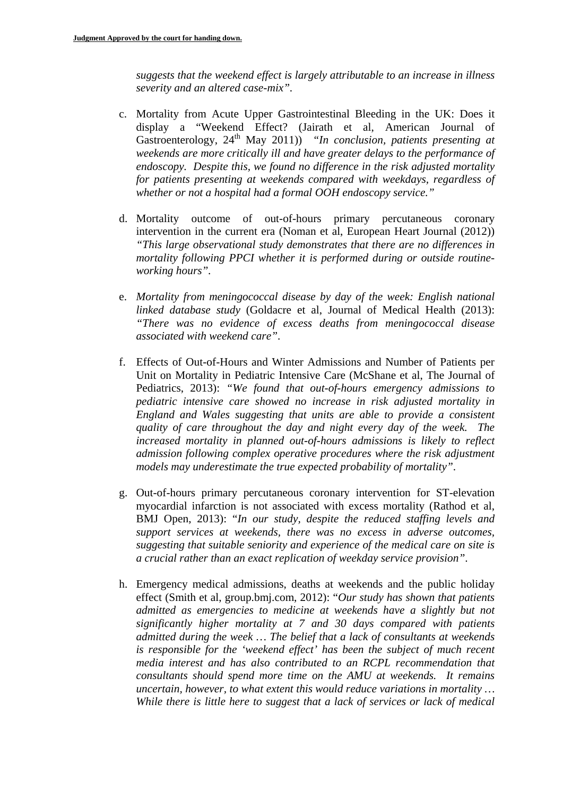*suggests that the weekend effect is largely attributable to an increase in illness severity and an altered case-mix".* 

- c. Mortality from Acute Upper Gastrointestinal Bleeding in the UK: Does it display a "Weekend Effect? (Jairath et al, American Journal of Gastroenterology, 24<sup>th</sup> May 2011)) *"In conclusion, patients presenting at weekends are more critically ill and have greater delays to the performance of endoscopy. Despite this, we found no difference in the risk adjusted mortality for patients presenting at weekends compared with weekdays, regardless of whether or not a hospital had a formal OOH endoscopy service."*
- d. Mortality outcome of out-of-hours primary percutaneous coronary intervention in the current era (Noman et al, European Heart Journal (2012)) *"This large observational study demonstrates that there are no differences in mortality following PPCI whether it is performed during or outside routineworking hours".*
- e. *Mortality from meningococcal disease by day of the week: English national linked database study* (Goldacre et al, Journal of Medical Health (2013): *"There was no evidence of excess deaths from meningococcal disease associated with weekend care"*.
- f. Effects of Out-of-Hours and Winter Admissions and Number of Patients per Unit on Mortality in Pediatric Intensive Care (McShane et al, The Journal of Pediatrics, 2013): *"We found that out-of-hours emergency admissions to pediatric intensive care showed no increase in risk adjusted mortality in England and Wales suggesting that units are able to provide a consistent quality of care throughout the day and night every day of the week. The increased mortality in planned out-of-hours admissions is likely to reflect admission following complex operative procedures where the risk adjustment models may underestimate the true expected probability of mortality"*.
- g. Out-of-hours primary percutaneous coronary intervention for ST-elevation myocardial infarction is not associated with excess mortality (Rathod et al, BMJ Open, 2013): "*In our study, despite the reduced staffing levels and support services at weekends, there was no excess in adverse outcomes, suggesting that suitable seniority and experience of the medical care on site is a crucial rather than an exact replication of weekday service provision"*.
- h. Emergency medical admissions, deaths at weekends and the public holiday effect (Smith et al, group.bmj.com, 2012): "*Our study has shown that patients admitted as emergencies to medicine at weekends have a slightly but not significantly higher mortality at 7 and 30 days compared with patients admitted during the week … The belief that a lack of consultants at weekends is responsible for the 'weekend effect' has been the subject of much recent media interest and has also contributed to an RCPL recommendation that consultants should spend more time on the AMU at weekends. It remains uncertain, however, to what extent this would reduce variations in mortality … While there is little here to suggest that a lack of services or lack of medical*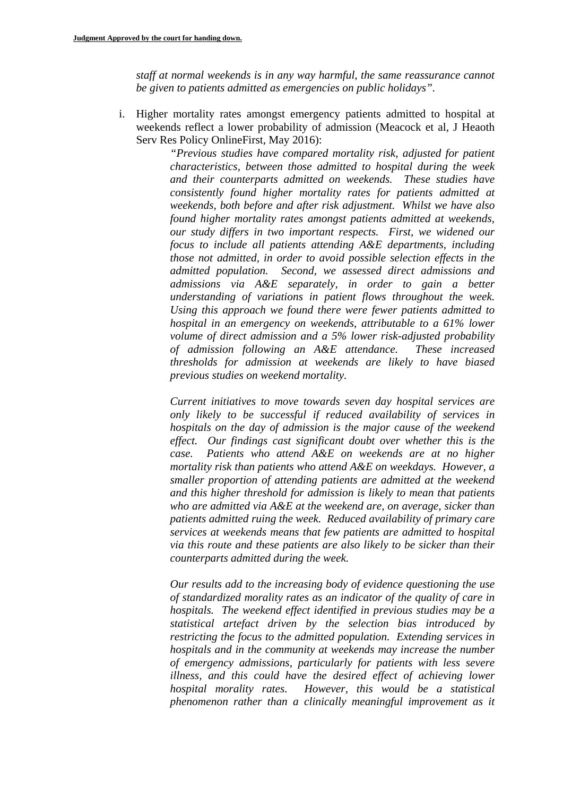*staff at normal weekends is in any way harmful, the same reassurance cannot be given to patients admitted as emergencies on public holidays".* 

i. Higher mortality rates amongst emergency patients admitted to hospital at weekends reflect a lower probability of admission (Meacock et al, J Heaoth Serv Res Policy OnlineFirst, May 2016):

*"Previous studies have compared mortality risk, adjusted for patient characteristics, between those admitted to hospital during the week and their counterparts admitted on weekends. These studies have consistently found higher mortality rates for patients admitted at weekends, both before and after risk adjustment. Whilst we have also found higher mortality rates amongst patients admitted at weekends, our study differs in two important respects. First, we widened our focus to include all patients attending A&E departments, including those not admitted, in order to avoid possible selection effects in the admitted population. Second, we assessed direct admissions and admissions via A&E separately, in order to gain a better understanding of variations in patient flows throughout the week. Using this approach we found there were fewer patients admitted to hospital in an emergency on weekends, attributable to a 61% lower volume of direct admission and a 5% lower risk-adjusted probability of admission following an A&E attendance. These increased thresholds for admission at weekends are likely to have biased previous studies on weekend mortality.* 

*Current initiatives to move towards seven day hospital services are only likely to be successful if reduced availability of services in hospitals on the day of admission is the major cause of the weekend effect. Our findings cast significant doubt over whether this is the case. Patients who attend A&E on weekends are at no higher mortality risk than patients who attend A&E on weekdays. However, a smaller proportion of attending patients are admitted at the weekend and this higher threshold for admission is likely to mean that patients who are admitted via A&E at the weekend are, on average, sicker than patients admitted ruing the week. Reduced availability of primary care services at weekends means that few patients are admitted to hospital via this route and these patients are also likely to be sicker than their counterparts admitted during the week.* 

*Our results add to the increasing body of evidence questioning the use of standardized morality rates as an indicator of the quality of care in hospitals. The weekend effect identified in previous studies may be a statistical artefact driven by the selection bias introduced by restricting the focus to the admitted population. Extending services in hospitals and in the community at weekends may increase the number of emergency admissions, particularly for patients with less severe illness, and this could have the desired effect of achieving lower hospital morality rates. However, this would be a statistical phenomenon rather than a clinically meaningful improvement as it*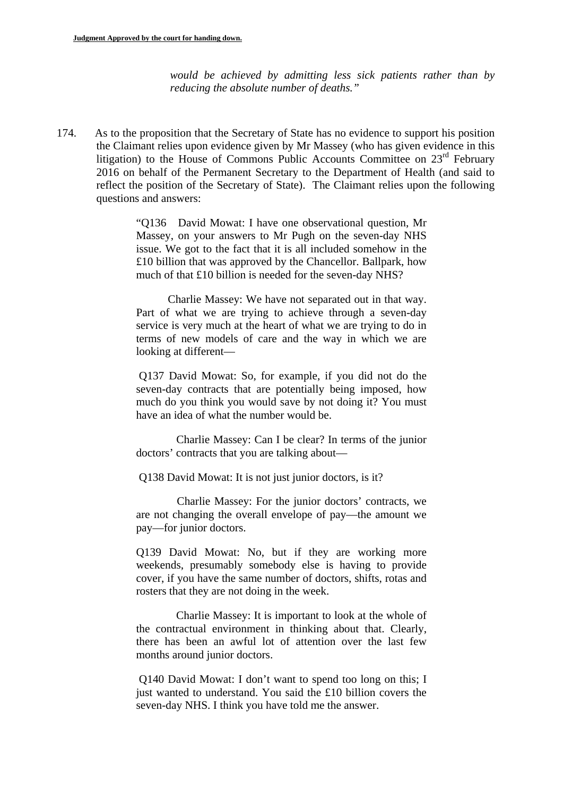*would be achieved by admitting less sick patients rather than by reducing the absolute number of deaths."* 

174. As to the proposition that the Secretary of State has no evidence to support his position the Claimant relies upon evidence given by Mr Massey (who has given evidence in this litigation) to the House of Commons Public Accounts Committee on  $23<sup>rd</sup>$  February 2016 on behalf of the Permanent Secretary to the Department of Health (and said to reflect the position of the Secretary of State). The Claimant relies upon the following questions and answers:

> "Q136 David Mowat: I have one observational question, Mr Massey, on your answers to Mr Pugh on the seven-day NHS issue. We got to the fact that it is all included somehow in the £10 billion that was approved by the Chancellor. Ballpark, how much of that £10 billion is needed for the seven-day NHS?

> Charlie Massey: We have not separated out in that way. Part of what we are trying to achieve through a seven-day service is very much at the heart of what we are trying to do in terms of new models of care and the way in which we are looking at different—

> Q137 David Mowat: So, for example, if you did not do the seven-day contracts that are potentially being imposed, how much do you think you would save by not doing it? You must have an idea of what the number would be.

> Charlie Massey: Can I be clear? In terms of the junior doctors' contracts that you are talking about—

Q138 David Mowat: It is not just junior doctors, is it?

Charlie Massey: For the junior doctors' contracts, we are not changing the overall envelope of pay—the amount we pay—for junior doctors.

Q139 David Mowat: No, but if they are working more weekends, presumably somebody else is having to provide cover, if you have the same number of doctors, shifts, rotas and rosters that they are not doing in the week.

Charlie Massey: It is important to look at the whole of the contractual environment in thinking about that. Clearly, there has been an awful lot of attention over the last few months around junior doctors.

Q140 David Mowat: I don't want to spend too long on this; I just wanted to understand. You said the £10 billion covers the seven-day NHS. I think you have told me the answer.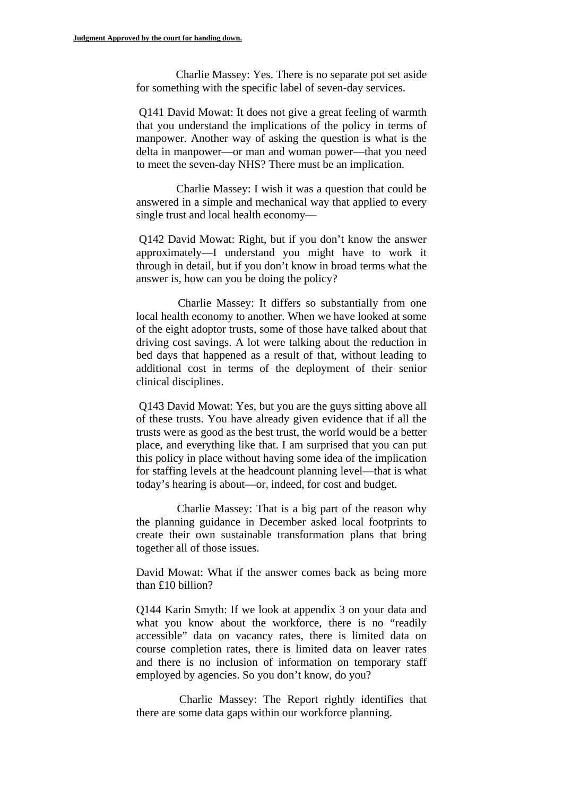Charlie Massey: Yes. There is no separate pot set aside for something with the specific label of seven-day services.

Q141 David Mowat: It does not give a great feeling of warmth that you understand the implications of the policy in terms of manpower. Another way of asking the question is what is the delta in manpower—or man and woman power—that you need to meet the seven-day NHS? There must be an implication.

Charlie Massey: I wish it was a question that could be answered in a simple and mechanical way that applied to every single trust and local health economy—

Q142 David Mowat: Right, but if you don't know the answer approximately—I understand you might have to work it through in detail, but if you don't know in broad terms what the answer is, how can you be doing the policy?

Charlie Massey: It differs so substantially from one local health economy to another. When we have looked at some of the eight adoptor trusts, some of those have talked about that driving cost savings. A lot were talking about the reduction in bed days that happened as a result of that, without leading to additional cost in terms of the deployment of their senior clinical disciplines.

 Q143 David Mowat: Yes, but you are the guys sitting above all of these trusts. You have already given evidence that if all the trusts were as good as the best trust, the world would be a better place, and everything like that. I am surprised that you can put this policy in place without having some idea of the implication for staffing levels at the headcount planning level—that is what today's hearing is about—or, indeed, for cost and budget.

Charlie Massey: That is a big part of the reason why the planning guidance in December asked local footprints to create their own sustainable transformation plans that bring together all of those issues.

than  $£10$  billion? David Mowat: What if the answer comes back as being more

Q144 Karin Smyth: If we look at appendix 3 on your data and what you know about the workforce, there is no "readily accessible" data on vacancy rates, there is limited data on course completion rates, there is limited data on leaver rates and there is no inclusion of information on temporary staff employed by agencies. So you don't know, do you?

Charlie Massey: The Report rightly identifies that there are some data gaps within our workforce planning.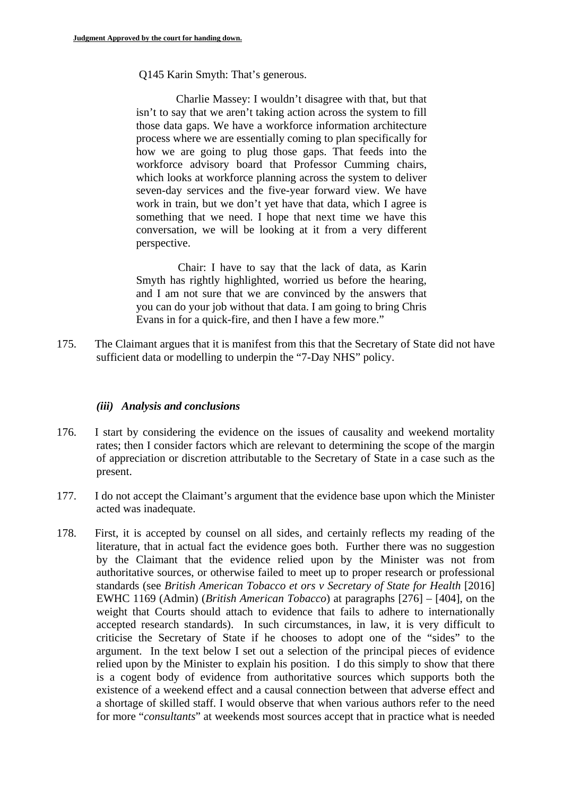Q145 Karin Smyth: That's generous.

Charlie Massey: I wouldn't disagree with that, but that isn't to say that we aren't taking action across the system to fill those data gaps. We have a workforce information architecture process where we are essentially coming to plan specifically for how we are going to plug those gaps. That feeds into the workforce advisory board that Professor Cumming chairs, which looks at workforce planning across the system to deliver seven-day services and the five-year forward view. We have work in train, but we don't yet have that data, which I agree is something that we need. I hope that next time we have this conversation, we will be looking at it from a very different perspective.

Chair: I have to say that the lack of data, as Karin Smyth has rightly highlighted, worried us before the hearing, and I am not sure that we are convinced by the answers that you can do your job without that data. I am going to bring Chris Evans in for a quick-fire, and then I have a few more."

175. The Claimant argues that it is manifest from this that the Secretary of State did not have sufficient data or modelling to underpin the "7-Day NHS" policy.

## *(iii) Analysis and conclusions*

- 176. I start by considering the evidence on the issues of causality and weekend mortality rates; then I consider factors which are relevant to determining the scope of the margin of appreciation or discretion attributable to the Secretary of State in a case such as the present.
- 177. I do not accept the Claimant's argument that the evidence base upon which the Minister acted was inadequate.
- 178. First, it is accepted by counsel on all sides, and certainly reflects my reading of the literature, that in actual fact the evidence goes both. Further there was no suggestion by the Claimant that the evidence relied upon by the Minister was not from authoritative sources, or otherwise failed to meet up to proper research or professional standards (see *British American Tobacco et ors v Secretary of State for Health* [2016] EWHC 1169 (Admin) (*British American Tobacco*) at paragraphs [276] – [404], on the weight that Courts should attach to evidence that fails to adhere to internationally accepted research standards). In such circumstances, in law, it is very difficult to criticise the Secretary of State if he chooses to adopt one of the "sides" to the argument. In the text below I set out a selection of the principal pieces of evidence relied upon by the Minister to explain his position. I do this simply to show that there is a cogent body of evidence from authoritative sources which supports both the existence of a weekend effect and a causal connection between that adverse effect and a shortage of skilled staff. I would observe that when various authors refer to the need for more "*consultants*" at weekends most sources accept that in practice what is needed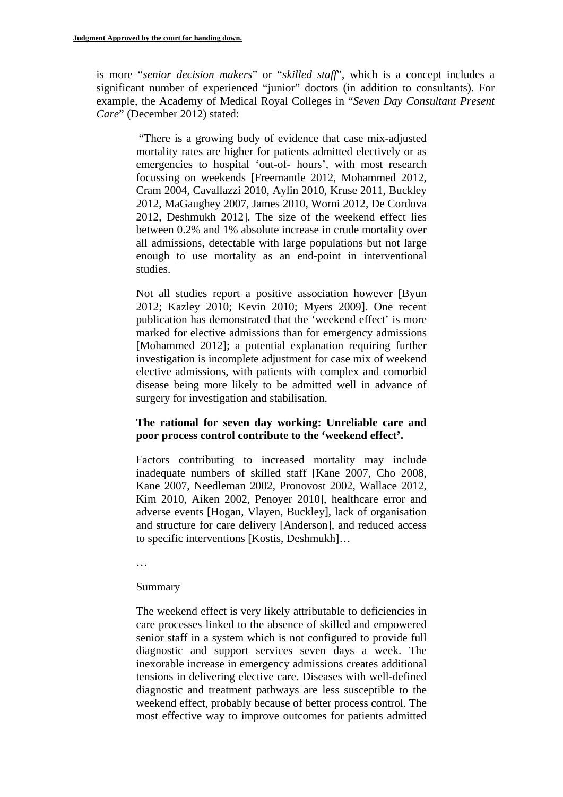is more "*senior decision makers*" or "*skilled staff*", which is a concept includes a significant number of experienced "junior" doctors (in addition to consultants). For example, the Academy of Medical Royal Colleges in "*Seven Day Consultant Present Care*" (December 2012) stated:

"There is a growing body of evidence that case mix-adjusted mortality rates are higher for patients admitted electively or as emergencies to hospital 'out-of- hours', with most research focussing on weekends [Freemantle 2012, Mohammed 2012, Cram 2004, Cavallazzi 2010, Aylin 2010, Kruse 2011, Buckley 2012, MaGaughey 2007, James 2010, Worni 2012, De Cordova 2012, Deshmukh 2012]. The size of the weekend effect lies between 0.2% and 1% absolute increase in crude mortality over all admissions, detectable with large populations but not large enough to use mortality as an end-point in interventional studies.

Not all studies report a positive association however [Byun 2012; Kazley 2010; Kevin 2010; Myers 2009]. One recent publication has demonstrated that the 'weekend effect' is more marked for elective admissions than for emergency admissions [Mohammed 2012]; a potential explanation requiring further investigation is incomplete adjustment for case mix of weekend elective admissions, with patients with complex and comorbid disease being more likely to be admitted well in advance of surgery for investigation and stabilisation.

## **The rational for seven day working: Unreliable care and poor process control contribute to the 'weekend effect'.**

Factors contributing to increased mortality may include inadequate numbers of skilled staff [Kane 2007, Cho 2008, Kane 2007, Needleman 2002, Pronovost 2002, Wallace 2012, Kim 2010, Aiken 2002, Penoyer 2010], healthcare error and adverse events [Hogan, Vlayen, Buckley], lack of organisation and structure for care delivery [Anderson], and reduced access to specific interventions [Kostis, Deshmukh]…

…

## Summary

The weekend effect is very likely attributable to deficiencies in care processes linked to the absence of skilled and empowered senior staff in a system which is not configured to provide full diagnostic and support services seven days a week. The inexorable increase in emergency admissions creates additional tensions in delivering elective care. Diseases with well-defined diagnostic and treatment pathways are less susceptible to the weekend effect, probably because of better process control. The most effective way to improve outcomes for patients admitted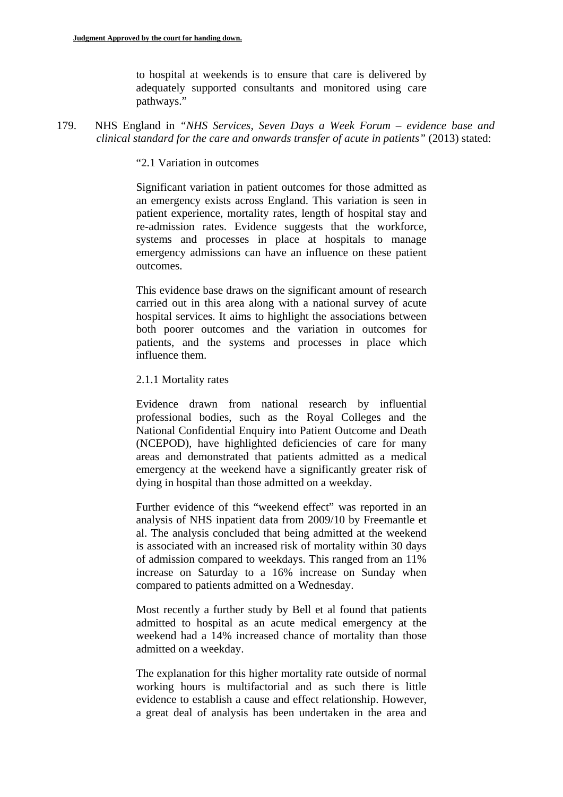to hospital at weekends is to ensure that care is delivered by adequately supported consultants and monitored using care pathways."

179. NHS England in *"NHS Services, Seven Days a Week Forum – evidence base and clinical standard for the care and onwards transfer of acute in patients"* (2013) stated:

"2.1 Variation in outcomes

Significant variation in patient outcomes for those admitted as an emergency exists across England. This variation is seen in patient experience, mortality rates, length of hospital stay and re-admission rates. Evidence suggests that the workforce, systems and processes in place at hospitals to manage emergency admissions can have an influence on these patient outcomes.

This evidence base draws on the significant amount of research carried out in this area along with a national survey of acute hospital services. It aims to highlight the associations between both poorer outcomes and the variation in outcomes for patients, and the systems and processes in place which influence them.

2.1.1 Mortality rates

Evidence drawn from national research by influential professional bodies, such as the Royal Colleges and the National Confidential Enquiry into Patient Outcome and Death (NCEPOD), have highlighted deficiencies of care for many areas and demonstrated that patients admitted as a medical emergency at the weekend have a significantly greater risk of dying in hospital than those admitted on a weekday.

Further evidence of this "weekend effect" was reported in an analysis of NHS inpatient data from 2009/10 by Freemantle et al. The analysis concluded that being admitted at the weekend is associated with an increased risk of mortality within 30 days of admission compared to weekdays. This ranged from an 11% increase on Saturday to a 16% increase on Sunday when compared to patients admitted on a Wednesday.

Most recently a further study by Bell et al found that patients admitted to hospital as an acute medical emergency at the weekend had a 14% increased chance of mortality than those admitted on a weekday.

The explanation for this higher mortality rate outside of normal working hours is multifactorial and as such there is little evidence to establish a cause and effect relationship. However, a great deal of analysis has been undertaken in the area and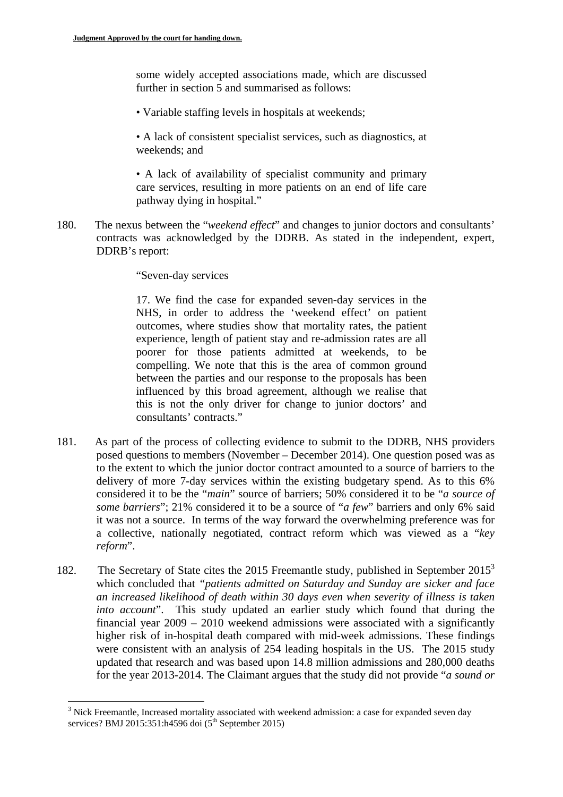some widely accepted associations made, which are discussed further in section 5 and summarised as follows:

• Variable staffing levels in hospitals at weekends;

• A lack of consistent specialist services, such as diagnostics, at weekends; and

• A lack of availability of specialist community and primary care services, resulting in more patients on an end of life care pathway dying in hospital."

180. The nexus between the "*weekend effect*" and changes to junior doctors and consultants' contracts was acknowledged by the DDRB. As stated in the independent, expert, DDRB's report:

"Seven-day services

17. We find the case for expanded seven-day services in the NHS, in order to address the 'weekend effect' on patient outcomes, where studies show that mortality rates, the patient experience, length of patient stay and re-admission rates are all poorer for those patients admitted at weekends, to be compelling. We note that this is the area of common ground between the parties and our response to the proposals has been influenced by this broad agreement, although we realise that this is not the only driver for change to junior doctors' and consultants' contracts."

- 181. As part of the process of collecting evidence to submit to the DDRB, NHS providers posed questions to members (November – December 2014). One question posed was as to the extent to which the junior doctor contract amounted to a source of barriers to the delivery of more 7-day services within the existing budgetary spend. As to this 6% considered it to be the "*main*" source of barriers; 50% considered it to be "*a source of some barriers*"; 21% considered it to be a source of "*a few*" barriers and only 6% said it was not a source. In terms of the way forward the overwhelming preference was for a collective, nationally negotiated, contract reform which was viewed as a "*key reform*".
- 182. The Secretary of State cites the 2015 Freemantle study, published in September  $2015<sup>3</sup>$ which concluded that *"patients admitted on Saturday and Sunday are sicker and face an increased likelihood of death within 30 days even when severity of illness is taken into account*". This study updated an earlier study which found that during the financial year 2009 – 2010 weekend admissions were associated with a significantly higher risk of in-hospital death compared with mid-week admissions. These findings were consistent with an analysis of 254 leading hospitals in the US. The 2015 study updated that research and was based upon 14.8 million admissions and 280,000 deaths for the year 2013-2014. The Claimant argues that the study did not provide "*a sound or*

<sup>&</sup>lt;u>.</u> <sup>3</sup> Nick Freemantle, Increased mortality associated with weekend admission: a case for expanded seven day services? BMJ 2015:351:h4596 doi  $(5^{th}$  September 2015)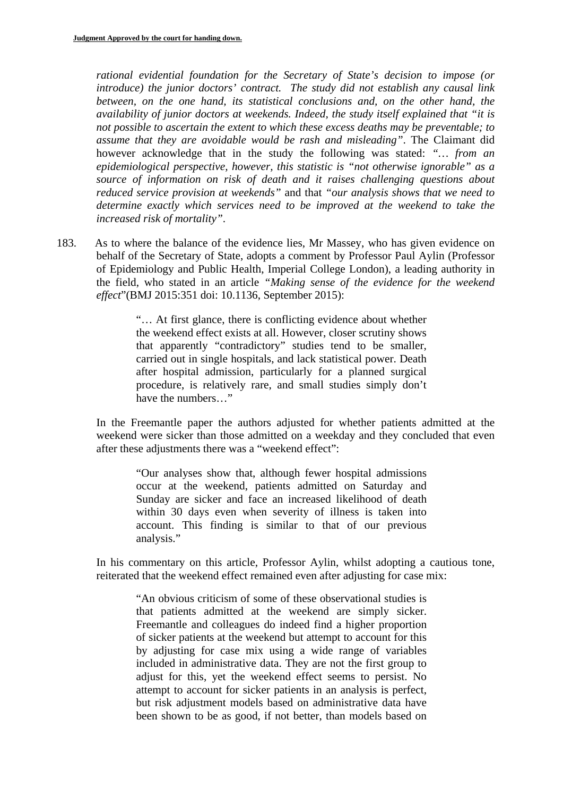*rational evidential foundation for the Secretary of State's decision to impose (or introduce) the junior doctors' contract. The study did not establish any causal link between, on the one hand, its statistical conclusions and, on the other hand, the availability of junior doctors at weekends. Indeed, the study itself explained that "it is not possible to ascertain the extent to which these excess deaths may be preventable; to assume that they are avoidable would be rash and misleading"*. The Claimant did however acknowledge that in the study the following was stated: *"… from an epidemiological perspective, however, this statistic is "not otherwise ignorable" as a source of information on risk of death and it raises challenging questions about reduced service provision at weekends"* and that *"our analysis shows that we need to determine exactly which services need to be improved at the weekend to take the increased risk of mortality"*.

183. As to where the balance of the evidence lies, Mr Massey, who has given evidence on behalf of the Secretary of State, adopts a comment by Professor Paul Aylin (Professor of Epidemiology and Public Health, Imperial College London), a leading authority in the field, who stated in an article *"Making sense of the evidence for the weekend effect*"(BMJ 2015:351 doi: 10.1136, September 2015):

> "… At first glance, there is conflicting evidence about whether the weekend effect exists at all. However, closer scrutiny shows that apparently "contradictory" studies tend to be smaller, carried out in single hospitals, and lack statistical power. Death after hospital admission, particularly for a planned surgical procedure, is relatively rare, and small studies simply don't have the numbers…"

In the Freemantle paper the authors adjusted for whether patients admitted at the weekend were sicker than those admitted on a weekday and they concluded that even after these adjustments there was a "weekend effect":

"Our analyses show that, although fewer hospital admissions occur at the weekend, patients admitted on Saturday and Sunday are sicker and face an increased likelihood of death within 30 days even when severity of illness is taken into account. This finding is similar to that of our previous analysis."

In his commentary on this article, Professor Aylin, whilst adopting a cautious tone, reiterated that the weekend effect remained even after adjusting for case mix:

"An obvious criticism of some of these observational studies is that patients admitted at the weekend are simply sicker. Freemantle and colleagues do indeed find a higher proportion of sicker patients at the weekend but attempt to account for this by adjusting for case mix using a wide range of variables included in administrative data. They are not the first group to adjust for this, yet the weekend effect seems to persist. No attempt to account for sicker patients in an analysis is perfect, but risk adjustment models based on administrative data have been shown to be as good, if not better, than models based on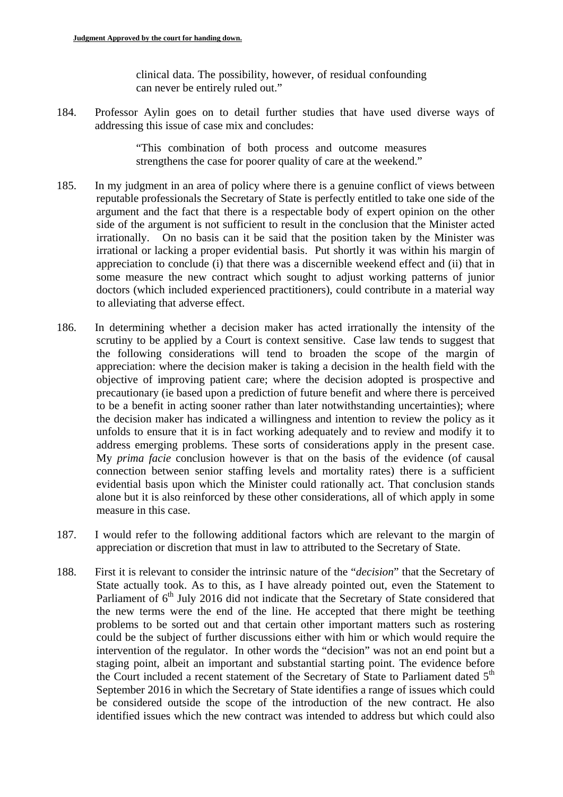clinical data. The possibility, however, of residual confounding can never be entirely ruled out."

184. Professor Aylin goes on to detail further studies that have used diverse ways of addressing this issue of case mix and concludes:

> "This combination of both process and outcome measures strengthens the case for poorer quality of care at the weekend."

- 185. In my judgment in an area of policy where there is a genuine conflict of views between reputable professionals the Secretary of State is perfectly entitled to take one side of the argument and the fact that there is a respectable body of expert opinion on the other side of the argument is not sufficient to result in the conclusion that the Minister acted irrationally. On no basis can it be said that the position taken by the Minister was irrational or lacking a proper evidential basis. Put shortly it was within his margin of appreciation to conclude (i) that there was a discernible weekend effect and (ii) that in some measure the new contract which sought to adjust working patterns of junior doctors (which included experienced practitioners), could contribute in a material way to alleviating that adverse effect.
- 186. In determining whether a decision maker has acted irrationally the intensity of the scrutiny to be applied by a Court is context sensitive. Case law tends to suggest that the following considerations will tend to broaden the scope of the margin of appreciation: where the decision maker is taking a decision in the health field with the objective of improving patient care; where the decision adopted is prospective and precautionary (ie based upon a prediction of future benefit and where there is perceived to be a benefit in acting sooner rather than later notwithstanding uncertainties); where the decision maker has indicated a willingness and intention to review the policy as it unfolds to ensure that it is in fact working adequately and to review and modify it to address emerging problems. These sorts of considerations apply in the present case. My *prima facie* conclusion however is that on the basis of the evidence (of causal connection between senior staffing levels and mortality rates) there is a sufficient evidential basis upon which the Minister could rationally act. That conclusion stands alone but it is also reinforced by these other considerations, all of which apply in some measure in this case.
- 187. I would refer to the following additional factors which are relevant to the margin of appreciation or discretion that must in law to attributed to the Secretary of State.
- 188. First it is relevant to consider the intrinsic nature of the "*decision*" that the Secretary of State actually took. As to this, as I have already pointed out, even the Statement to Parliament of 6<sup>th</sup> July 2016 did not indicate that the Secretary of State considered that the new terms were the end of the line. He accepted that there might be teething problems to be sorted out and that certain other important matters such as rostering could be the subject of further discussions either with him or which would require the intervention of the regulator. In other words the "decision" was not an end point but a staging point, albeit an important and substantial starting point. The evidence before the Court included a recent statement of the Secretary of State to Parliament dated 5<sup>th</sup> September 2016 in which the Secretary of State identifies a range of issues which could be considered outside the scope of the introduction of the new contract. He also identified issues which the new contract was intended to address but which could also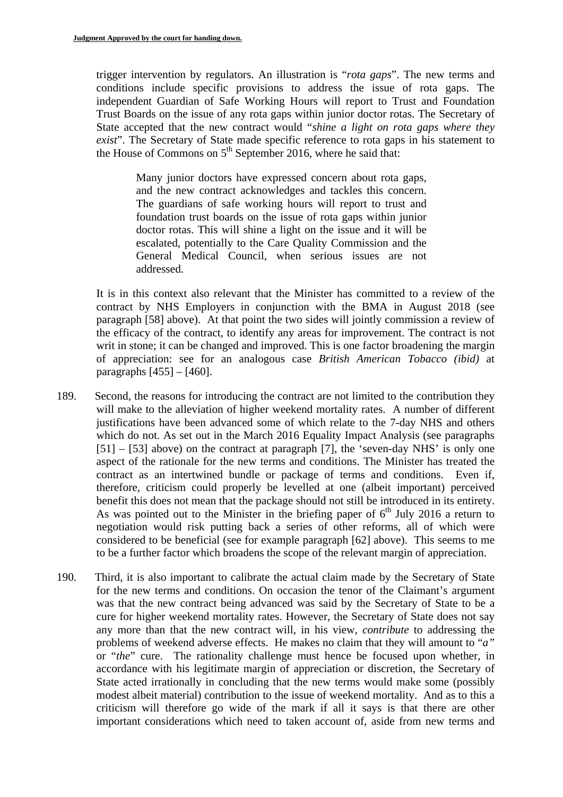trigger intervention by regulators. An illustration is "*rota gaps*". The new terms and conditions include specific provisions to address the issue of rota gaps. The independent Guardian of Safe Working Hours will report to Trust and Foundation Trust Boards on the issue of any rota gaps within junior doctor rotas. The Secretary of State accepted that the new contract would "*shine a light on rota gaps where they exist*". The Secretary of State made specific reference to rota gaps in his statement to the House of Commons on  $5<sup>th</sup>$  September 2016, where he said that:

Many junior doctors have expressed concern about rota gaps, and the new contract acknowledges and tackles this concern. The guardians of safe working hours will report to trust and foundation trust boards on the issue of rota gaps within junior doctor rotas. This will shine a light on the issue and it will be escalated, potentially to the Care Quality Commission and the General Medical Council, when serious issues are not addressed.

It is in this context also relevant that the Minister has committed to a review of the contract by NHS Employers in conjunction with the BMA in August 2018 (see paragraph [58] above). At that point the two sides will jointly commission a review of the efficacy of the contract, to identify any areas for improvement. The contract is not writ in stone; it can be changed and improved. This is one factor broadening the margin of appreciation: see for an analogous case *British American Tobacco (ibid)* at paragraphs  $[455] - [460]$ .

- 189. Second, the reasons for introducing the contract are not limited to the contribution they will make to the alleviation of higher weekend mortality rates. A number of different justifications have been advanced some of which relate to the 7-day NHS and others which do not. As set out in the March 2016 Equality Impact Analysis (see paragraphs [51] – [53] above) on the contract at paragraph [7], the 'seven-day NHS' is only one aspect of the rationale for the new terms and conditions. The Minister has treated the contract as an intertwined bundle or package of terms and conditions. Even if, therefore, criticism could properly be levelled at one (albeit important) perceived benefit this does not mean that the package should not still be introduced in its entirety. As was pointed out to the Minister in the briefing paper of  $6<sup>th</sup>$  July 2016 a return to negotiation would risk putting back a series of other reforms, all of which were considered to be beneficial (see for example paragraph [62] above). This seems to me to be a further factor which broadens the scope of the relevant margin of appreciation.
- 190. Third, it is also important to calibrate the actual claim made by the Secretary of State for the new terms and conditions. On occasion the tenor of the Claimant's argument was that the new contract being advanced was said by the Secretary of State to be a cure for higher weekend mortality rates. However, the Secretary of State does not say any more than that the new contract will, in his view, *contribute* to addressing the problems of weekend adverse effects. He makes no claim that they will amount to "*a"*  or "*the*" cure. The rationality challenge must hence be focused upon whether, in accordance with his legitimate margin of appreciation or discretion, the Secretary of State acted irrationally in concluding that the new terms would make some (possibly modest albeit material) contribution to the issue of weekend mortality. And as to this a criticism will therefore go wide of the mark if all it says is that there are other important considerations which need to taken account of, aside from new terms and